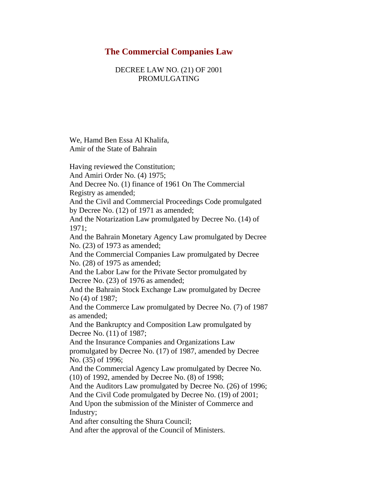# **The Commercial Companies Law**

# DECREE LAW NO. (21) OF 2001 PROMULGATING

We, Hamd Ben Essa Al Khalifa, Amir of the State of Bahrain

Having reviewed the Constitution; And Amiri Order No. (4) 1975; And Decree No. (1) finance of 1961 On The Commercial Registry as amended; And the Civil and Commercial Proceedings Code promulgated by Decree No. (12) of 1971 as amended; And the Notarization Law promulgated by Decree No. (14) of 1971; And the Bahrain Monetary Agency Law promulgated by Decree No. (23) of 1973 as amended; And the Commercial Companies Law promulgated by Decree No. (28) of 1975 as amended; And the Labor Law for the Private Sector promulgated by Decree No. (23) of 1976 as amended; And the Bahrain Stock Exchange Law promulgated by Decree No (4) of 1987; And the Commerce Law promulgated by Decree No. (7) of 1987 as amended; And the Bankruptcy and Composition Law promulgated by Decree No. (11) of 1987; And the Insurance Companies and Organizations Law promulgated by Decree No. (17) of 1987, amended by Decree No. (35) of 1996; And the Commercial Agency Law promulgated by Decree No. (10) of 1992, amended by Decree No. (8) of 1998; And the Auditors Law promulgated by Decree No. (26) of 1996; And the Civil Code promulgated by Decree No. (19) of 2001; And Upon the submission of the Minister of Commerce and Industry;

And after consulting the Shura Council;

And after the approval of the Council of Ministers.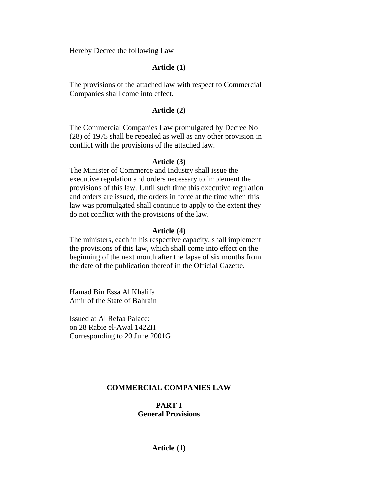Hereby Decree the following Law

## **Article (1)**

The provisions of the attached law with respect to Commercial Companies shall come into effect.

# **Article (2)**

The Commercial Companies Law promulgated by Decree No (28) of 1975 shall be repealed as well as any other provision in conflict with the provisions of the attached law.

#### **Article (3)**

The Minister of Commerce and Industry shall issue the executive regulation and orders necessary to implement the provisions of this law. Until such time this executive regulation and orders are issued, the orders in force at the time when this law was promulgated shall continue to apply to the extent they do not conflict with the provisions of the law.

#### **Article (4)**

The ministers, each in his respective capacity, shall implement the provisions of this law, which shall come into effect on the beginning of the next month after the lapse of six months from the date of the publication thereof in the Official Gazette.

Hamad Bin Essa Al Khalifa Amir of the State of Bahrain

Issued at Al Refaa Palace: on 28 Rabie el-Awal 1422H Corresponding to 20 June 2001G

# **COMMERCIAL COMPANIES LAW**

# **PART I General Provisions**

**Article (1)**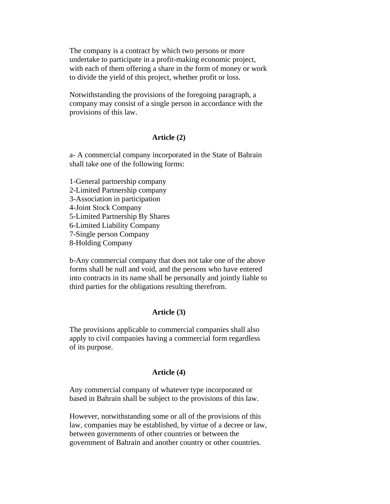The company is a contract by which two persons or more undertake to participate in a profit-making economic project, with each of them offering a share in the form of money or work to divide the yield of this project, whether profit or loss.

Notwithstanding the provisions of the foregoing paragraph, a company may consist of a single person in accordance with the provisions of this law.

## **Article (2)**

a- A commercial company incorporated in the State of Bahrain shall take one of the following forms:

1-General partnership company 2-Limited Partnership company 3-Association in participation 4-Joint Stock Company 5-Limited Partnership By Shares 6-Limited Liability Company 7-Single person Company 8-Holding Company

b-Any commercial company that does not take one of the above forms shall be null and void, and the persons who have entered into contracts in its name shall be personally and jointly liable to third parties for the obligations resulting therefrom.

# **Article (3)**

The provisions applicable to commercial companies shall also apply to civil companies having a commercial form regardless of its purpose.

# **Article (4)**

Any commercial company of whatever type incorporated or based in Bahrain shall be subject to the provisions of this law.

However, notwithstanding some or all of the provisions of this law, companies may be established, by virtue of a decree or law, between governments of other countries or between the government of Bahrain and another country or other countries.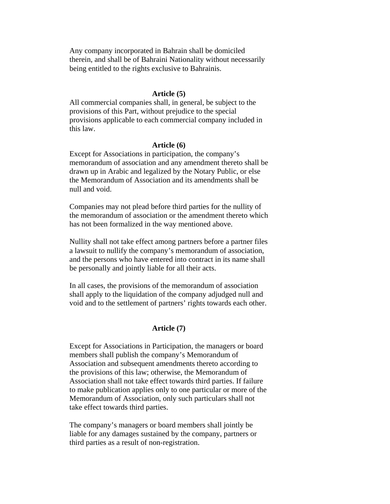Any company incorporated in Bahrain shall be domiciled therein, and shall be of Bahraini Nationality without necessarily being entitled to the rights exclusive to Bahrainis.

## **Article (5)**

All commercial companies shall, in general, be subject to the provisions of this Part, without prejudice to the special provisions applicable to each commercial company included in this law.

#### **Article (6)**

Except for Associations in participation, the company's memorandum of association and any amendment thereto shall be drawn up in Arabic and legalized by the Notary Public, or else the Memorandum of Association and its amendments shall be null and void.

Companies may not plead before third parties for the nullity of the memorandum of association or the amendment thereto which has not been formalized in the way mentioned above.

Nullity shall not take effect among partners before a partner files a lawsuit to nullify the company's memorandum of association, and the persons who have entered into contract in its name shall be personally and jointly liable for all their acts.

In all cases, the provisions of the memorandum of association shall apply to the liquidation of the company adjudged null and void and to the settlement of partners' rights towards each other.

### **Article (7)**

Except for Associations in Participation, the managers or board members shall publish the company's Memorandum of Association and subsequent amendments thereto according to the provisions of this law; otherwise, the Memorandum of Association shall not take effect towards third parties. If failure to make publication applies only to one particular or more of the Memorandum of Association, only such particulars shall not take effect towards third parties.

The company's managers or board members shall jointly be liable for any damages sustained by the company, partners or third parties as a result of non-registration.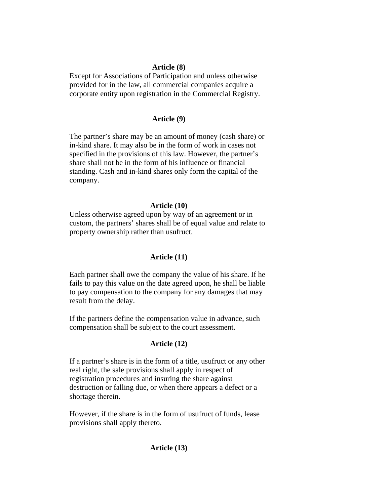## **Article (8)**

Except for Associations of Participation and unless otherwise provided for in the law, all commercial companies acquire a corporate entity upon registration in the Commercial Registry.

# **Article (9)**

The partner's share may be an amount of money (cash share) or in-kind share. It may also be in the form of work in cases not specified in the provisions of this law. However, the partner's share shall not be in the form of his influence or financial standing. Cash and in-kind shares only form the capital of the company.

## **Article (10)**

Unless otherwise agreed upon by way of an agreement or in custom, the partners' shares shall be of equal value and relate to property ownership rather than usufruct.

#### **Article (11)**

Each partner shall owe the company the value of his share. If he fails to pay this value on the date agreed upon, he shall be liable to pay compensation to the company for any damages that may result from the delay.

If the partners define the compensation value in advance, such compensation shall be subject to the court assessment.

# **Article (12)**

If a partner's share is in the form of a title, usufruct or any other real right, the sale provisions shall apply in respect of registration procedures and insuring the share against destruction or falling due, or when there appears a defect or a shortage therein.

However, if the share is in the form of usufruct of funds, lease provisions shall apply thereto.

# **Article (13)**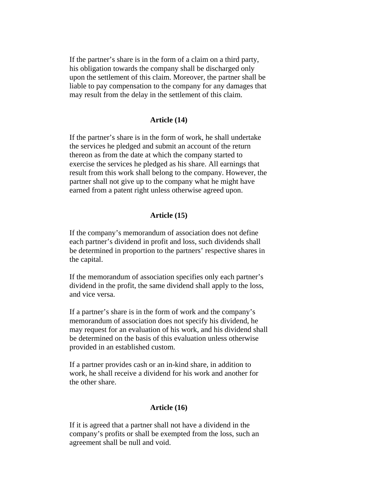If the partner's share is in the form of a claim on a third party, his obligation towards the company shall be discharged only upon the settlement of this claim. Moreover, the partner shall be liable to pay compensation to the company for any damages that may result from the delay in the settlement of this claim.

# **Article (14)**

If the partner's share is in the form of work, he shall undertake the services he pledged and submit an account of the return thereon as from the date at which the company started to exercise the services he pledged as his share. All earnings that result from this work shall belong to the company. However, the partner shall not give up to the company what he might have earned from a patent right unless otherwise agreed upon.

## **Article (15)**

If the company's memorandum of association does not define each partner's dividend in profit and loss, such dividends shall be determined in proportion to the partners' respective shares in the capital.

If the memorandum of association specifies only each partner's dividend in the profit, the same dividend shall apply to the loss, and vice versa.

If a partner's share is in the form of work and the company's memorandum of association does not specify his dividend, he may request for an evaluation of his work, and his dividend shall be determined on the basis of this evaluation unless otherwise provided in an established custom.

If a partner provides cash or an in-kind share, in addition to work, he shall receive a dividend for his work and another for the other share.

# **Article (16)**

If it is agreed that a partner shall not have a dividend in the company's profits or shall be exempted from the loss, such an agreement shall be null and void.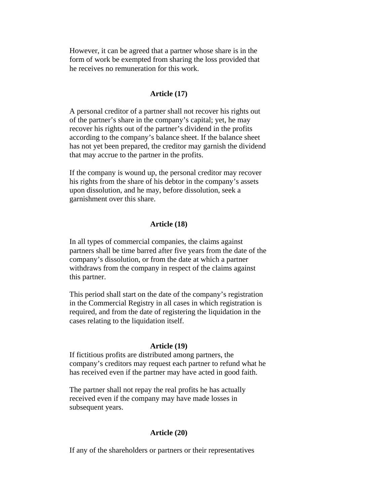However, it can be agreed that a partner whose share is in the form of work be exempted from sharing the loss provided that he receives no remuneration for this work.

# **Article (17)**

A personal creditor of a partner shall not recover his rights out of the partner's share in the company's capital; yet, he may recover his rights out of the partner's dividend in the profits according to the company's balance sheet. If the balance sheet has not yet been prepared, the creditor may garnish the dividend that may accrue to the partner in the profits.

If the company is wound up, the personal creditor may recover his rights from the share of his debtor in the company's assets upon dissolution, and he may, before dissolution, seek a garnishment over this share.

## **Article (18)**

In all types of commercial companies, the claims against partners shall be time barred after five years from the date of the company's dissolution, or from the date at which a partner withdraws from the company in respect of the claims against this partner.

This period shall start on the date of the company's registration in the Commercial Registry in all cases in which registration is required, and from the date of registering the liquidation in the cases relating to the liquidation itself.

#### **Article (19)**

If fictitious profits are distributed among partners, the company's creditors may request each partner to refund what he has received even if the partner may have acted in good faith.

The partner shall not repay the real profits he has actually received even if the company may have made losses in subsequent years.

#### **Article (20)**

If any of the shareholders or partners or their representatives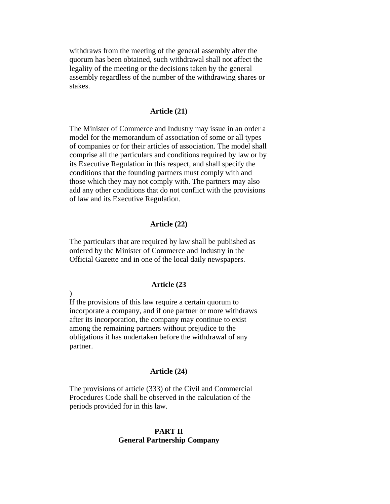withdraws from the meeting of the general assembly after the quorum has been obtained, such withdrawal shall not affect the legality of the meeting or the decisions taken by the general assembly regardless of the number of the withdrawing shares or stakes.

#### **Article (21)**

The Minister of Commerce and Industry may issue in an order a model for the memorandum of association of some or all types of companies or for their articles of association. The model shall comprise all the particulars and conditions required by law or by its Executive Regulation in this respect, and shall specify the conditions that the founding partners must comply with and those which they may not comply with. The partners may also add any other conditions that do not conflict with the provisions of law and its Executive Regulation.

## **Article (22)**

The particulars that are required by law shall be published as ordered by the Minister of Commerce and Industry in the Official Gazette and in one of the local daily newspapers.

#### **Article (23**

If the provisions of this law require a certain quorum to incorporate a company, and if one partner or more withdraws after its incorporation, the company may continue to exist among the remaining partners without prejudice to the obligations it has undertaken before the withdrawal of any partner.

 $\lambda$ 

#### **Article (24)**

The provisions of article (333) of the Civil and Commercial Procedures Code shall be observed in the calculation of the periods provided for in this law.

# **PART II General Partnership Company**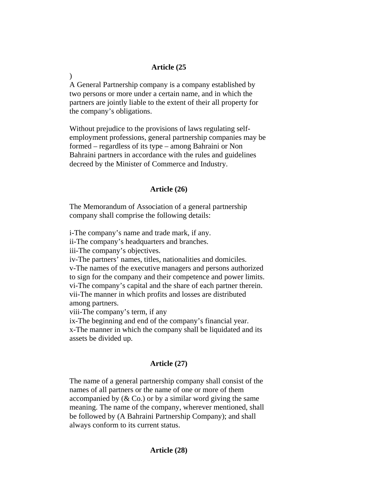## **Article (25**

A General Partnership company is a company established by two persons or more under a certain name, and in which the partners are jointly liable to the extent of their all property for the company's obligations.

Without prejudice to the provisions of laws regulating selfemployment professions, general partnership companies may be formed – regardless of its type – among Bahraini or Non Bahraini partners in accordance with the rules and guidelines decreed by the Minister of Commerce and Industry.

## **Article (26)**

The Memorandum of Association of a general partnership company shall comprise the following details:

i-The company's name and trade mark, if any.

ii-The company's headquarters and branches.

iii-The company's objectives.

iv-The partners' names, titles, nationalities and domiciles. v-The names of the executive managers and persons authorized to sign for the company and their competence and power limits. vi-The company's capital and the share of each partner therein. vii-The manner in which profits and losses are distributed among partners.

viii-The company's term, if any

ix-The beginning and end of the company's financial year. x-The manner in which the company shall be liquidated and its assets be divided up.

# **Article (27)**

The name of a general partnership company shall consist of the names of all partners or the name of one or more of them accompanied by  $(\&$  Co.) or by a similar word giving the same meaning. The name of the company, wherever mentioned, shall be followed by (A Bahraini Partnership Company); and shall always conform to its current status.

 $\lambda$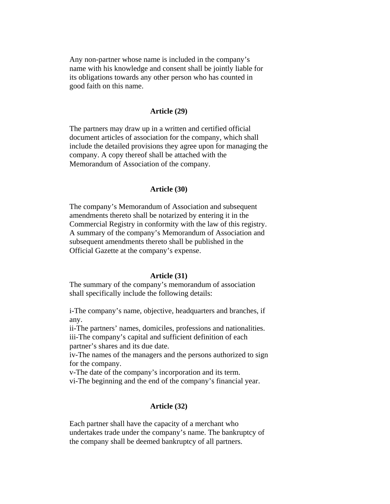Any non-partner whose name is included in the company's name with his knowledge and consent shall be jointly liable for its obligations towards any other person who has counted in good faith on this name.

#### **Article (29)**

The partners may draw up in a written and certified official document articles of association for the company, which shall include the detailed provisions they agree upon for managing the company. A copy thereof shall be attached with the Memorandum of Association of the company.

## **Article (30)**

The company's Memorandum of Association and subsequent amendments thereto shall be notarized by entering it in the Commercial Registry in conformity with the law of this registry. A summary of the company's Memorandum of Association and subsequent amendments thereto shall be published in the Official Gazette at the company's expense.

#### **Article (31)**

The summary of the company's memorandum of association shall specifically include the following details:

i-The company's name, objective, headquarters and branches, if any.

ii-The partners' names, domiciles, professions and nationalities. iii-The company's capital and sufficient definition of each partner's shares and its due date.

iv-The names of the managers and the persons authorized to sign for the company.

v-The date of the company's incorporation and its term.

vi-The beginning and the end of the company's financial year.

# **Article (32)**

Each partner shall have the capacity of a merchant who undertakes trade under the company's name. The bankruptcy of the company shall be deemed bankruptcy of all partners.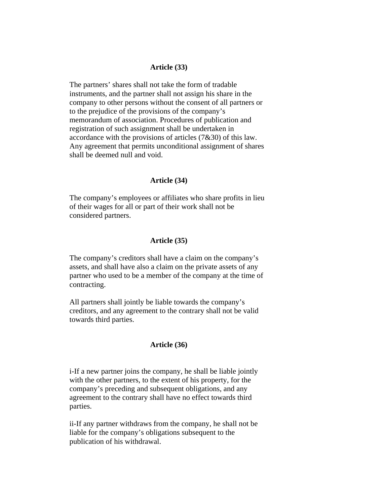## **Article (33)**

The partners' shares shall not take the form of tradable instruments, and the partner shall not assign his share in the company to other persons without the consent of all partners or to the prejudice of the provisions of the company's memorandum of association. Procedures of publication and registration of such assignment shall be undertaken in accordance with the provisions of articles (7&30) of this law. Any agreement that permits unconditional assignment of shares shall be deemed null and void.

#### **Article (34)**

The company's employees or affiliates who share profits in lieu of their wages for all or part of their work shall not be considered partners.

# **Article (35)**

The company's creditors shall have a claim on the company's assets, and shall have also a claim on the private assets of any partner who used to be a member of the company at the time of contracting.

All partners shall jointly be liable towards the company's creditors, and any agreement to the contrary shall not be valid towards third parties.

### **Article (36)**

i-If a new partner joins the company, he shall be liable jointly with the other partners, to the extent of his property, for the company's preceding and subsequent obligations, and any agreement to the contrary shall have no effect towards third parties.

ii-If any partner withdraws from the company, he shall not be liable for the company's obligations subsequent to the publication of his withdrawal.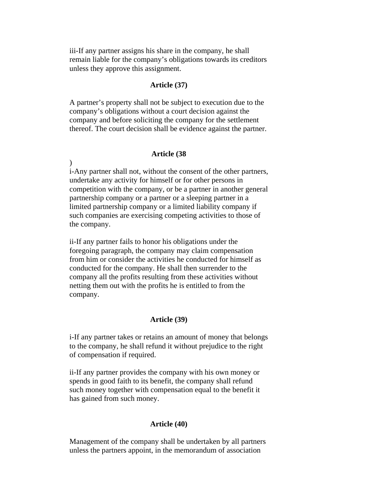iii-If any partner assigns his share in the company, he shall remain liable for the company's obligations towards its creditors unless they approve this assignment.

# **Article (37)**

A partner's property shall not be subject to execution due to the company's obligations without a court decision against the company and before soliciting the company for the settlement thereof. The court decision shall be evidence against the partner.

## **Article (38**

)

i-Any partner shall not, without the consent of the other partners, undertake any activity for himself or for other persons in competition with the company, or be a partner in another general partnership company or a partner or a sleeping partner in a limited partnership company or a limited liability company if such companies are exercising competing activities to those of the company.

ii-If any partner fails to honor his obligations under the foregoing paragraph, the company may claim compensation from him or consider the activities he conducted for himself as conducted for the company. He shall then surrender to the company all the profits resulting from these activities without netting them out with the profits he is entitled to from the company.

#### **Article (39)**

i-If any partner takes or retains an amount of money that belongs to the company, he shall refund it without prejudice to the right of compensation if required.

ii-If any partner provides the company with his own money or spends in good faith to its benefit, the company shall refund such money together with compensation equal to the benefit it has gained from such money.

### **Article (40)**

Management of the company shall be undertaken by all partners unless the partners appoint, in the memorandum of association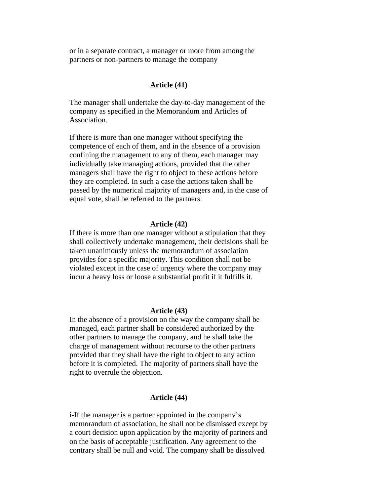or in a separate contract, a manager or more from among the partners or non-partners to manage the company

# **Article (41)**

The manager shall undertake the day-to-day management of the company as specified in the Memorandum and Articles of Association.

If there is more than one manager without specifying the competence of each of them, and in the absence of a provision confining the management to any of them, each manager may individually take managing actions, provided that the other managers shall have the right to object to these actions before they are completed. In such a case the actions taken shall be passed by the numerical majority of managers and, in the case of equal vote, shall be referred to the partners.

#### **Article (42)**

If there is more than one manager without a stipulation that they shall collectively undertake management, their decisions shall be taken unanimously unless the memorandum of association provides for a specific majority. This condition shall not be violated except in the case of urgency where the company may incur a heavy loss or loose a substantial profit if it fulfills it.

#### **Article (43)**

In the absence of a provision on the way the company shall be managed, each partner shall be considered authorized by the other partners to manage the company, and he shall take the charge of management without recourse to the other partners provided that they shall have the right to object to any action before it is completed. The majority of partners shall have the right to overrule the objection.

#### **Article (44)**

i-If the manager is a partner appointed in the company's memorandum of association, he shall not be dismissed except by a court decision upon application by the majority of partners and on the basis of acceptable justification. Any agreement to the contrary shall be null and void. The company shall be dissolved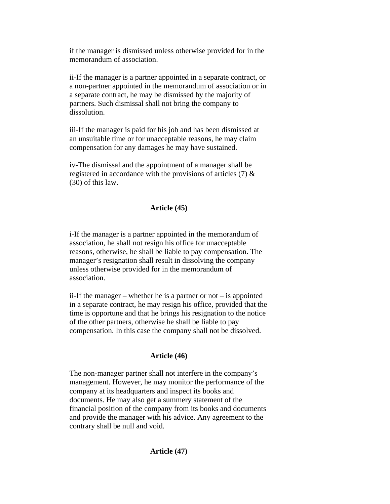if the manager is dismissed unless otherwise provided for in the memorandum of association.

ii-If the manager is a partner appointed in a separate contract, or a non-partner appointed in the memorandum of association or in a separate contract, he may be dismissed by the majority of partners. Such dismissal shall not bring the company to dissolution.

iii-If the manager is paid for his job and has been dismissed at an unsuitable time or for unacceptable reasons, he may claim compensation for any damages he may have sustained.

iv-The dismissal and the appointment of a manager shall be registered in accordance with the provisions of articles (7) & (30) of this law.

## **Article (45)**

i-If the manager is a partner appointed in the memorandum of association, he shall not resign his office for unacceptable reasons, otherwise, he shall be liable to pay compensation. The manager's resignation shall result in dissolving the company unless otherwise provided for in the memorandum of association.

ii-If the manager – whether he is a partner or not – is appointed in a separate contract, he may resign his office, provided that the time is opportune and that he brings his resignation to the notice of the other partners, otherwise he shall be liable to pay compensation. In this case the company shall not be dissolved.

#### **Article (46)**

The non-manager partner shall not interfere in the company's management. However, he may monitor the performance of the company at its headquarters and inspect its books and documents. He may also get a summery statement of the financial position of the company from its books and documents and provide the manager with his advice. Any agreement to the contrary shall be null and void.

# **Article (47)**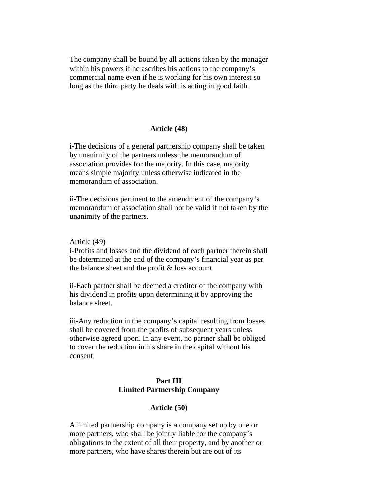The company shall be bound by all actions taken by the manager within his powers if he ascribes his actions to the company's commercial name even if he is working for his own interest so long as the third party he deals with is acting in good faith.

#### **Article (48)**

i-The decisions of a general partnership company shall be taken by unanimity of the partners unless the memorandum of association provides for the majority. In this case, majority means simple majority unless otherwise indicated in the memorandum of association.

ii-The decisions pertinent to the amendment of the company's memorandum of association shall not be valid if not taken by the unanimity of the partners.

## Article (49)

i-Profits and losses and the dividend of each partner therein shall be determined at the end of the company's financial year as per the balance sheet and the profit & loss account.

ii-Each partner shall be deemed a creditor of the company with his dividend in profits upon determining it by approving the balance sheet.

iii-Any reduction in the company's capital resulting from losses shall be covered from the profits of subsequent years unless otherwise agreed upon. In any event, no partner shall be obliged to cover the reduction in his share in the capital without his consent.

# **Part III Limited Partnership Company**

# **Article (50)**

A limited partnership company is a company set up by one or more partners, who shall be jointly liable for the company's obligations to the extent of all their property, and by another or more partners, who have shares therein but are out of its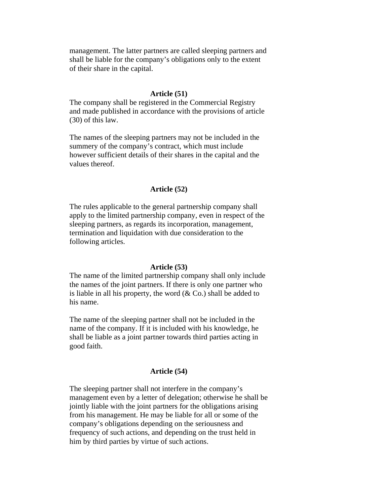management. The latter partners are called sleeping partners and shall be liable for the company's obligations only to the extent of their share in the capital.

#### **Article (51)**

The company shall be registered in the Commercial Registry and made published in accordance with the provisions of article (30) of this law.

The names of the sleeping partners may not be included in the summery of the company's contract, which must include however sufficient details of their shares in the capital and the values thereof.

## **Article (52)**

The rules applicable to the general partnership company shall apply to the limited partnership company, even in respect of the sleeping partners, as regards its incorporation, management, termination and liquidation with due consideration to the following articles.

#### **Article (53)**

The name of the limited partnership company shall only include the names of the joint partners. If there is only one partner who is liable in all his property, the word  $(\& \text{Co.})$  shall be added to his name.

The name of the sleeping partner shall not be included in the name of the company. If it is included with his knowledge, he shall be liable as a joint partner towards third parties acting in good faith.

#### **Article (54)**

The sleeping partner shall not interfere in the company's management even by a letter of delegation; otherwise he shall be jointly liable with the joint partners for the obligations arising from his management. He may be liable for all or some of the company's obligations depending on the seriousness and frequency of such actions, and depending on the trust held in him by third parties by virtue of such actions.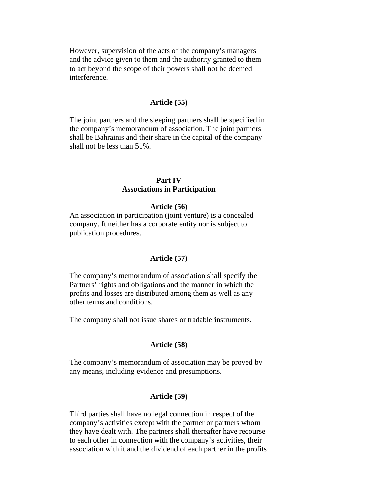However, supervision of the acts of the company's managers and the advice given to them and the authority granted to them to act beyond the scope of their powers shall not be deemed interference.

# **Article (55)**

The joint partners and the sleeping partners shall be specified in the company's memorandum of association. The joint partners shall be Bahrainis and their share in the capital of the company shall not be less than 51%.

# **Part IV Associations in Participation**

### **Article (56)**

An association in participation (joint venture) is a concealed company. It neither has a corporate entity nor is subject to publication procedures.

### **Article (57)**

The company's memorandum of association shall specify the Partners' rights and obligations and the manner in which the profits and losses are distributed among them as well as any other terms and conditions.

The company shall not issue shares or tradable instruments.

### **Article (58)**

The company's memorandum of association may be proved by any means, including evidence and presumptions.

## **Article (59)**

Third parties shall have no legal connection in respect of the company's activities except with the partner or partners whom they have dealt with. The partners shall thereafter have recourse to each other in connection with the company's activities, their association with it and the dividend of each partner in the profits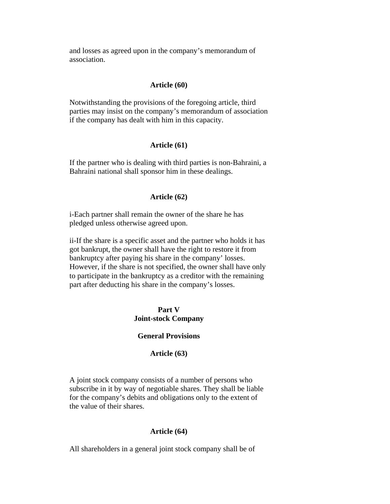and losses as agreed upon in the company's memorandum of association.

# **Article (60)**

Notwithstanding the provisions of the foregoing article, third parties may insist on the company's memorandum of association if the company has dealt with him in this capacity.

## **Article (61)**

If the partner who is dealing with third parties is non-Bahraini, a Bahraini national shall sponsor him in these dealings.

# **Article (62)**

i-Each partner shall remain the owner of the share he has pledged unless otherwise agreed upon.

ii-If the share is a specific asset and the partner who holds it has got bankrupt, the owner shall have the right to restore it from bankruptcy after paying his share in the company' losses. However, if the share is not specified, the owner shall have only to participate in the bankruptcy as a creditor with the remaining part after deducting his share in the company's losses.

# **Part V Joint-stock Company**

# **General Provisions**

# **Article (63)**

A joint stock company consists of a number of persons who subscribe in it by way of negotiable shares. They shall be liable for the company's debits and obligations only to the extent of the value of their shares.

### **Article (64)**

All shareholders in a general joint stock company shall be of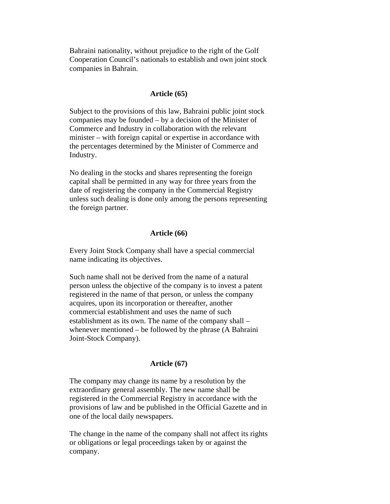Bahraini nationality, without prejudice to the right of the Golf Cooperation Council's nationals to establish and own joint stock companies in Bahrain.

## **Article (65)**

Subject to the provisions of this law, Bahraini public joint stock companies may be founded – by a decision of the Minister of Commerce and Industry in collaboration with the relevant minister – with foreign capital or expertise in accordance with the percentages determined by the Minister of Commerce and Industry.

No dealing in the stocks and shares representing the foreign capital shall be permitted in any way for three years from the date of registering the company in the Commercial Registry unless such dealing is done only among the persons representing the foreign partner.

#### **Article (66)**

Every Joint Stock Company shall have a special commercial name indicating its objectives.

Such name shall not be derived from the name of a natural person unless the objective of the company is to invest a patent registered in the name of that person, or unless the company acquires, upon its incorporation or thereafter, another commercial establishment and uses the name of such establishment as its own. The name of the company shall – whenever mentioned – be followed by the phrase (A Bahraini Joint-Stock Company).

## **Article (67)**

The company may change its name by a resolution by the extraordinary general assembly. The new name shall be registered in the Commercial Registry in accordance with the provisions of law and be published in the Official Gazette and in one of the local daily newspapers.

The change in the name of the company shall not affect its rights or obligations or legal proceedings taken by or against the company.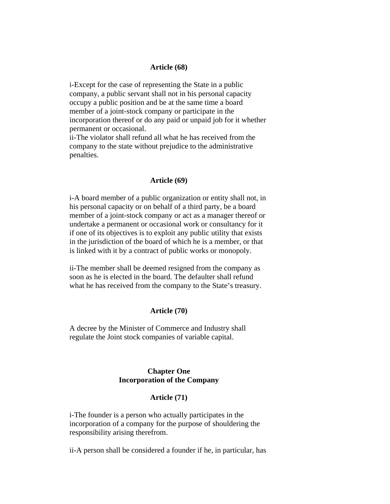#### **Article (68)**

i-Except for the case of representing the State in a public company, a public servant shall not in his personal capacity occupy a public position and be at the same time a board member of a joint-stock company or participate in the incorporation thereof or do any paid or unpaid job for it whether permanent or occasional.

ii-The violator shall refund all what he has received from the company to the state without prejudice to the administrative penalties.

## **Article (69)**

i-A board member of a public organization or entity shall not, in his personal capacity or on behalf of a third party, be a board member of a joint-stock company or act as a manager thereof or undertake a permanent or occasional work or consultancy for it if one of its objectives is to exploit any public utility that exists in the jurisdiction of the board of which he is a member, or that is linked with it by a contract of public works or monopoly.

ii-The member shall be deemed resigned from the company as soon as he is elected in the board. The defaulter shall refund what he has received from the company to the State's treasury.

#### **Article (70)**

A decree by the Minister of Commerce and Industry shall regulate the Joint stock companies of variable capital.

# **Chapter One Incorporation of the Company**

#### **Article (71)**

i-The founder is a person who actually participates in the incorporation of a company for the purpose of shouldering the responsibility arising therefrom.

ii-A person shall be considered a founder if he, in particular, has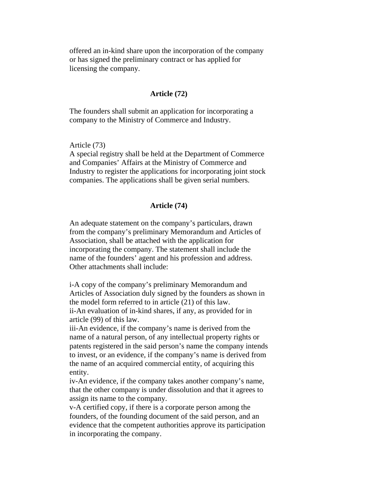offered an in-kind share upon the incorporation of the company or has signed the preliminary contract or has applied for licensing the company.

## **Article (72)**

The founders shall submit an application for incorporating a company to the Ministry of Commerce and Industry.

Article (73)

A special registry shall be held at the Department of Commerce and Companies' Affairs at the Ministry of Commerce and Industry to register the applications for incorporating joint stock companies. The applications shall be given serial numbers.

## **Article (74)**

An adequate statement on the company's particulars, drawn from the company's preliminary Memorandum and Articles of Association, shall be attached with the application for incorporating the company. The statement shall include the name of the founders' agent and his profession and address. Other attachments shall include:

i-A copy of the company's preliminary Memorandum and Articles of Association duly signed by the founders as shown in the model form referred to in article (21) of this law. ii-An evaluation of in-kind shares, if any, as provided for in article (99) of this law.

iii-An evidence, if the company's name is derived from the name of a natural person, of any intellectual property rights or patents registered in the said person's name the company intends to invest, or an evidence, if the company's name is derived from the name of an acquired commercial entity, of acquiring this entity.

iv-An evidence, if the company takes another company's name, that the other company is under dissolution and that it agrees to assign its name to the company.

v-A certified copy, if there is a corporate person among the founders, of the founding document of the said person, and an evidence that the competent authorities approve its participation in incorporating the company.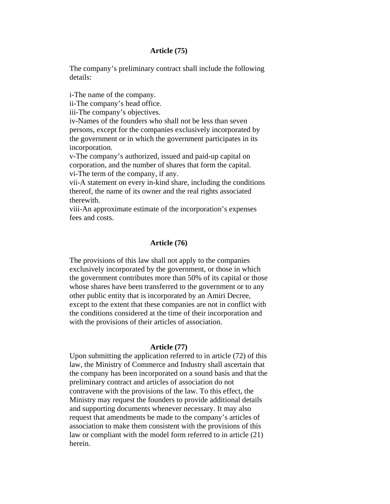### **Article (75)**

The company's preliminary contract shall include the following details:

i-The name of the company.

ii-The company's head office.

iii-The company's objectives.

iv-Names of the founders who shall not be less than seven persons, except for the companies exclusively incorporated by the government or in which the government participates in its incorporation.

v-The company's authorized, issued and paid-up capital on corporation, and the number of shares that form the capital. vi-The term of the company, if any.

vii-A statement on every in-kind share, including the conditions thereof, the name of its owner and the real rights associated therewith.

viii-An approximate estimate of the incorporation's expenses fees and costs.

# **Article (76)**

The provisions of this law shall not apply to the companies exclusively incorporated by the government, or those in which the government contributes more than 50% of its capital or those whose shares have been transferred to the government or to any other public entity that is incorporated by an Amiri Decree, except to the extent that these companies are not in conflict with the conditions considered at the time of their incorporation and with the provisions of their articles of association.

## **Article (77)**

Upon submitting the application referred to in article (72) of this law, the Ministry of Commerce and Industry shall ascertain that the company has been incorporated on a sound basis and that the preliminary contract and articles of association do not contravene with the provisions of the law. To this effect, the Ministry may request the founders to provide additional details and supporting documents whenever necessary. It may also request that amendments be made to the company's articles of association to make them consistent with the provisions of this law or compliant with the model form referred to in article (21) herein.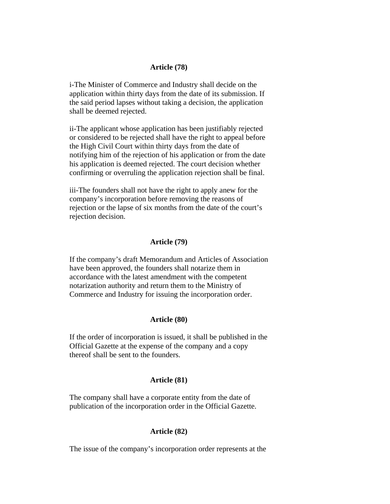#### **Article (78)**

i-The Minister of Commerce and Industry shall decide on the application within thirty days from the date of its submission. If the said period lapses without taking a decision, the application shall be deemed rejected.

ii-The applicant whose application has been justifiably rejected or considered to be rejected shall have the right to appeal before the High Civil Court within thirty days from the date of notifying him of the rejection of his application or from the date his application is deemed rejected. The court decision whether confirming or overruling the application rejection shall be final.

iii-The founders shall not have the right to apply anew for the company's incorporation before removing the reasons of rejection or the lapse of six months from the date of the court's rejection decision.

### **Article (79)**

If the company's draft Memorandum and Articles of Association have been approved, the founders shall notarize them in accordance with the latest amendment with the competent notarization authority and return them to the Ministry of Commerce and Industry for issuing the incorporation order.

#### **Article (80)**

If the order of incorporation is issued, it shall be published in the Official Gazette at the expense of the company and a copy thereof shall be sent to the founders.

#### **Article (81)**

The company shall have a corporate entity from the date of publication of the incorporation order in the Official Gazette.

### **Article (82)**

The issue of the company's incorporation order represents at the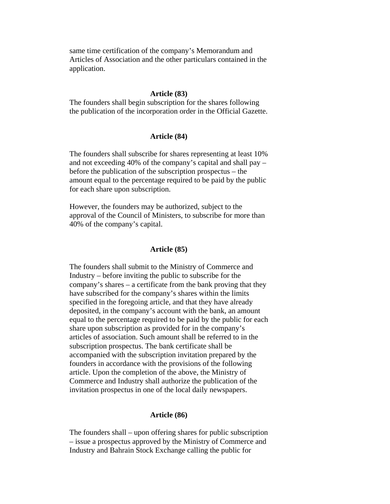same time certification of the company's Memorandum and Articles of Association and the other particulars contained in the application.

#### **Article (83)**

The founders shall begin subscription for the shares following the publication of the incorporation order in the Official Gazette.

## **Article (84)**

The founders shall subscribe for shares representing at least 10% and not exceeding 40% of the company's capital and shall pay – before the publication of the subscription prospectus – the amount equal to the percentage required to be paid by the public for each share upon subscription.

However, the founders may be authorized, subject to the approval of the Council of Ministers, to subscribe for more than 40% of the company's capital.

### **Article (85)**

The founders shall submit to the Ministry of Commerce and Industry – before inviting the public to subscribe for the company's shares – a certificate from the bank proving that they have subscribed for the company's shares within the limits specified in the foregoing article, and that they have already deposited, in the company's account with the bank, an amount equal to the percentage required to be paid by the public for each share upon subscription as provided for in the company's articles of association. Such amount shall be referred to in the subscription prospectus. The bank certificate shall be accompanied with the subscription invitation prepared by the founders in accordance with the provisions of the following article. Upon the completion of the above, the Ministry of Commerce and Industry shall authorize the publication of the invitation prospectus in one of the local daily newspapers.

#### **Article (86)**

The founders shall – upon offering shares for public subscription – issue a prospectus approved by the Ministry of Commerce and Industry and Bahrain Stock Exchange calling the public for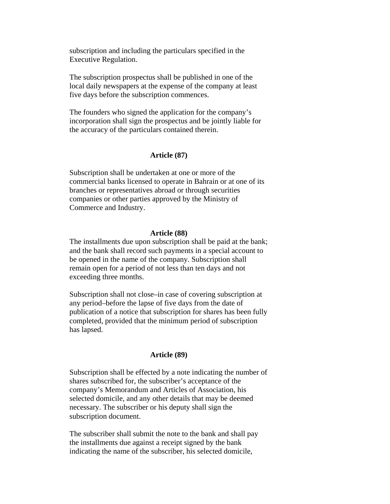subscription and including the particulars specified in the Executive Regulation.

The subscription prospectus shall be published in one of the local daily newspapers at the expense of the company at least five days before the subscription commences.

The founders who signed the application for the company's incorporation shall sign the prospectus and be jointly liable for the accuracy of the particulars contained therein.

# **Article (87)**

Subscription shall be undertaken at one or more of the commercial banks licensed to operate in Bahrain or at one of its branches or representatives abroad or through securities companies or other parties approved by the Ministry of Commerce and Industry.

#### **Article (88)**

The installments due upon subscription shall be paid at the bank; and the bank shall record such payments in a special account to be opened in the name of the company. Subscription shall remain open for a period of not less than ten days and not exceeding three months.

Subscription shall not close–in case of covering subscription at any period–before the lapse of five days from the date of publication of a notice that subscription for shares has been fully completed, provided that the minimum period of subscription has lapsed.

## **Article (89)**

Subscription shall be effected by a note indicating the number of shares subscribed for, the subscriber's acceptance of the company's Memorandum and Articles of Association, his selected domicile, and any other details that may be deemed necessary. The subscriber or his deputy shall sign the subscription document.

The subscriber shall submit the note to the bank and shall pay the installments due against a receipt signed by the bank indicating the name of the subscriber, his selected domicile,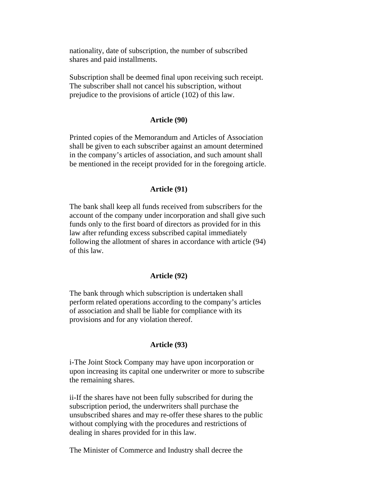nationality, date of subscription, the number of subscribed shares and paid installments.

Subscription shall be deemed final upon receiving such receipt. The subscriber shall not cancel his subscription, without prejudice to the provisions of article (102) of this law.

## **Article (90)**

Printed copies of the Memorandum and Articles of Association shall be given to each subscriber against an amount determined in the company's articles of association, and such amount shall be mentioned in the receipt provided for in the foregoing article.

#### **Article (91)**

The bank shall keep all funds received from subscribers for the account of the company under incorporation and shall give such funds only to the first board of directors as provided for in this law after refunding excess subscribed capital immediately following the allotment of shares in accordance with article (94) of this law.

#### **Article (92)**

The bank through which subscription is undertaken shall perform related operations according to the company's articles of association and shall be liable for compliance with its provisions and for any violation thereof.

### **Article (93)**

i-The Joint Stock Company may have upon incorporation or upon increasing its capital one underwriter or more to subscribe the remaining shares.

ii-If the shares have not been fully subscribed for during the subscription period, the underwriters shall purchase the unsubscribed shares and may re-offer these shares to the public without complying with the procedures and restrictions of dealing in shares provided for in this law.

The Minister of Commerce and Industry shall decree the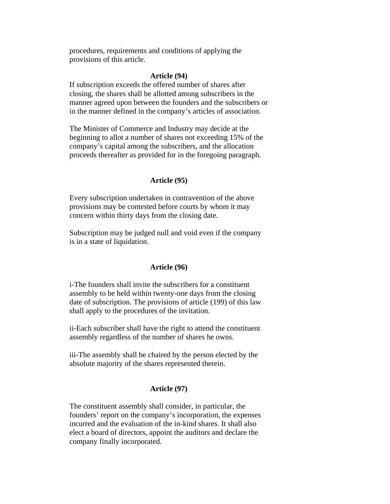procedures, requirements and conditions of applying the provisions of this article.

#### **Article (94)**

If subscription exceeds the offered number of shares after closing, the shares shall be allotted among subscribers in the manner agreed upon between the founders and the subscribers or in the manner defined in the company's articles of association.

The Minister of Commerce and Industry may decide at the beginning to allot a number of shares not exceeding 15% of the company's capital among the subscribers, and the allocation proceeds thereafter as provided for in the foregoing paragraph.

#### **Article (95)**

Every subscription undertaken in contravention of the above provisions may be contested before courts by whom it may concern within thirty days from the closing date.

Subscription may be judged null and void even if the company is in a state of liquidation.

## **Article (96)**

i-The founders shall invite the subscribers for a constituent assembly to be held within twenty-one days from the closing date of subscription. The provisions of article (199) of this law shall apply to the procedures of the invitation.

ii-Each subscriber shall have the right to attend the constituent assembly regardless of the number of shares he owns.

iii-The assembly shall be chaired by the person elected by the absolute majority of the shares represented therein.

# **Article (97)**

The constituent assembly shall consider, in particular, the founders' report on the company's incorporation, the expenses incurred and the evaluation of the in-kind shares. It shall also elect a board of directors, appoint the auditors and declare the company finally incorporated.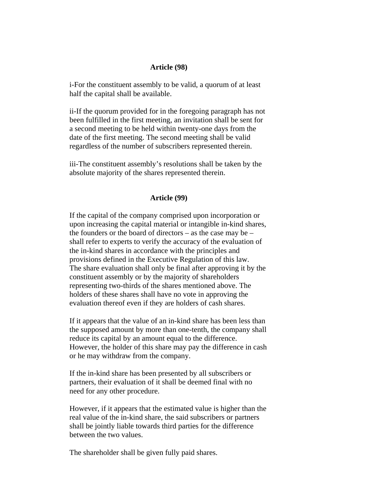#### **Article (98)**

i-For the constituent assembly to be valid, a quorum of at least half the capital shall be available.

ii-If the quorum provided for in the foregoing paragraph has not been fulfilled in the first meeting, an invitation shall be sent for a second meeting to be held within twenty-one days from the date of the first meeting. The second meeting shall be valid regardless of the number of subscribers represented therein.

iii-The constituent assembly's resolutions shall be taken by the absolute majority of the shares represented therein.

# **Article (99)**

If the capital of the company comprised upon incorporation or upon increasing the capital material or intangible in-kind shares, the founders or the board of directors – as the case may be – shall refer to experts to verify the accuracy of the evaluation of the in-kind shares in accordance with the principles and provisions defined in the Executive Regulation of this law. The share evaluation shall only be final after approving it by the constituent assembly or by the majority of shareholders representing two-thirds of the shares mentioned above. The holders of these shares shall have no vote in approving the evaluation thereof even if they are holders of cash shares.

If it appears that the value of an in-kind share has been less than the supposed amount by more than one-tenth, the company shall reduce its capital by an amount equal to the difference. However, the holder of this share may pay the difference in cash or he may withdraw from the company.

If the in-kind share has been presented by all subscribers or partners, their evaluation of it shall be deemed final with no need for any other procedure.

However, if it appears that the estimated value is higher than the real value of the in-kind share, the said subscribers or partners shall be jointly liable towards third parties for the difference between the two values.

The shareholder shall be given fully paid shares.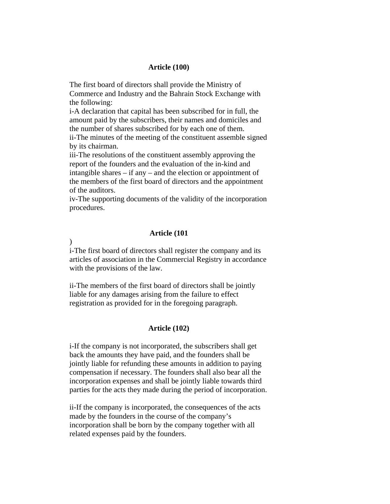#### **Article (100)**

The first board of directors shall provide the Ministry of Commerce and Industry and the Bahrain Stock Exchange with the following:

i-A declaration that capital has been subscribed for in full, the amount paid by the subscribers, their names and domiciles and the number of shares subscribed for by each one of them. ii-The minutes of the meeting of the constituent assemble signed by its chairman.

iii-The resolutions of the constituent assembly approving the report of the founders and the evaluation of the in-kind and intangible shares – if any – and the election or appointment of the members of the first board of directors and the appointment of the auditors.

iv-The supporting documents of the validity of the incorporation procedures.

#### **Article (101**

)

i-The first board of directors shall register the company and its articles of association in the Commercial Registry in accordance with the provisions of the law.

ii-The members of the first board of directors shall be jointly liable for any damages arising from the failure to effect registration as provided for in the foregoing paragraph.

#### **Article (102)**

i-If the company is not incorporated, the subscribers shall get back the amounts they have paid, and the founders shall be jointly liable for refunding these amounts in addition to paying compensation if necessary. The founders shall also bear all the incorporation expenses and shall be jointly liable towards third parties for the acts they made during the period of incorporation.

ii-If the company is incorporated, the consequences of the acts made by the founders in the course of the company's incorporation shall be born by the company together with all related expenses paid by the founders.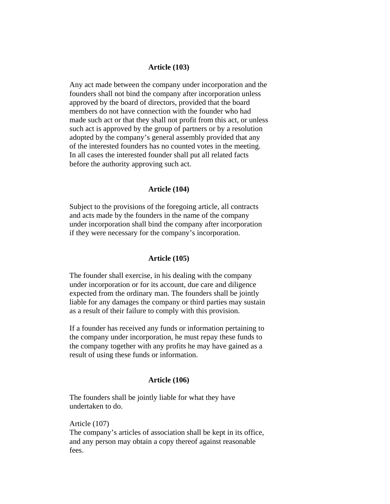# **Article (103)**

Any act made between the company under incorporation and the founders shall not bind the company after incorporation unless approved by the board of directors, provided that the board members do not have connection with the founder who had made such act or that they shall not profit from this act, or unless such act is approved by the group of partners or by a resolution adopted by the company's general assembly provided that any of the interested founders has no counted votes in the meeting. In all cases the interested founder shall put all related facts before the authority approving such act.

# **Article (104)**

Subject to the provisions of the foregoing article, all contracts and acts made by the founders in the name of the company under incorporation shall bind the company after incorporation if they were necessary for the company's incorporation.

#### **Article (105)**

The founder shall exercise, in his dealing with the company under incorporation or for its account, due care and diligence expected from the ordinary man. The founders shall be jointly liable for any damages the company or third parties may sustain as a result of their failure to comply with this provision.

If a founder has received any funds or information pertaining to the company under incorporation, he must repay these funds to the company together with any profits he may have gained as a result of using these funds or information.

#### **Article (106)**

The founders shall be jointly liable for what they have undertaken to do.

Article (107) The company's articles of association shall be kept in its office, and any person may obtain a copy thereof against reasonable fees.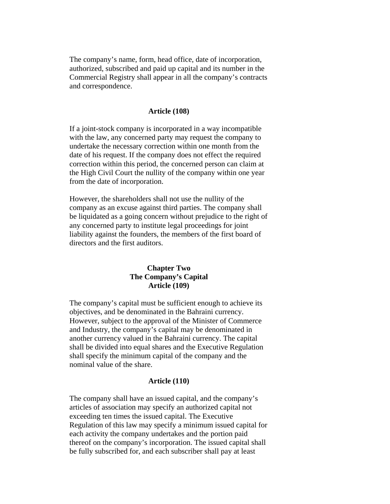The company's name, form, head office, date of incorporation, authorized, subscribed and paid up capital and its number in the Commercial Registry shall appear in all the company's contracts and correspondence.

#### **Article (108)**

If a joint-stock company is incorporated in a way incompatible with the law, any concerned party may request the company to undertake the necessary correction within one month from the date of his request. If the company does not effect the required correction within this period, the concerned person can claim at the High Civil Court the nullity of the company within one year from the date of incorporation.

However, the shareholders shall not use the nullity of the company as an excuse against third parties. The company shall be liquidated as a going concern without prejudice to the right of any concerned party to institute legal proceedings for joint liability against the founders, the members of the first board of directors and the first auditors.

# **Chapter Two The Company's Capital Article (109)**

The company's capital must be sufficient enough to achieve its objectives, and be denominated in the Bahraini currency. However, subject to the approval of the Minister of Commerce and Industry, the company's capital may be denominated in another currency valued in the Bahraini currency. The capital shall be divided into equal shares and the Executive Regulation shall specify the minimum capital of the company and the nominal value of the share.

#### **Article (110)**

The company shall have an issued capital, and the company's articles of association may specify an authorized capital not exceeding ten times the issued capital. The Executive Regulation of this law may specify a minimum issued capital for each activity the company undertakes and the portion paid thereof on the company's incorporation. The issued capital shall be fully subscribed for, and each subscriber shall pay at least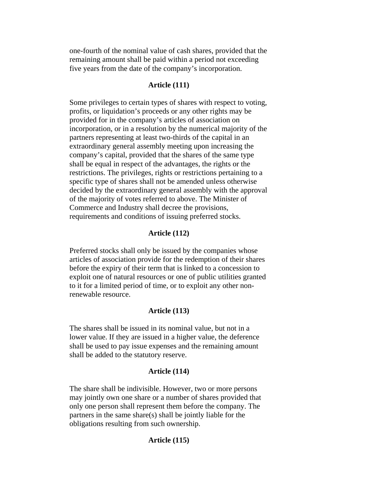one-fourth of the nominal value of cash shares, provided that the remaining amount shall be paid within a period not exceeding five years from the date of the company's incorporation.

# **Article (111)**

Some privileges to certain types of shares with respect to voting, profits, or liquidation's proceeds or any other rights may be provided for in the company's articles of association on incorporation, or in a resolution by the numerical majority of the partners representing at least two-thirds of the capital in an extraordinary general assembly meeting upon increasing the company's capital, provided that the shares of the same type shall be equal in respect of the advantages, the rights or the restrictions. The privileges, rights or restrictions pertaining to a specific type of shares shall not be amended unless otherwise decided by the extraordinary general assembly with the approval of the majority of votes referred to above. The Minister of Commerce and Industry shall decree the provisions, requirements and conditions of issuing preferred stocks.

#### **Article (112)**

Preferred stocks shall only be issued by the companies whose articles of association provide for the redemption of their shares before the expiry of their term that is linked to a concession to exploit one of natural resources or one of public utilities granted to it for a limited period of time, or to exploit any other nonrenewable resource.

# **Article (113)**

The shares shall be issued in its nominal value, but not in a lower value. If they are issued in a higher value, the deference shall be used to pay issue expenses and the remaining amount shall be added to the statutory reserve.

## **Article (114)**

The share shall be indivisible. However, two or more persons may jointly own one share or a number of shares provided that only one person shall represent them before the company. The partners in the same share(s) shall be jointly liable for the obligations resulting from such ownership.

# **Article (115)**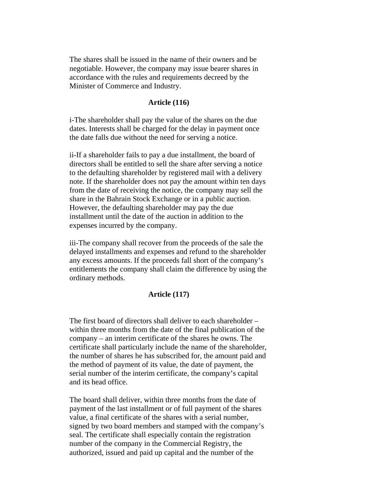The shares shall be issued in the name of their owners and be negotiable. However, the company may issue bearer shares in accordance with the rules and requirements decreed by the Minister of Commerce and Industry.

## **Article (116)**

i-The shareholder shall pay the value of the shares on the due dates. Interests shall be charged for the delay in payment once the date falls due without the need for serving a notice.

ii-If a shareholder fails to pay a due installment, the board of directors shall be entitled to sell the share after serving a notice to the defaulting shareholder by registered mail with a delivery note. If the shareholder does not pay the amount within ten days from the date of receiving the notice, the company may sell the share in the Bahrain Stock Exchange or in a public auction. However, the defaulting shareholder may pay the due installment until the date of the auction in addition to the expenses incurred by the company.

iii-The company shall recover from the proceeds of the sale the delayed installments and expenses and refund to the shareholder any excess amounts. If the proceeds fall short of the company's entitlements the company shall claim the difference by using the ordinary methods.

# **Article (117)**

The first board of directors shall deliver to each shareholder – within three months from the date of the final publication of the company – an interim certificate of the shares he owns. The certificate shall particularly include the name of the shareholder, the number of shares he has subscribed for, the amount paid and the method of payment of its value, the date of payment, the serial number of the interim certificate, the company's capital and its head office.

The board shall deliver, within three months from the date of payment of the last installment or of full payment of the shares value, a final certificate of the shares with a serial number, signed by two board members and stamped with the company's seal. The certificate shall especially contain the registration number of the company in the Commercial Registry, the authorized, issued and paid up capital and the number of the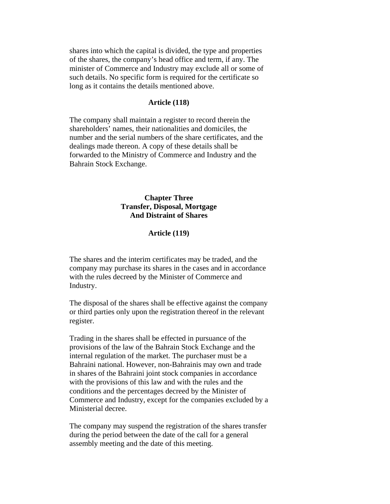shares into which the capital is divided, the type and properties of the shares, the company's head office and term, if any. The minister of Commerce and Industry may exclude all or some of such details. No specific form is required for the certificate so long as it contains the details mentioned above.

#### **Article (118)**

The company shall maintain a register to record therein the shareholders' names, their nationalities and domiciles, the number and the serial numbers of the share certificates, and the dealings made thereon. A copy of these details shall be forwarded to the Ministry of Commerce and Industry and the Bahrain Stock Exchange.

# **Chapter Three Transfer, Disposal, Mortgage And Distraint of Shares**

#### **Article (119)**

The shares and the interim certificates may be traded, and the company may purchase its shares in the cases and in accordance with the rules decreed by the Minister of Commerce and Industry.

The disposal of the shares shall be effective against the company or third parties only upon the registration thereof in the relevant register.

Trading in the shares shall be effected in pursuance of the provisions of the law of the Bahrain Stock Exchange and the internal regulation of the market. The purchaser must be a Bahraini national. However, non-Bahrainis may own and trade in shares of the Bahraini joint stock companies in accordance with the provisions of this law and with the rules and the conditions and the percentages decreed by the Minister of Commerce and Industry, except for the companies excluded by a Ministerial decree.

The company may suspend the registration of the shares transfer during the period between the date of the call for a general assembly meeting and the date of this meeting.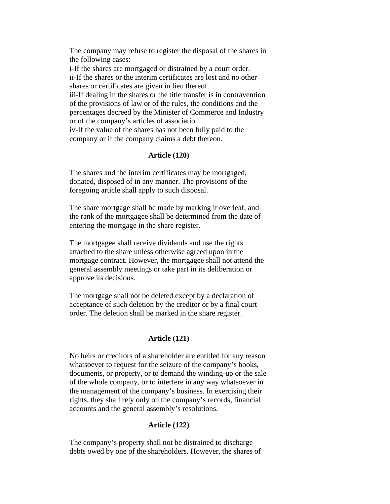The company may refuse to register the disposal of the shares in the following cases:

i-If the shares are mortgaged or distrained by a court order. ii-If the shares or the interim certificates are lost and no other shares or certificates are given in lieu thereof.

iii-If dealing in the shares or the title transfer is in contravention of the provisions of law or of the rules, the conditions and the percentages decreed by the Minister of Commerce and Industry or of the company's articles of association.

iv-If the value of the shares has not been fully paid to the company or if the company claims a debt thereon.

# **Article (120)**

The shares and the interim certificates may be mortgaged, donated, disposed of in any manner. The provisions of the foregoing article shall apply to such disposal.

The share mortgage shall be made by marking it overleaf, and the rank of the mortgagee shall be determined from the date of entering the mortgage in the share register.

The mortgagee shall receive dividends and use the rights attached to the share unless otherwise agreed upon in the mortgage contract. However, the mortgagee shall not attend the general assembly meetings or take part in its deliberation or approve its decisions.

The mortgage shall not be deleted except by a declaration of acceptance of such deletion by the creditor or by a final court order. The deletion shall be marked in the share register.

# **Article (121)**

No heirs or creditors of a shareholder are entitled for any reason whatsoever to request for the seizure of the company's books, documents, or property, or to demand the winding-up or the sale of the whole company, or to interfere in any way whatsoever in the management of the company's business. In exercising their rights, they shall rely only on the company's records, financial accounts and the general assembly's resolutions.

# **Article (122)**

The company's property shall not be distrained to discharge debts owed by one of the shareholders. However, the shares of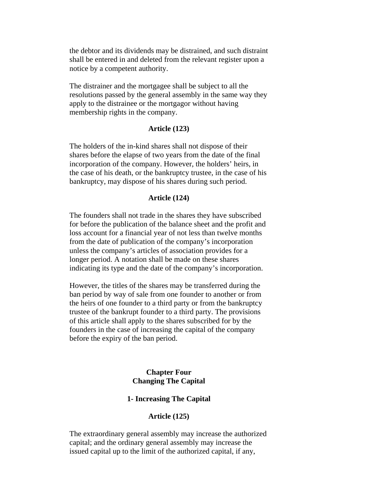the debtor and its dividends may be distrained, and such distraint shall be entered in and deleted from the relevant register upon a notice by a competent authority.

The distrainer and the mortgagee shall be subject to all the resolutions passed by the general assembly in the same way they apply to the distrainee or the mortgagor without having membership rights in the company.

#### **Article (123)**

The holders of the in-kind shares shall not dispose of their shares before the elapse of two years from the date of the final incorporation of the company. However, the holders' heirs, in the case of his death, or the bankruptcy trustee, in the case of his bankruptcy, may dispose of his shares during such period.

#### **Article (124)**

The founders shall not trade in the shares they have subscribed for before the publication of the balance sheet and the profit and loss account for a financial year of not less than twelve months from the date of publication of the company's incorporation unless the company's articles of association provides for a longer period. A notation shall be made on these shares indicating its type and the date of the company's incorporation.

However, the titles of the shares may be transferred during the ban period by way of sale from one founder to another or from the heirs of one founder to a third party or from the bankruptcy trustee of the bankrupt founder to a third party. The provisions of this article shall apply to the shares subscribed for by the founders in the case of increasing the capital of the company before the expiry of the ban period.

# **Chapter Four Changing The Capital**

# **1- Increasing The Capital**

# **Article (125)**

The extraordinary general assembly may increase the authorized capital; and the ordinary general assembly may increase the issued capital up to the limit of the authorized capital, if any,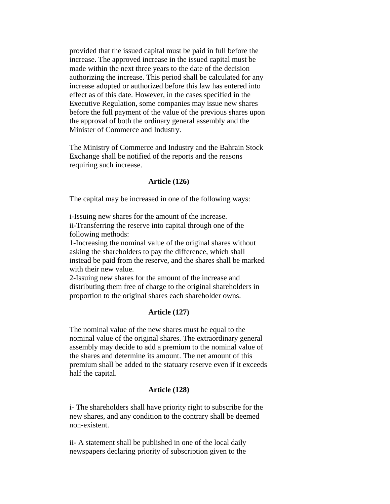provided that the issued capital must be paid in full before the increase. The approved increase in the issued capital must be made within the next three years to the date of the decision authorizing the increase. This period shall be calculated for any increase adopted or authorized before this law has entered into effect as of this date. However, in the cases specified in the Executive Regulation, some companies may issue new shares before the full payment of the value of the previous shares upon the approval of both the ordinary general assembly and the Minister of Commerce and Industry.

The Ministry of Commerce and Industry and the Bahrain Stock Exchange shall be notified of the reports and the reasons requiring such increase.

# **Article (126)**

The capital may be increased in one of the following ways:

i-Issuing new shares for the amount of the increase. ii-Transferring the reserve into capital through one of the following methods:

1-Increasing the nominal value of the original shares without asking the shareholders to pay the difference, which shall instead be paid from the reserve, and the shares shall be marked with their new value.

2-Issuing new shares for the amount of the increase and distributing them free of charge to the original shareholders in proportion to the original shares each shareholder owns.

## **Article (127)**

The nominal value of the new shares must be equal to the nominal value of the original shares. The extraordinary general assembly may decide to add a premium to the nominal value of the shares and determine its amount. The net amount of this premium shall be added to the statuary reserve even if it exceeds half the capital.

## **Article (128)**

i- The shareholders shall have priority right to subscribe for the new shares, and any condition to the contrary shall be deemed non-existent.

ii- A statement shall be published in one of the local daily newspapers declaring priority of subscription given to the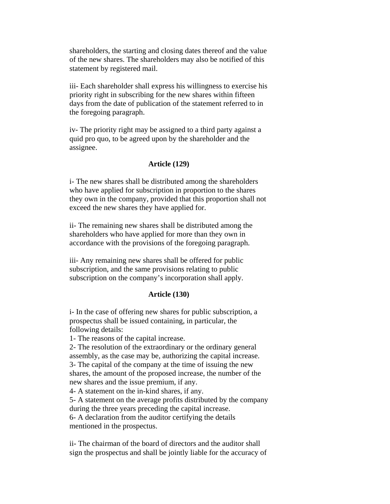shareholders, the starting and closing dates thereof and the value of the new shares. The shareholders may also be notified of this statement by registered mail.

iii- Each shareholder shall express his willingness to exercise his priority right in subscribing for the new shares within fifteen days from the date of publication of the statement referred to in the foregoing paragraph.

iv- The priority right may be assigned to a third party against a quid pro quo, to be agreed upon by the shareholder and the assignee.

# **Article (129)**

i- The new shares shall be distributed among the shareholders who have applied for subscription in proportion to the shares they own in the company, provided that this proportion shall not exceed the new shares they have applied for.

ii- The remaining new shares shall be distributed among the shareholders who have applied for more than they own in accordance with the provisions of the foregoing paragraph.

iii- Any remaining new shares shall be offered for public subscription, and the same provisions relating to public subscription on the company's incorporation shall apply.

# **Article (130)**

i- In the case of offering new shares for public subscription, a prospectus shall be issued containing, in particular, the following details:

1- The reasons of the capital increase.

2- The resolution of the extraordinary or the ordinary general assembly, as the case may be, authorizing the capital increase. 3- The capital of the company at the time of issuing the new shares, the amount of the proposed increase, the number of the new shares and the issue premium, if any.

4- A statement on the in-kind shares, if any.

5- A statement on the average profits distributed by the company during the three years preceding the capital increase. 6- A declaration from the auditor certifying the details

mentioned in the prospectus.

ii- The chairman of the board of directors and the auditor shall sign the prospectus and shall be jointly liable for the accuracy of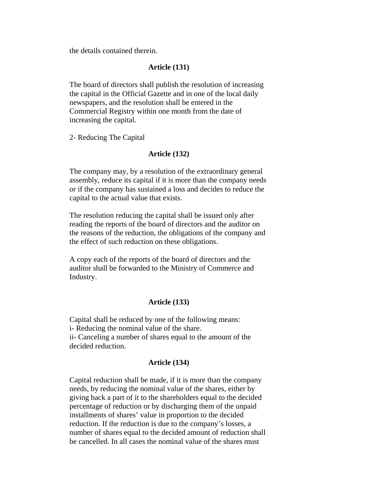the details contained therein.

### **Article (131)**

The board of directors shall publish the resolution of increasing the capital in the Official Gazette and in one of the local daily newspapers, and the resolution shall be entered in the Commercial Registry within one month from the date of increasing the capital.

2- Reducing The Capital

### **Article (132)**

The company may, by a resolution of the extraordinary general assembly, reduce its capital if it is more than the company needs or if the company has sustained a loss and decides to reduce the capital to the actual value that exists.

The resolution reducing the capital shall be issued only after reading the reports of the board of directors and the auditor on the reasons of the reduction, the obligations of the company and the effect of such reduction on these obligations.

A copy each of the reports of the board of directors and the auditor shall be forwarded to the Ministry of Commerce and Industry.

### **Article (133)**

Capital shall be reduced by one of the following means: i- Reducing the nominal value of the share. ii- Canceling a number of shares equal to the amount of the decided reduction.

### **Article (134)**

Capital reduction shall be made, if it is more than the company needs, by reducing the nominal value of the shares, either by giving back a part of it to the shareholders equal to the decided percentage of reduction or by discharging them of the unpaid installments of shares' value in proportion to the decided reduction. If the reduction is due to the company's losses, a number of shares equal to the decided amount of reduction shall be cancelled. In all cases the nominal value of the shares must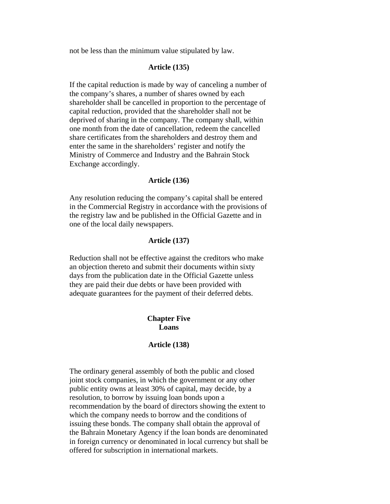not be less than the minimum value stipulated by law.

## **Article (135)**

If the capital reduction is made by way of canceling a number of the company's shares, a number of shares owned by each shareholder shall be cancelled in proportion to the percentage of capital reduction, provided that the shareholder shall not be deprived of sharing in the company. The company shall, within one month from the date of cancellation, redeem the cancelled share certificates from the shareholders and destroy them and enter the same in the shareholders' register and notify the Ministry of Commerce and Industry and the Bahrain Stock Exchange accordingly.

### **Article (136)**

Any resolution reducing the company's capital shall be entered in the Commercial Registry in accordance with the provisions of the registry law and be published in the Official Gazette and in one of the local daily newspapers.

# **Article (137)**

Reduction shall not be effective against the creditors who make an objection thereto and submit their documents within sixty days from the publication date in the Official Gazette unless they are paid their due debts or have been provided with adequate guarantees for the payment of their deferred debts.

## **Chapter Five Loans**

### **Article (138)**

The ordinary general assembly of both the public and closed joint stock companies, in which the government or any other public entity owns at least 30% of capital, may decide, by a resolution, to borrow by issuing loan bonds upon a recommendation by the board of directors showing the extent to which the company needs to borrow and the conditions of issuing these bonds. The company shall obtain the approval of the Bahrain Monetary Agency if the loan bonds are denominated in foreign currency or denominated in local currency but shall be offered for subscription in international markets.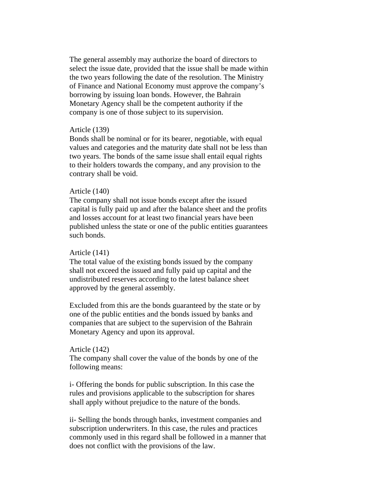The general assembly may authorize the board of directors to select the issue date, provided that the issue shall be made within the two years following the date of the resolution. The Ministry of Finance and National Economy must approve the company's borrowing by issuing loan bonds. However, the Bahrain Monetary Agency shall be the competent authority if the company is one of those subject to its supervision.

## Article (139)

Bonds shall be nominal or for its bearer, negotiable, with equal values and categories and the maturity date shall not be less than two years. The bonds of the same issue shall entail equal rights to their holders towards the company, and any provision to the contrary shall be void.

### Article (140)

The company shall not issue bonds except after the issued capital is fully paid up and after the balance sheet and the profits and losses account for at least two financial years have been published unless the state or one of the public entities guarantees such bonds.

## Article (141)

The total value of the existing bonds issued by the company shall not exceed the issued and fully paid up capital and the undistributed reserves according to the latest balance sheet approved by the general assembly.

Excluded from this are the bonds guaranteed by the state or by one of the public entities and the bonds issued by banks and companies that are subject to the supervision of the Bahrain Monetary Agency and upon its approval.

### Article (142)

The company shall cover the value of the bonds by one of the following means:

i- Offering the bonds for public subscription. In this case the rules and provisions applicable to the subscription for shares shall apply without prejudice to the nature of the bonds.

ii- Selling the bonds through banks, investment companies and subscription underwriters. In this case, the rules and practices commonly used in this regard shall be followed in a manner that does not conflict with the provisions of the law.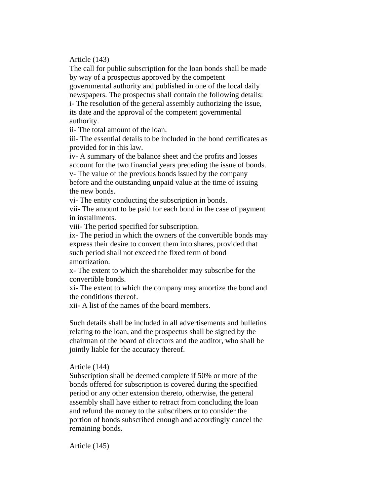# Article (143)

The call for public subscription for the loan bonds shall be made by way of a prospectus approved by the competent governmental authority and published in one of the local daily newspapers. The prospectus shall contain the following details: i- The resolution of the general assembly authorizing the issue, its date and the approval of the competent governmental authority.

ii- The total amount of the loan.

iii- The essential details to be included in the bond certificates as provided for in this law.

iv- A summary of the balance sheet and the profits and losses account for the two financial years preceding the issue of bonds. v- The value of the previous bonds issued by the company before and the outstanding unpaid value at the time of issuing the new bonds.

vi- The entity conducting the subscription in bonds.

vii- The amount to be paid for each bond in the case of payment in installments.

viii- The period specified for subscription.

ix- The period in which the owners of the convertible bonds may express their desire to convert them into shares, provided that such period shall not exceed the fixed term of bond amortization.

x- The extent to which the shareholder may subscribe for the convertible bonds.

xi- The extent to which the company may amortize the bond and the conditions thereof.

xii- A list of the names of the board members.

Such details shall be included in all advertisements and bulletins relating to the loan, and the prospectus shall be signed by the chairman of the board of directors and the auditor, who shall be jointly liable for the accuracy thereof.

# Article (144)

Subscription shall be deemed complete if 50% or more of the bonds offered for subscription is covered during the specified period or any other extension thereto, otherwise, the general assembly shall have either to retract from concluding the loan and refund the money to the subscribers or to consider the portion of bonds subscribed enough and accordingly cancel the remaining bonds.

Article (145)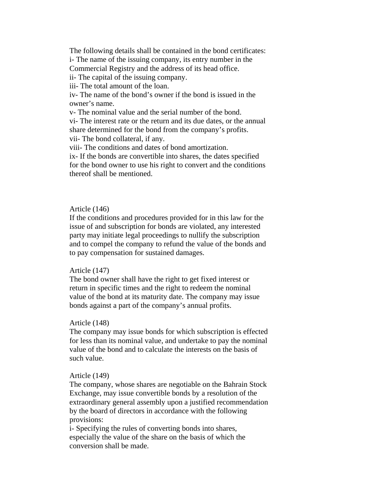The following details shall be contained in the bond certificates: i- The name of the issuing company, its entry number in the

Commercial Registry and the address of its head office.

ii- The capital of the issuing company.

iii- The total amount of the loan.

iv- The name of the bond's owner if the bond is issued in the owner's name.

v- The nominal value and the serial number of the bond.

vi- The interest rate or the return and its due dates, or the annual share determined for the bond from the company's profits. vii- The bond collateral, if any.

viii- The conditions and dates of bond amortization.

ix- If the bonds are convertible into shares, the dates specified for the bond owner to use his right to convert and the conditions thereof shall be mentioned.

### Article (146)

If the conditions and procedures provided for in this law for the issue of and subscription for bonds are violated, any interested party may initiate legal proceedings to nullify the subscription and to compel the company to refund the value of the bonds and to pay compensation for sustained damages.

### Article (147)

The bond owner shall have the right to get fixed interest or return in specific times and the right to redeem the nominal value of the bond at its maturity date. The company may issue bonds against a part of the company's annual profits.

## Article (148)

The company may issue bonds for which subscription is effected for less than its nominal value, and undertake to pay the nominal value of the bond and to calculate the interests on the basis of such value.

### Article (149)

The company, whose shares are negotiable on the Bahrain Stock Exchange, may issue convertible bonds by a resolution of the extraordinary general assembly upon a justified recommendation by the board of directors in accordance with the following provisions:

i- Specifying the rules of converting bonds into shares, especially the value of the share on the basis of which the conversion shall be made.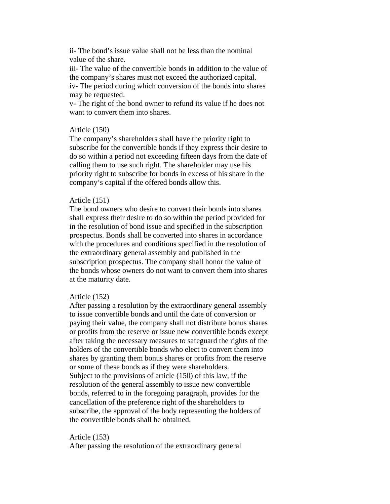ii- The bond's issue value shall not be less than the nominal value of the share.

iii- The value of the convertible bonds in addition to the value of the company's shares must not exceed the authorized capital. iv- The period during which conversion of the bonds into shares

may be requested.

v- The right of the bond owner to refund its value if he does not want to convert them into shares.

## Article (150)

The company's shareholders shall have the priority right to subscribe for the convertible bonds if they express their desire to do so within a period not exceeding fifteen days from the date of calling them to use such right. The shareholder may use his priority right to subscribe for bonds in excess of his share in the company's capital if the offered bonds allow this.

## Article (151)

The bond owners who desire to convert their bonds into shares shall express their desire to do so within the period provided for in the resolution of bond issue and specified in the subscription prospectus. Bonds shall be converted into shares in accordance with the procedures and conditions specified in the resolution of the extraordinary general assembly and published in the subscription prospectus. The company shall honor the value of the bonds whose owners do not want to convert them into shares at the maturity date.

## Article (152)

After passing a resolution by the extraordinary general assembly to issue convertible bonds and until the date of conversion or paying their value, the company shall not distribute bonus shares or profits from the reserve or issue new convertible bonds except after taking the necessary measures to safeguard the rights of the holders of the convertible bonds who elect to convert them into shares by granting them bonus shares or profits from the reserve or some of these bonds as if they were shareholders. Subject to the provisions of article (150) of this law, if the resolution of the general assembly to issue new convertible bonds, referred to in the foregoing paragraph, provides for the cancellation of the preference right of the shareholders to subscribe, the approval of the body representing the holders of the convertible bonds shall be obtained.

# Article (153)

After passing the resolution of the extraordinary general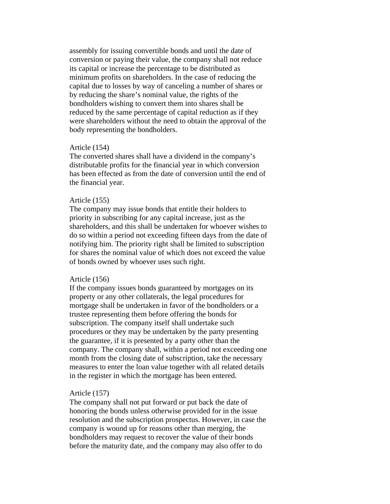assembly for issuing convertible bonds and until the date of conversion or paying their value, the company shall not reduce its capital or increase the percentage to be distributed as minimum profits on shareholders. In the case of reducing the capital due to losses by way of canceling a number of shares or by reducing the share's nominal value, the rights of the bondholders wishing to convert them into shares shall be reduced by the same percentage of capital reduction as if they were shareholders without the need to obtain the approval of the body representing the bondholders.

## Article (154)

The converted shares shall have a dividend in the company's distributable profits for the financial year in which conversion has been effected as from the date of conversion until the end of the financial year.

### Article (155)

The company may issue bonds that entitle their holders to priority in subscribing for any capital increase, just as the shareholders, and this shall be undertaken for whoever wishes to do so within a period not exceeding fifteen days from the date of notifying him. The priority right shall be limited to subscription for shares the nominal value of which does not exceed the value of bonds owned by whoever uses such right.

#### Article (156)

If the company issues bonds guaranteed by mortgages on its property or any other collaterals, the legal procedures for mortgage shall be undertaken in favor of the bondholders or a trustee representing them before offering the bonds for subscription. The company itself shall undertake such procedures or they may be undertaken by the party presenting the guarantee, if it is presented by a party other than the company. The company shall, within a period not exceeding one month from the closing date of subscription, take the necessary measures to enter the loan value together with all related details in the register in which the mortgage has been entered.

### Article (157)

The company shall not put forward or put back the date of honoring the bonds unless otherwise provided for in the issue resolution and the subscription prospectus. However, in case the company is wound up for reasons other than merging, the bondholders may request to recover the value of their bonds before the maturity date, and the company may also offer to do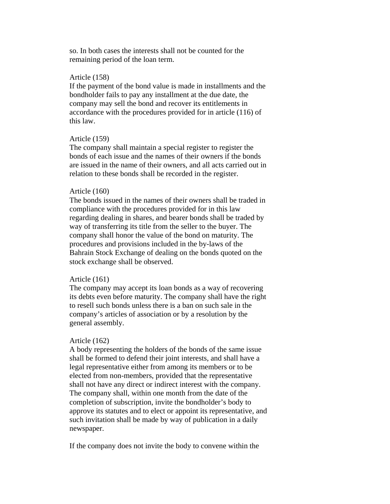so. In both cases the interests shall not be counted for the remaining period of the loan term.

# Article (158)

If the payment of the bond value is made in installments and the bondholder fails to pay any installment at the due date, the company may sell the bond and recover its entitlements in accordance with the procedures provided for in article (116) of this law.

### Article (159)

The company shall maintain a special register to register the bonds of each issue and the names of their owners if the bonds are issued in the name of their owners, and all acts carried out in relation to these bonds shall be recorded in the register.

### Article (160)

The bonds issued in the names of their owners shall be traded in compliance with the procedures provided for in this law regarding dealing in shares, and bearer bonds shall be traded by way of transferring its title from the seller to the buyer. The company shall honor the value of the bond on maturity. The procedures and provisions included in the by-laws of the Bahrain Stock Exchange of dealing on the bonds quoted on the stock exchange shall be observed.

#### Article (161)

The company may accept its loan bonds as a way of recovering its debts even before maturity. The company shall have the right to resell such bonds unless there is a ban on such sale in the company's articles of association or by a resolution by the general assembly.

#### Article (162)

A body representing the holders of the bonds of the same issue shall be formed to defend their joint interests, and shall have a legal representative either from among its members or to be elected from non-members, provided that the representative shall not have any direct or indirect interest with the company. The company shall, within one month from the date of the completion of subscription, invite the bondholder's body to approve its statutes and to elect or appoint its representative, and such invitation shall be made by way of publication in a daily newspaper.

If the company does not invite the body to convene within the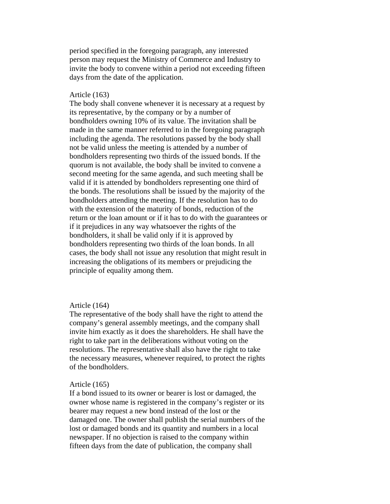period specified in the foregoing paragraph, any interested person may request the Ministry of Commerce and Industry to invite the body to convene within a period not exceeding fifteen days from the date of the application.

## Article (163)

The body shall convene whenever it is necessary at a request by its representative, by the company or by a number of bondholders owning 10% of its value. The invitation shall be made in the same manner referred to in the foregoing paragraph including the agenda. The resolutions passed by the body shall not be valid unless the meeting is attended by a number of bondholders representing two thirds of the issued bonds. If the quorum is not available, the body shall be invited to convene a second meeting for the same agenda, and such meeting shall be valid if it is attended by bondholders representing one third of the bonds. The resolutions shall be issued by the majority of the bondholders attending the meeting. If the resolution has to do with the extension of the maturity of bonds, reduction of the return or the loan amount or if it has to do with the guarantees or if it prejudices in any way whatsoever the rights of the bondholders, it shall be valid only if it is approved by bondholders representing two thirds of the loan bonds. In all cases, the body shall not issue any resolution that might result in increasing the obligations of its members or prejudicing the principle of equality among them.

### Article (164)

The representative of the body shall have the right to attend the company's general assembly meetings, and the company shall invite him exactly as it does the shareholders. He shall have the right to take part in the deliberations without voting on the resolutions. The representative shall also have the right to take the necessary measures, whenever required, to protect the rights of the bondholders.

## Article (165)

If a bond issued to its owner or bearer is lost or damaged, the owner whose name is registered in the company's register or its bearer may request a new bond instead of the lost or the damaged one. The owner shall publish the serial numbers of the lost or damaged bonds and its quantity and numbers in a local newspaper. If no objection is raised to the company within fifteen days from the date of publication, the company shall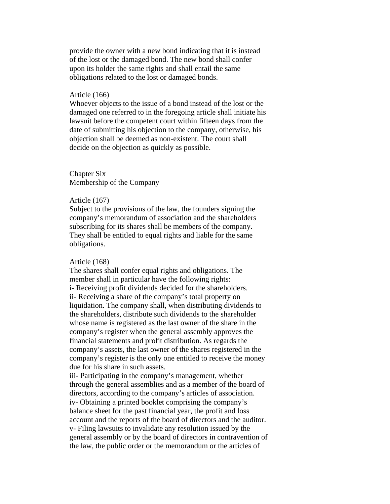provide the owner with a new bond indicating that it is instead of the lost or the damaged bond. The new bond shall confer upon its holder the same rights and shall entail the same obligations related to the lost or damaged bonds.

## Article (166)

Whoever objects to the issue of a bond instead of the lost or the damaged one referred to in the foregoing article shall initiate his lawsuit before the competent court within fifteen days from the date of submitting his objection to the company, otherwise, his objection shall be deemed as non-existent. The court shall decide on the objection as quickly as possible.

# Chapter Six Membership of the Company

### Article (167)

Subject to the provisions of the law, the founders signing the company's memorandum of association and the shareholders subscribing for its shares shall be members of the company. They shall be entitled to equal rights and liable for the same obligations.

### Article (168)

The shares shall confer equal rights and obligations. The member shall in particular have the following rights: i- Receiving profit dividends decided for the shareholders. ii- Receiving a share of the company's total property on liquidation. The company shall, when distributing dividends to the shareholders, distribute such dividends to the shareholder whose name is registered as the last owner of the share in the company's register when the general assembly approves the financial statements and profit distribution. As regards the company's assets, the last owner of the shares registered in the company's register is the only one entitled to receive the money due for his share in such assets.

iii- Participating in the company's management, whether through the general assemblies and as a member of the board of directors, according to the company's articles of association. iv- Obtaining a printed booklet comprising the company's balance sheet for the past financial year, the profit and loss account and the reports of the board of directors and the auditor. v- Filing lawsuits to invalidate any resolution issued by the general assembly or by the board of directors in contravention of the law, the public order or the memorandum or the articles of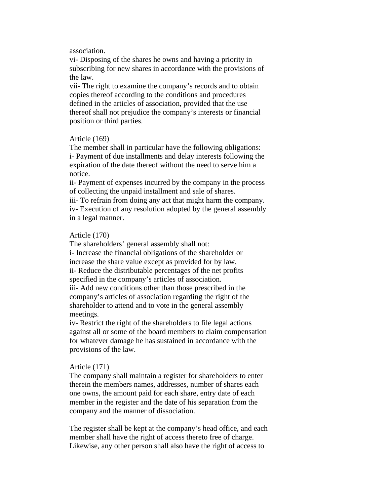## association.

vi- Disposing of the shares he owns and having a priority in subscribing for new shares in accordance with the provisions of the law.

vii- The right to examine the company's records and to obtain copies thereof according to the conditions and procedures defined in the articles of association, provided that the use thereof shall not prejudice the company's interests or financial position or third parties.

## Article (169)

The member shall in particular have the following obligations: i- Payment of due installments and delay interests following the expiration of the date thereof without the need to serve him a notice.

ii- Payment of expenses incurred by the company in the process of collecting the unpaid installment and sale of shares.

iii- To refrain from doing any act that might harm the company. iv- Execution of any resolution adopted by the general assembly in a legal manner.

### Article (170)

The shareholders' general assembly shall not:

i- Increase the financial obligations of the shareholder or increase the share value except as provided for by law. ii- Reduce the distributable percentages of the net profits specified in the company's articles of association. iii- Add new conditions other than those prescribed in the company's articles of association regarding the right of the shareholder to attend and to vote in the general assembly

meetings.

iv- Restrict the right of the shareholders to file legal actions against all or some of the board members to claim compensation for whatever damage he has sustained in accordance with the provisions of the law.

## Article (171)

The company shall maintain a register for shareholders to enter therein the members names, addresses, number of shares each one owns, the amount paid for each share, entry date of each member in the register and the date of his separation from the company and the manner of dissociation.

The register shall be kept at the company's head office, and each member shall have the right of access thereto free of charge. Likewise, any other person shall also have the right of access to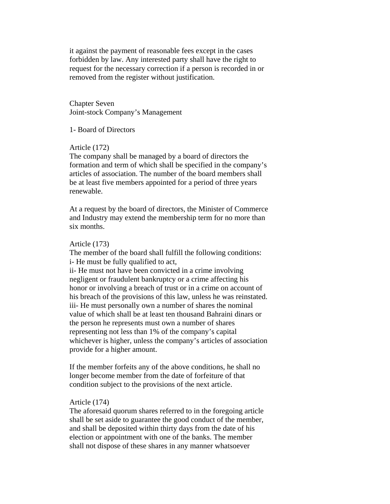it against the payment of reasonable fees except in the cases forbidden by law. Any interested party shall have the right to request for the necessary correction if a person is recorded in or removed from the register without justification.

Chapter Seven Joint-stock Company's Management

1- Board of Directors

Article (172)

The company shall be managed by a board of directors the formation and term of which shall be specified in the company's articles of association. The number of the board members shall be at least five members appointed for a period of three years renewable.

At a request by the board of directors, the Minister of Commerce and Industry may extend the membership term for no more than six months.

### Article (173)

The member of the board shall fulfill the following conditions: i- He must be fully qualified to act,

ii- He must not have been convicted in a crime involving negligent or fraudulent bankruptcy or a crime affecting his honor or involving a breach of trust or in a crime on account of his breach of the provisions of this law, unless he was reinstated. iii- He must personally own a number of shares the nominal value of which shall be at least ten thousand Bahraini dinars or the person he represents must own a number of shares representing not less than 1% of the company's capital whichever is higher, unless the company's articles of association provide for a higher amount.

If the member forfeits any of the above conditions, he shall no longer become member from the date of forfeiture of that condition subject to the provisions of the next article.

## Article (174)

The aforesaid quorum shares referred to in the foregoing article shall be set aside to guarantee the good conduct of the member, and shall be deposited within thirty days from the date of his election or appointment with one of the banks. The member shall not dispose of these shares in any manner whatsoever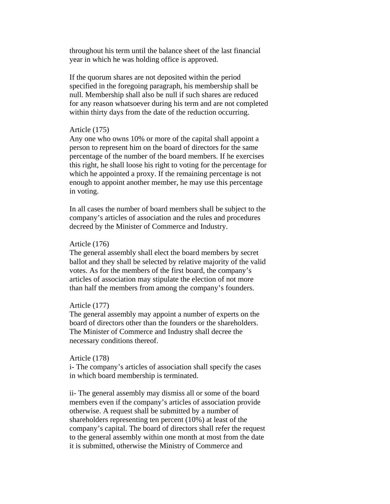throughout his term until the balance sheet of the last financial year in which he was holding office is approved.

If the quorum shares are not deposited within the period specified in the foregoing paragraph, his membership shall be null. Membership shall also be null if such shares are reduced for any reason whatsoever during his term and are not completed within thirty days from the date of the reduction occurring.

## Article (175)

Any one who owns 10% or more of the capital shall appoint a person to represent him on the board of directors for the same percentage of the number of the board members. If he exercises this right, he shall loose his right to voting for the percentage for which he appointed a proxy. If the remaining percentage is not enough to appoint another member, he may use this percentage in voting.

In all cases the number of board members shall be subject to the company's articles of association and the rules and procedures decreed by the Minister of Commerce and Industry.

### Article (176)

The general assembly shall elect the board members by secret ballot and they shall be selected by relative majority of the valid votes. As for the members of the first board, the company's articles of association may stipulate the election of not more than half the members from among the company's founders.

# Article (177)

The general assembly may appoint a number of experts on the board of directors other than the founders or the shareholders. The Minister of Commerce and Industry shall decree the necessary conditions thereof.

### Article (178)

i- The company's articles of association shall specify the cases in which board membership is terminated.

ii- The general assembly may dismiss all or some of the board members even if the company's articles of association provide otherwise. A request shall be submitted by a number of shareholders representing ten percent (10%) at least of the company's capital. The board of directors shall refer the request to the general assembly within one month at most from the date it is submitted, otherwise the Ministry of Commerce and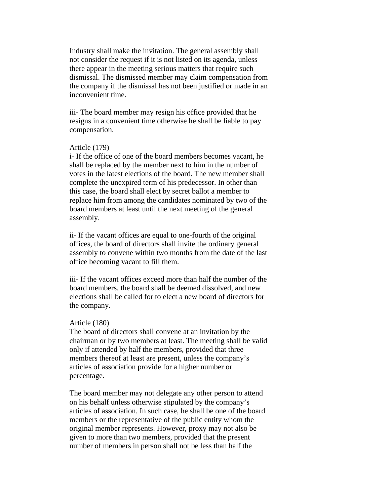Industry shall make the invitation. The general assembly shall not consider the request if it is not listed on its agenda, unless there appear in the meeting serious matters that require such dismissal. The dismissed member may claim compensation from the company if the dismissal has not been justified or made in an inconvenient time.

iii- The board member may resign his office provided that he resigns in a convenient time otherwise he shall be liable to pay compensation.

## Article (179)

i- If the office of one of the board members becomes vacant, he shall be replaced by the member next to him in the number of votes in the latest elections of the board. The new member shall complete the unexpired term of his predecessor. In other than this case, the board shall elect by secret ballot a member to replace him from among the candidates nominated by two of the board members at least until the next meeting of the general assembly.

ii- If the vacant offices are equal to one-fourth of the original offices, the board of directors shall invite the ordinary general assembly to convene within two months from the date of the last office becoming vacant to fill them.

iii- If the vacant offices exceed more than half the number of the board members, the board shall be deemed dissolved, and new elections shall be called for to elect a new board of directors for the company.

### Article (180)

The board of directors shall convene at an invitation by the chairman or by two members at least. The meeting shall be valid only if attended by half the members, provided that three members thereof at least are present, unless the company's articles of association provide for a higher number or percentage.

The board member may not delegate any other person to attend on his behalf unless otherwise stipulated by the company's articles of association. In such case, he shall be one of the board members or the representative of the public entity whom the original member represents. However, proxy may not also be given to more than two members, provided that the present number of members in person shall not be less than half the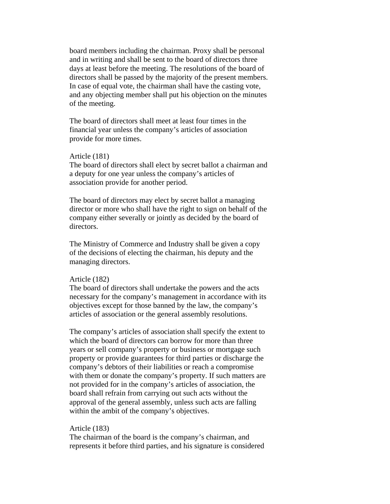board members including the chairman. Proxy shall be personal and in writing and shall be sent to the board of directors three days at least before the meeting. The resolutions of the board of directors shall be passed by the majority of the present members. In case of equal vote, the chairman shall have the casting vote, and any objecting member shall put his objection on the minutes of the meeting.

The board of directors shall meet at least four times in the financial year unless the company's articles of association provide for more times.

### Article (181)

The board of directors shall elect by secret ballot a chairman and a deputy for one year unless the company's articles of association provide for another period.

The board of directors may elect by secret ballot a managing director or more who shall have the right to sign on behalf of the company either severally or jointly as decided by the board of directors.

The Ministry of Commerce and Industry shall be given a copy of the decisions of electing the chairman, his deputy and the managing directors.

### Article (182)

The board of directors shall undertake the powers and the acts necessary for the company's management in accordance with its objectives except for those banned by the law, the company's articles of association or the general assembly resolutions.

The company's articles of association shall specify the extent to which the board of directors can borrow for more than three years or sell company's property or business or mortgage such property or provide guarantees for third parties or discharge the company's debtors of their liabilities or reach a compromise with them or donate the company's property. If such matters are not provided for in the company's articles of association, the board shall refrain from carrying out such acts without the approval of the general assembly, unless such acts are falling within the ambit of the company's objectives.

### Article (183)

The chairman of the board is the company's chairman, and represents it before third parties, and his signature is considered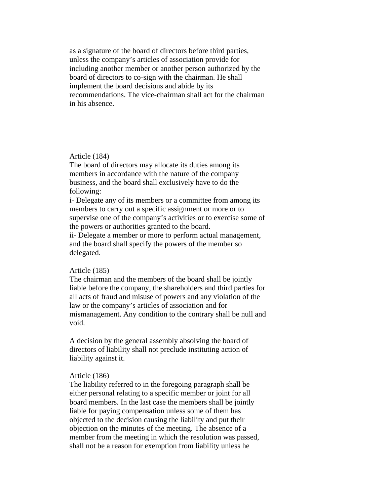as a signature of the board of directors before third parties, unless the company's articles of association provide for including another member or another person authorized by the board of directors to co-sign with the chairman. He shall implement the board decisions and abide by its recommendations. The vice-chairman shall act for the chairman in his absence.

### Article (184)

The board of directors may allocate its duties among its members in accordance with the nature of the company business, and the board shall exclusively have to do the following:

i- Delegate any of its members or a committee from among its members to carry out a specific assignment or more or to supervise one of the company's activities or to exercise some of the powers or authorities granted to the board.

ii- Delegate a member or more to perform actual management, and the board shall specify the powers of the member so delegated.

### Article (185)

The chairman and the members of the board shall be jointly liable before the company, the shareholders and third parties for all acts of fraud and misuse of powers and any violation of the law or the company's articles of association and for mismanagement. Any condition to the contrary shall be null and void.

A decision by the general assembly absolving the board of directors of liability shall not preclude instituting action of liability against it.

## Article (186)

The liability referred to in the foregoing paragraph shall be either personal relating to a specific member or joint for all board members. In the last case the members shall be jointly liable for paying compensation unless some of them has objected to the decision causing the liability and put their objection on the minutes of the meeting. The absence of a member from the meeting in which the resolution was passed, shall not be a reason for exemption from liability unless he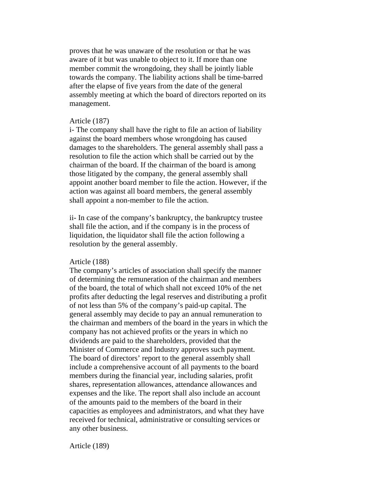proves that he was unaware of the resolution or that he was aware of it but was unable to object to it. If more than one member commit the wrongdoing, they shall be jointly liable towards the company. The liability actions shall be time-barred after the elapse of five years from the date of the general assembly meeting at which the board of directors reported on its management.

#### Article (187)

i- The company shall have the right to file an action of liability against the board members whose wrongdoing has caused damages to the shareholders. The general assembly shall pass a resolution to file the action which shall be carried out by the chairman of the board. If the chairman of the board is among those litigated by the company, the general assembly shall appoint another board member to file the action. However, if the action was against all board members, the general assembly shall appoint a non-member to file the action.

ii- In case of the company's bankruptcy, the bankruptcy trustee shall file the action, and if the company is in the process of liquidation, the liquidator shall file the action following a resolution by the general assembly.

#### Article (188)

The company's articles of association shall specify the manner of determining the remuneration of the chairman and members of the board, the total of which shall not exceed 10% of the net profits after deducting the legal reserves and distributing a profit of not less than 5% of the company's paid-up capital. The general assembly may decide to pay an annual remuneration to the chairman and members of the board in the years in which the company has not achieved profits or the years in which no dividends are paid to the shareholders, provided that the Minister of Commerce and Industry approves such payment. The board of directors' report to the general assembly shall include a comprehensive account of all payments to the board members during the financial year, including salaries, profit shares, representation allowances, attendance allowances and expenses and the like. The report shall also include an account of the amounts paid to the members of the board in their capacities as employees and administrators, and what they have received for technical, administrative or consulting services or any other business.

Article (189)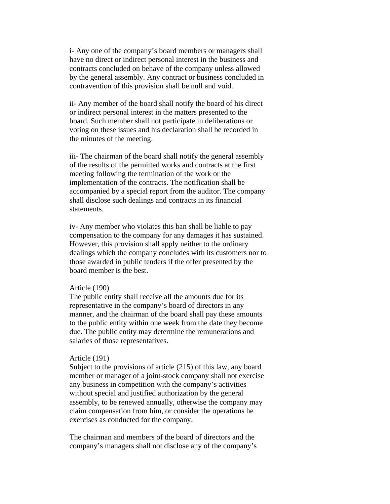i- Any one of the company's board members or managers shall have no direct or indirect personal interest in the business and contracts concluded on behave of the company unless allowed by the general assembly. Any contract or business concluded in contravention of this provision shall be null and void.

ii- Any member of the board shall notify the board of his direct or indirect personal interest in the matters presented to the board. Such member shall not participate in deliberations or voting on these issues and his declaration shall be recorded in the minutes of the meeting.

iii- The chairman of the board shall notify the general assembly of the results of the permitted works and contracts at the first meeting following the termination of the work or the implementation of the contracts. The notification shall be accompanied by a special report from the auditor. The company shall disclose such dealings and contracts in its financial statements.

iv- Any member who violates this ban shall be liable to pay compensation to the company for any damages it has sustained. However, this provision shall apply neither to the ordinary dealings which the company concludes with its customers nor to those awarded in public tenders if the offer presented by the board member is the best.

# Article (190)

The public entity shall receive all the amounts due for its representative in the company's board of directors in any manner, and the chairman of the board shall pay these amounts to the public entity within one week from the date they become due. The public entity may determine the remunerations and salaries of those representatives.

### Article (191)

Subject to the provisions of article (215) of this law, any board member or manager of a joint-stock company shall not exercise any business in competition with the company's activities without special and justified authorization by the general assembly, to be renewed annually, otherwise the company may claim compensation from him, or consider the operations he exercises as conducted for the company.

The chairman and members of the board of directors and the company's managers shall not disclose any of the company's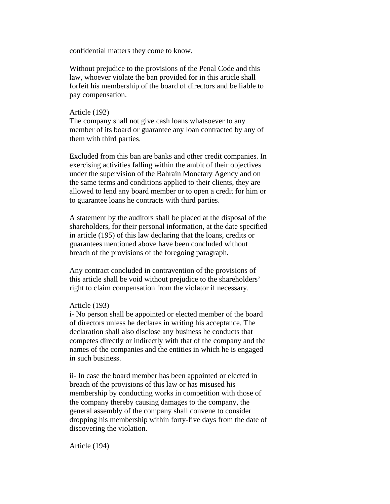confidential matters they come to know.

Without prejudice to the provisions of the Penal Code and this law, whoever violate the ban provided for in this article shall forfeit his membership of the board of directors and be liable to pay compensation.

## Article (192)

The company shall not give cash loans whatsoever to any member of its board or guarantee any loan contracted by any of them with third parties.

Excluded from this ban are banks and other credit companies. In exercising activities falling within the ambit of their objectives under the supervision of the Bahrain Monetary Agency and on the same terms and conditions applied to their clients, they are allowed to lend any board member or to open a credit for him or to guarantee loans he contracts with third parties.

A statement by the auditors shall be placed at the disposal of the shareholders, for their personal information, at the date specified in article (195) of this law declaring that the loans, credits or guarantees mentioned above have been concluded without breach of the provisions of the foregoing paragraph.

Any contract concluded in contravention of the provisions of this article shall be void without prejudice to the shareholders' right to claim compensation from the violator if necessary.

## Article (193)

i- No person shall be appointed or elected member of the board of directors unless he declares in writing his acceptance. The declaration shall also disclose any business he conducts that competes directly or indirectly with that of the company and the names of the companies and the entities in which he is engaged in such business.

ii- In case the board member has been appointed or elected in breach of the provisions of this law or has misused his membership by conducting works in competition with those of the company thereby causing damages to the company, the general assembly of the company shall convene to consider dropping his membership within forty-five days from the date of discovering the violation.

Article (194)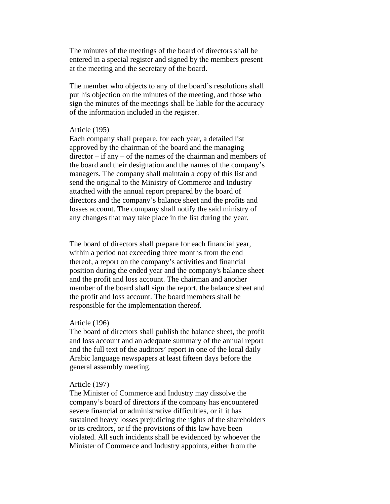The minutes of the meetings of the board of directors shall be entered in a special register and signed by the members present at the meeting and the secretary of the board.

The member who objects to any of the board's resolutions shall put his objection on the minutes of the meeting, and those who sign the minutes of the meetings shall be liable for the accuracy of the information included in the register.

# Article (195)

Each company shall prepare, for each year, a detailed list approved by the chairman of the board and the managing director – if any – of the names of the chairman and members of the board and their designation and the names of the company's managers. The company shall maintain a copy of this list and send the original to the Ministry of Commerce and Industry attached with the annual report prepared by the board of directors and the company's balance sheet and the profits and losses account. The company shall notify the said ministry of any changes that may take place in the list during the year.

The board of directors shall prepare for each financial year, within a period not exceeding three months from the end thereof, a report on the company's activities and financial position during the ended year and the company's balance sheet and the profit and loss account. The chairman and another member of the board shall sign the report, the balance sheet and the profit and loss account. The board members shall be responsible for the implementation thereof.

### Article (196)

The board of directors shall publish the balance sheet, the profit and loss account and an adequate summary of the annual report and the full text of the auditors' report in one of the local daily Arabic language newspapers at least fifteen days before the general assembly meeting.

## Article (197)

The Minister of Commerce and Industry may dissolve the company's board of directors if the company has encountered severe financial or administrative difficulties, or if it has sustained heavy losses prejudicing the rights of the shareholders or its creditors, or if the provisions of this law have been violated. All such incidents shall be evidenced by whoever the Minister of Commerce and Industry appoints, either from the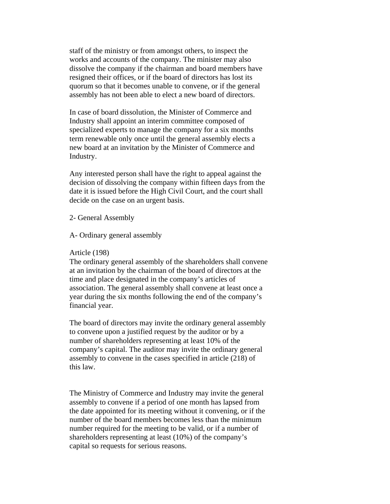staff of the ministry or from amongst others, to inspect the works and accounts of the company. The minister may also dissolve the company if the chairman and board members have resigned their offices, or if the board of directors has lost its quorum so that it becomes unable to convene, or if the general assembly has not been able to elect a new board of directors.

In case of board dissolution, the Minister of Commerce and Industry shall appoint an interim committee composed of specialized experts to manage the company for a six months term renewable only once until the general assembly elects a new board at an invitation by the Minister of Commerce and Industry.

Any interested person shall have the right to appeal against the decision of dissolving the company within fifteen days from the date it is issued before the High Civil Court, and the court shall decide on the case on an urgent basis.

## 2- General Assembly

## A- Ordinary general assembly

### Article (198)

The ordinary general assembly of the shareholders shall convene at an invitation by the chairman of the board of directors at the time and place designated in the company's articles of association. The general assembly shall convene at least once a year during the six months following the end of the company's financial year.

The board of directors may invite the ordinary general assembly to convene upon a justified request by the auditor or by a number of shareholders representing at least 10% of the company's capital. The auditor may invite the ordinary general assembly to convene in the cases specified in article (218) of this law.

The Ministry of Commerce and Industry may invite the general assembly to convene if a period of one month has lapsed from the date appointed for its meeting without it convening, or if the number of the board members becomes less than the minimum number required for the meeting to be valid, or if a number of shareholders representing at least (10%) of the company's capital so requests for serious reasons.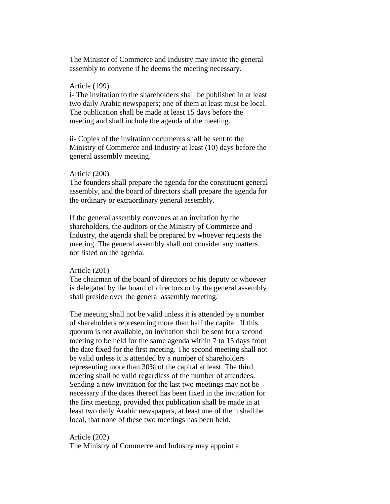The Minister of Commerce and Industry may invite the general assembly to convene if he deems the meeting necessary.

### Article (199)

i- The invitation to the shareholders shall be published in at least two daily Arabic newspapers; one of them at least must be local. The publication shall be made at least 15 days before the meeting and shall include the agenda of the meeting.

ii- Copies of the invitation documents shall be sent to the Ministry of Commerce and Industry at least (10) days before the general assembly meeting.

### Article (200)

The founders shall prepare the agenda for the constituent general assembly, and the board of directors shall prepare the agenda for the ordinary or extraordinary general assembly.

If the general assembly convenes at an invitation by the shareholders, the auditors or the Ministry of Commerce and Industry, the agenda shall be prepared by whoever requests the meeting. The general assembly shall not consider any matters not listed on the agenda.

#### Article (201)

The chairman of the board of directors or his deputy or whoever is delegated by the board of directors or by the general assembly shall preside over the general assembly meeting.

The meeting shall not be valid unless it is attended by a number of shareholders representing more than half the capital. If this quorum is not available, an invitation shall be sent for a second meeting to be held for the same agenda within 7 to 15 days from the date fixed for the first meeting. The second meeting shall not be valid unless it is attended by a number of shareholders representing more than 30% of the capital at least. The third meeting shall be valid regardless of the number of attendees. Sending a new invitation for the last two meetings may not be necessary if the dates thereof has been fixed in the invitation for the first meeting, provided that publication shall be made in at least two daily Arabic newspapers, at least one of them shall be local, that none of these two meetings has been held.

## Article (202)

The Ministry of Commerce and Industry may appoint a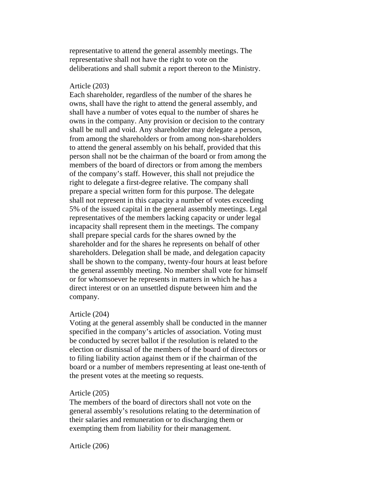representative to attend the general assembly meetings. The representative shall not have the right to vote on the deliberations and shall submit a report thereon to the Ministry.

### Article (203)

Each shareholder, regardless of the number of the shares he owns, shall have the right to attend the general assembly, and shall have a number of votes equal to the number of shares he owns in the company. Any provision or decision to the contrary shall be null and void. Any shareholder may delegate a person, from among the shareholders or from among non-shareholders to attend the general assembly on his behalf, provided that this person shall not be the chairman of the board or from among the members of the board of directors or from among the members of the company's staff. However, this shall not prejudice the right to delegate a first-degree relative. The company shall prepare a special written form for this purpose. The delegate shall not represent in this capacity a number of votes exceeding 5% of the issued capital in the general assembly meetings. Legal representatives of the members lacking capacity or under legal incapacity shall represent them in the meetings. The company shall prepare special cards for the shares owned by the shareholder and for the shares he represents on behalf of other shareholders. Delegation shall be made, and delegation capacity shall be shown to the company, twenty-four hours at least before the general assembly meeting. No member shall vote for himself or for whomsoever he represents in matters in which he has a direct interest or on an unsettled dispute between him and the company.

### Article (204)

Voting at the general assembly shall be conducted in the manner specified in the company's articles of association. Voting must be conducted by secret ballot if the resolution is related to the election or dismissal of the members of the board of directors or to filing liability action against them or if the chairman of the board or a number of members representing at least one-tenth of the present votes at the meeting so requests.

### Article (205)

The members of the board of directors shall not vote on the general assembly's resolutions relating to the determination of their salaries and remuneration or to discharging them or exempting them from liability for their management.

Article (206)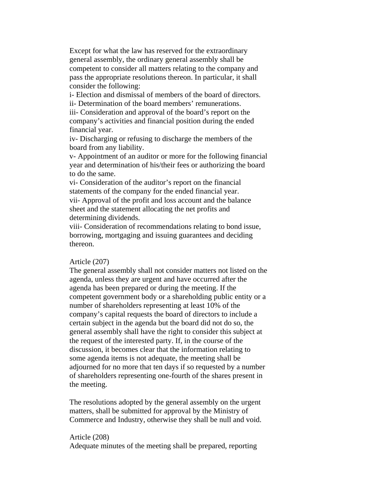Except for what the law has reserved for the extraordinary general assembly, the ordinary general assembly shall be competent to consider all matters relating to the company and pass the appropriate resolutions thereon. In particular, it shall consider the following:

i- Election and dismissal of members of the board of directors. ii- Determination of the board members' remunerations.

iii- Consideration and approval of the board's report on the company's activities and financial position during the ended financial year.

iv- Discharging or refusing to discharge the members of the board from any liability.

v- Appointment of an auditor or more for the following financial year and determination of his/their fees or authorizing the board to do the same.

vi- Consideration of the auditor's report on the financial statements of the company for the ended financial year. vii- Approval of the profit and loss account and the balance sheet and the statement allocating the net profits and determining dividends.

viii- Consideration of recommendations relating to bond issue, borrowing, mortgaging and issuing guarantees and deciding thereon.

## Article (207)

The general assembly shall not consider matters not listed on the agenda, unless they are urgent and have occurred after the agenda has been prepared or during the meeting. If the competent government body or a shareholding public entity or a number of shareholders representing at least 10% of the company's capital requests the board of directors to include a certain subject in the agenda but the board did not do so, the general assembly shall have the right to consider this subject at the request of the interested party. If, in the course of the discussion, it becomes clear that the information relating to some agenda items is not adequate, the meeting shall be adjourned for no more that ten days if so requested by a number of shareholders representing one-fourth of the shares present in the meeting.

The resolutions adopted by the general assembly on the urgent matters, shall be submitted for approval by the Ministry of Commerce and Industry, otherwise they shall be null and void.

## Article (208)

Adequate minutes of the meeting shall be prepared, reporting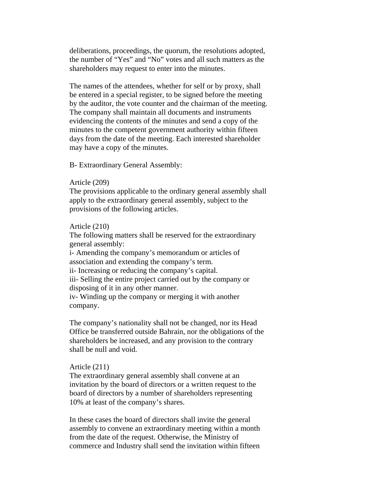deliberations, proceedings, the quorum, the resolutions adopted, the number of "Yes" and "No" votes and all such matters as the shareholders may request to enter into the minutes.

The names of the attendees, whether for self or by proxy, shall be entered in a special register, to be signed before the meeting by the auditor, the vote counter and the chairman of the meeting. The company shall maintain all documents and instruments evidencing the contents of the minutes and send a copy of the minutes to the competent government authority within fifteen days from the date of the meeting. Each interested shareholder may have a copy of the minutes.

B- Extraordinary General Assembly:

## Article (209)

The provisions applicable to the ordinary general assembly shall apply to the extraordinary general assembly, subject to the provisions of the following articles.

### Article (210)

The following matters shall be reserved for the extraordinary general assembly:

i- Amending the company's memorandum or articles of association and extending the company's term.

ii- Increasing or reducing the company's capital.

iii- Selling the entire project carried out by the company or disposing of it in any other manner.

iv- Winding up the company or merging it with another company.

The company's nationality shall not be changed, nor its Head Office be transferred outside Bahrain, nor the obligations of the shareholders be increased, and any provision to the contrary shall be null and void.

## Article (211)

The extraordinary general assembly shall convene at an invitation by the board of directors or a written request to the board of directors by a number of shareholders representing 10% at least of the company's shares.

In these cases the board of directors shall invite the general assembly to convene an extraordinary meeting within a month from the date of the request. Otherwise, the Ministry of commerce and Industry shall send the invitation within fifteen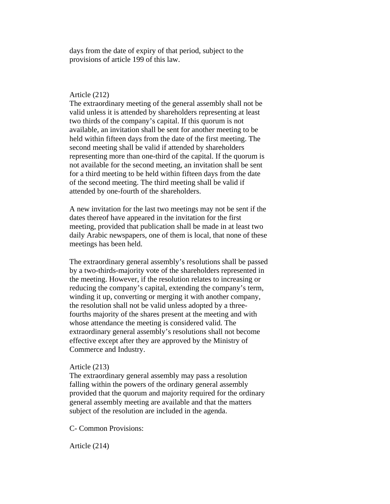days from the date of expiry of that period, subject to the provisions of article 199 of this law.

## Article (212)

The extraordinary meeting of the general assembly shall not be valid unless it is attended by shareholders representing at least two thirds of the company's capital. If this quorum is not available, an invitation shall be sent for another meeting to be held within fifteen days from the date of the first meeting. The second meeting shall be valid if attended by shareholders representing more than one-third of the capital. If the quorum is not available for the second meeting, an invitation shall be sent for a third meeting to be held within fifteen days from the date of the second meeting. The third meeting shall be valid if attended by one-fourth of the shareholders.

A new invitation for the last two meetings may not be sent if the dates thereof have appeared in the invitation for the first meeting, provided that publication shall be made in at least two daily Arabic newspapers, one of them is local, that none of these meetings has been held.

The extraordinary general assembly's resolutions shall be passed by a two-thirds-majority vote of the shareholders represented in the meeting. However, if the resolution relates to increasing or reducing the company's capital, extending the company's term, winding it up, converting or merging it with another company, the resolution shall not be valid unless adopted by a threefourths majority of the shares present at the meeting and with whose attendance the meeting is considered valid. The extraordinary general assembly's resolutions shall not become effective except after they are approved by the Ministry of Commerce and Industry.

## Article (213)

The extraordinary general assembly may pass a resolution falling within the powers of the ordinary general assembly provided that the quorum and majority required for the ordinary general assembly meeting are available and that the matters subject of the resolution are included in the agenda.

C- Common Provisions:

Article (214)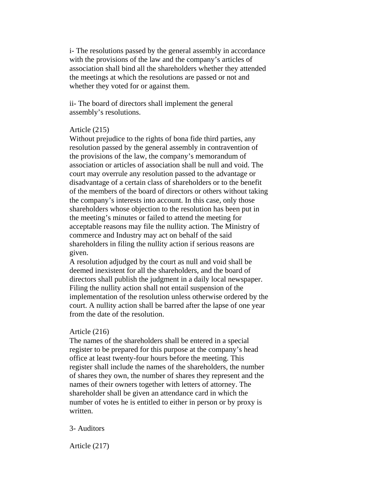i- The resolutions passed by the general assembly in accordance with the provisions of the law and the company's articles of association shall bind all the shareholders whether they attended the meetings at which the resolutions are passed or not and whether they voted for or against them.

ii- The board of directors shall implement the general assembly's resolutions.

## Article (215)

Without prejudice to the rights of bona fide third parties, any resolution passed by the general assembly in contravention of the provisions of the law, the company's memorandum of association or articles of association shall be null and void. The court may overrule any resolution passed to the advantage or disadvantage of a certain class of shareholders or to the benefit of the members of the board of directors or others without taking the company's interests into account. In this case, only those shareholders whose objection to the resolution has been put in the meeting's minutes or failed to attend the meeting for acceptable reasons may file the nullity action. The Ministry of commerce and Industry may act on behalf of the said shareholders in filing the nullity action if serious reasons are given.

A resolution adjudged by the court as null and void shall be deemed inexistent for all the shareholders, and the board of directors shall publish the judgment in a daily local newspaper. Filing the nullity action shall not entail suspension of the implementation of the resolution unless otherwise ordered by the court. A nullity action shall be barred after the lapse of one year from the date of the resolution.

### Article (216)

The names of the shareholders shall be entered in a special register to be prepared for this purpose at the company's head office at least twenty-four hours before the meeting. This register shall include the names of the shareholders, the number of shares they own, the number of shares they represent and the names of their owners together with letters of attorney. The shareholder shall be given an attendance card in which the number of votes he is entitled to either in person or by proxy is written.

### 3- Auditors

Article (217)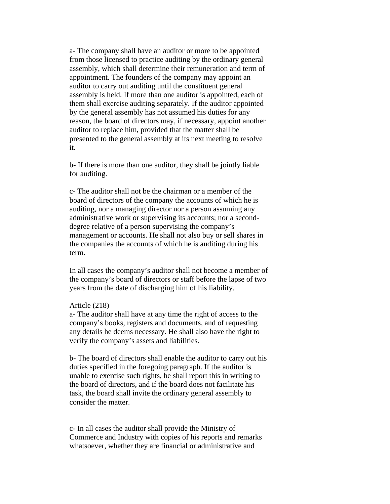a- The company shall have an auditor or more to be appointed from those licensed to practice auditing by the ordinary general assembly, which shall determine their remuneration and term of appointment. The founders of the company may appoint an auditor to carry out auditing until the constituent general assembly is held. If more than one auditor is appointed, each of them shall exercise auditing separately. If the auditor appointed by the general assembly has not assumed his duties for any reason, the board of directors may, if necessary, appoint another auditor to replace him, provided that the matter shall be presented to the general assembly at its next meeting to resolve it.

b- If there is more than one auditor, they shall be jointly liable for auditing.

c- The auditor shall not be the chairman or a member of the board of directors of the company the accounts of which he is auditing, nor a managing director nor a person assuming any administrative work or supervising its accounts; nor a seconddegree relative of a person supervising the company's management or accounts. He shall not also buy or sell shares in the companies the accounts of which he is auditing during his term.

In all cases the company's auditor shall not become a member of the company's board of directors or staff before the lapse of two years from the date of discharging him of his liability.

## Article (218)

a- The auditor shall have at any time the right of access to the company's books, registers and documents, and of requesting any details he deems necessary. He shall also have the right to verify the company's assets and liabilities.

b- The board of directors shall enable the auditor to carry out his duties specified in the foregoing paragraph. If the auditor is unable to exercise such rights, he shall report this in writing to the board of directors, and if the board does not facilitate his task, the board shall invite the ordinary general assembly to consider the matter.

c- In all cases the auditor shall provide the Ministry of Commerce and Industry with copies of his reports and remarks whatsoever, whether they are financial or administrative and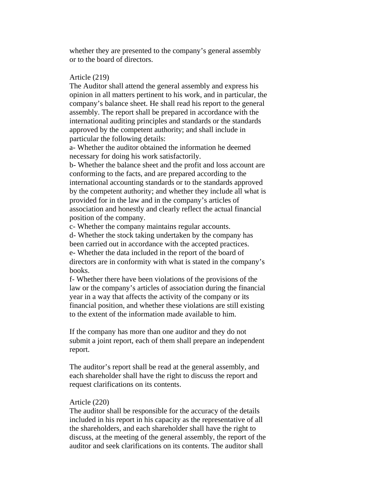whether they are presented to the company's general assembly or to the board of directors.

# Article (219)

The Auditor shall attend the general assembly and express his opinion in all matters pertinent to his work, and in particular, the company's balance sheet. He shall read his report to the general assembly. The report shall be prepared in accordance with the international auditing principles and standards or the standards approved by the competent authority; and shall include in particular the following details:

a- Whether the auditor obtained the information he deemed necessary for doing his work satisfactorily.

b- Whether the balance sheet and the profit and loss account are conforming to the facts, and are prepared according to the international accounting standards or to the standards approved by the competent authority; and whether they include all what is provided for in the law and in the company's articles of association and honestly and clearly reflect the actual financial position of the company.

c- Whether the company maintains regular accounts.

d- Whether the stock taking undertaken by the company has been carried out in accordance with the accepted practices. e- Whether the data included in the report of the board of directors are in conformity with what is stated in the company's books.

f- Whether there have been violations of the provisions of the law or the company's articles of association during the financial year in a way that affects the activity of the company or its financial position, and whether these violations are still existing to the extent of the information made available to him.

If the company has more than one auditor and they do not submit a joint report, each of them shall prepare an independent report.

The auditor's report shall be read at the general assembly, and each shareholder shall have the right to discuss the report and request clarifications on its contents.

## Article (220)

The auditor shall be responsible for the accuracy of the details included in his report in his capacity as the representative of all the shareholders, and each shareholder shall have the right to discuss, at the meeting of the general assembly, the report of the auditor and seek clarifications on its contents. The auditor shall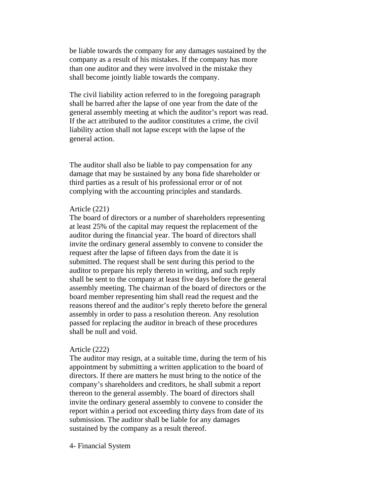be liable towards the company for any damages sustained by the company as a result of his mistakes. If the company has more than one auditor and they were involved in the mistake they shall become jointly liable towards the company.

The civil liability action referred to in the foregoing paragraph shall be barred after the lapse of one year from the date of the general assembly meeting at which the auditor's report was read. If the act attributed to the auditor constitutes a crime, the civil liability action shall not lapse except with the lapse of the general action.

The auditor shall also be liable to pay compensation for any damage that may be sustained by any bona fide shareholder or third parties as a result of his professional error or of not complying with the accounting principles and standards.

## Article (221)

The board of directors or a number of shareholders representing at least 25% of the capital may request the replacement of the auditor during the financial year. The board of directors shall invite the ordinary general assembly to convene to consider the request after the lapse of fifteen days from the date it is submitted. The request shall be sent during this period to the auditor to prepare his reply thereto in writing, and such reply shall be sent to the company at least five days before the general assembly meeting. The chairman of the board of directors or the board member representing him shall read the request and the reasons thereof and the auditor's reply thereto before the general assembly in order to pass a resolution thereon. Any resolution passed for replacing the auditor in breach of these procedures shall be null and void.

### Article (222)

The auditor may resign, at a suitable time, during the term of his appointment by submitting a written application to the board of directors. If there are matters he must bring to the notice of the company's shareholders and creditors, he shall submit a report thereon to the general assembly. The board of directors shall invite the ordinary general assembly to convene to consider the report within a period not exceeding thirty days from date of its submission. The auditor shall be liable for any damages sustained by the company as a result thereof.

## 4- Financial System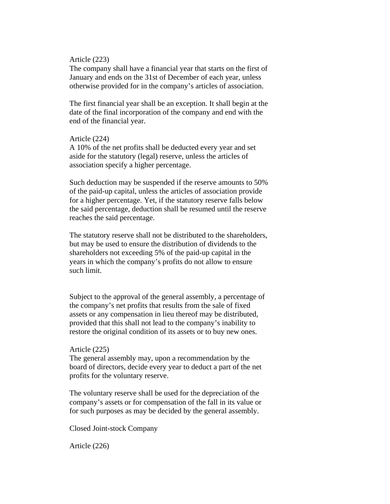## Article (223)

The company shall have a financial year that starts on the first of January and ends on the 31st of December of each year, unless otherwise provided for in the company's articles of association.

The first financial year shall be an exception. It shall begin at the date of the final incorporation of the company and end with the end of the financial year.

### Article (224)

A 10% of the net profits shall be deducted every year and set aside for the statutory (legal) reserve, unless the articles of association specify a higher percentage.

Such deduction may be suspended if the reserve amounts to 50% of the paid-up capital, unless the articles of association provide for a higher percentage. Yet, if the statutory reserve falls below the said percentage, deduction shall be resumed until the reserve reaches the said percentage.

The statutory reserve shall not be distributed to the shareholders, but may be used to ensure the distribution of dividends to the shareholders not exceeding 5% of the paid-up capital in the years in which the company's profits do not allow to ensure such limit.

Subject to the approval of the general assembly, a percentage of the company's net profits that results from the sale of fixed assets or any compensation in lieu thereof may be distributed, provided that this shall not lead to the company's inability to restore the original condition of its assets or to buy new ones.

### Article (225)

The general assembly may, upon a recommendation by the board of directors, decide every year to deduct a part of the net profits for the voluntary reserve.

The voluntary reserve shall be used for the depreciation of the company's assets or for compensation of the fall in its value or for such purposes as may be decided by the general assembly.

Closed Joint-stock Company

Article (226)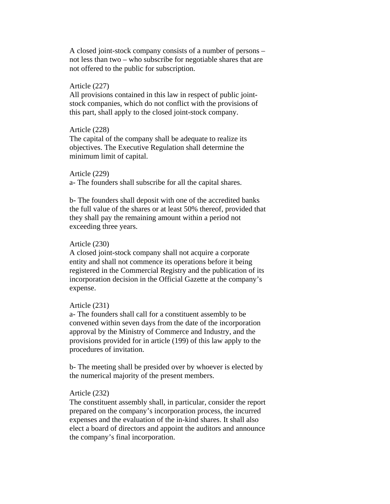A closed joint-stock company consists of a number of persons – not less than two – who subscribe for negotiable shares that are not offered to the public for subscription.

### Article (227)

All provisions contained in this law in respect of public jointstock companies, which do not conflict with the provisions of this part, shall apply to the closed joint-stock company.

## Article (228)

The capital of the company shall be adequate to realize its objectives. The Executive Regulation shall determine the minimum limit of capital.

### Article (229)

a- The founders shall subscribe for all the capital shares.

b- The founders shall deposit with one of the accredited banks the full value of the shares or at least 50% thereof, provided that they shall pay the remaining amount within a period not exceeding three years.

## Article (230)

A closed joint-stock company shall not acquire a corporate entity and shall not commence its operations before it being registered in the Commercial Registry and the publication of its incorporation decision in the Official Gazette at the company's expense.

## Article (231)

a- The founders shall call for a constituent assembly to be convened within seven days from the date of the incorporation approval by the Ministry of Commerce and Industry, and the provisions provided for in article (199) of this law apply to the procedures of invitation.

b- The meeting shall be presided over by whoever is elected by the numerical majority of the present members.

## Article (232)

The constituent assembly shall, in particular, consider the report prepared on the company's incorporation process, the incurred expenses and the evaluation of the in-kind shares. It shall also elect a board of directors and appoint the auditors and announce the company's final incorporation.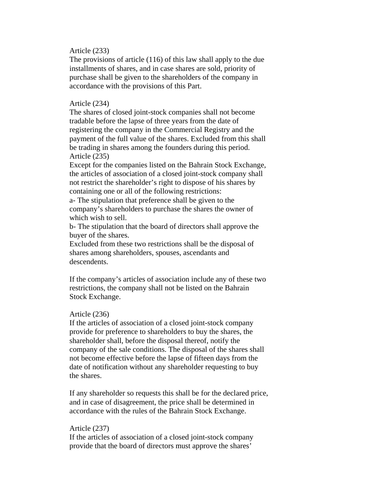## Article (233)

The provisions of article (116) of this law shall apply to the due installments of shares, and in case shares are sold, priority of purchase shall be given to the shareholders of the company in accordance with the provisions of this Part.

## Article (234)

The shares of closed joint-stock companies shall not become tradable before the lapse of three years from the date of registering the company in the Commercial Registry and the payment of the full value of the shares. Excluded from this shall be trading in shares among the founders during this period. Article (235)

Except for the companies listed on the Bahrain Stock Exchange, the articles of association of a closed joint-stock company shall not restrict the shareholder's right to dispose of his shares by containing one or all of the following restrictions:

a- The stipulation that preference shall be given to the company's shareholders to purchase the shares the owner of which wish to sell.

b- The stipulation that the board of directors shall approve the buyer of the shares.

Excluded from these two restrictions shall be the disposal of shares among shareholders, spouses, ascendants and descendents.

If the company's articles of association include any of these two restrictions, the company shall not be listed on the Bahrain Stock Exchange.

## Article (236)

If the articles of association of a closed joint-stock company provide for preference to shareholders to buy the shares, the shareholder shall, before the disposal thereof, notify the company of the sale conditions. The disposal of the shares shall not become effective before the lapse of fifteen days from the date of notification without any shareholder requesting to buy the shares.

If any shareholder so requests this shall be for the declared price, and in case of disagreement, the price shall be determined in accordance with the rules of the Bahrain Stock Exchange.

### Article (237)

If the articles of association of a closed joint-stock company provide that the board of directors must approve the shares'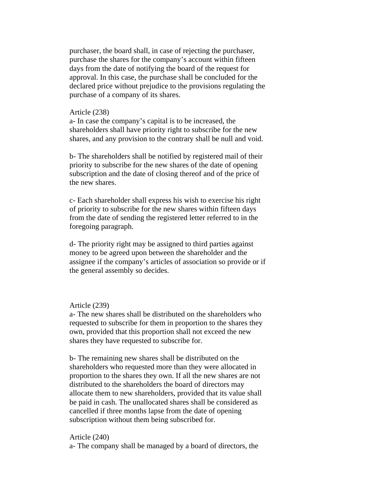purchaser, the board shall, in case of rejecting the purchaser, purchase the shares for the company's account within fifteen days from the date of notifying the board of the request for approval. In this case, the purchase shall be concluded for the declared price without prejudice to the provisions regulating the purchase of a company of its shares.

### Article (238)

a- In case the company's capital is to be increased, the shareholders shall have priority right to subscribe for the new shares, and any provision to the contrary shall be null and void.

b- The shareholders shall be notified by registered mail of their priority to subscribe for the new shares of the date of opening subscription and the date of closing thereof and of the price of the new shares.

c- Each shareholder shall express his wish to exercise his right of priority to subscribe for the new shares within fifteen days from the date of sending the registered letter referred to in the foregoing paragraph.

d- The priority right may be assigned to third parties against money to be agreed upon between the shareholder and the assignee if the company's articles of association so provide or if the general assembly so decides.

## Article (239)

a- The new shares shall be distributed on the shareholders who requested to subscribe for them in proportion to the shares they own, provided that this proportion shall not exceed the new shares they have requested to subscribe for.

b- The remaining new shares shall be distributed on the shareholders who requested more than they were allocated in proportion to the shares they own. If all the new shares are not distributed to the shareholders the board of directors may allocate them to new shareholders, provided that its value shall be paid in cash. The unallocated shares shall be considered as cancelled if three months lapse from the date of opening subscription without them being subscribed for.

## Article (240)

a- The company shall be managed by a board of directors, the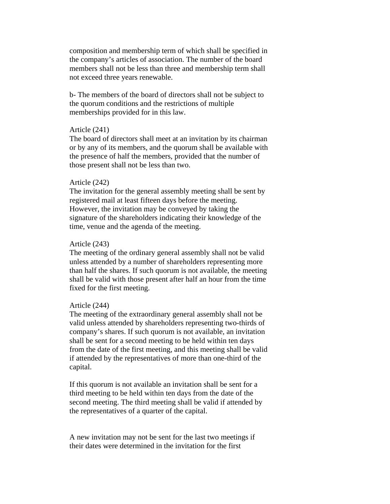composition and membership term of which shall be specified in the company's articles of association. The number of the board members shall not be less than three and membership term shall not exceed three years renewable.

b- The members of the board of directors shall not be subject to the quorum conditions and the restrictions of multiple memberships provided for in this law.

## Article (241)

The board of directors shall meet at an invitation by its chairman or by any of its members, and the quorum shall be available with the presence of half the members, provided that the number of those present shall not be less than two.

#### Article (242)

The invitation for the general assembly meeting shall be sent by registered mail at least fifteen days before the meeting. However, the invitation may be conveyed by taking the signature of the shareholders indicating their knowledge of the time, venue and the agenda of the meeting.

## Article (243)

The meeting of the ordinary general assembly shall not be valid unless attended by a number of shareholders representing more than half the shares. If such quorum is not available, the meeting shall be valid with those present after half an hour from the time fixed for the first meeting.

#### Article (244)

The meeting of the extraordinary general assembly shall not be valid unless attended by shareholders representing two-thirds of company's shares. If such quorum is not available, an invitation shall be sent for a second meeting to be held within ten days from the date of the first meeting, and this meeting shall be valid if attended by the representatives of more than one-third of the capital.

If this quorum is not available an invitation shall be sent for a third meeting to be held within ten days from the date of the second meeting. The third meeting shall be valid if attended by the representatives of a quarter of the capital.

A new invitation may not be sent for the last two meetings if their dates were determined in the invitation for the first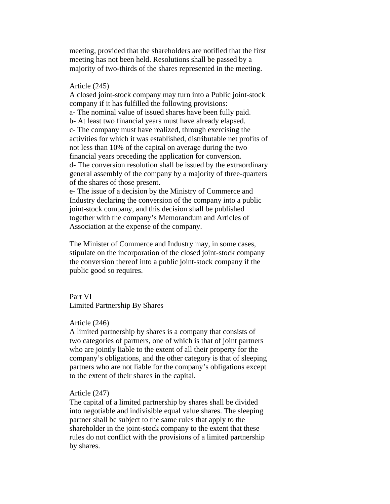meeting, provided that the shareholders are notified that the first meeting has not been held. Resolutions shall be passed by a majority of two-thirds of the shares represented in the meeting.

#### Article (245)

A closed joint-stock company may turn into a Public joint-stock company if it has fulfilled the following provisions: a- The nominal value of issued shares have been fully paid. b- At least two financial years must have already elapsed. c- The company must have realized, through exercising the activities for which it was established, distributable net profits of not less than 10% of the capital on average during the two financial years preceding the application for conversion. d- The conversion resolution shall be issued by the extraordinary general assembly of the company by a majority of three-quarters of the shares of those present.

e- The issue of a decision by the Ministry of Commerce and Industry declaring the conversion of the company into a public joint-stock company, and this decision shall be published together with the company's Memorandum and Articles of Association at the expense of the company.

The Minister of Commerce and Industry may, in some cases, stipulate on the incorporation of the closed joint-stock company the conversion thereof into a public joint-stock company if the public good so requires.

Part VI Limited Partnership By Shares

## Article (246)

A limited partnership by shares is a company that consists of two categories of partners, one of which is that of joint partners who are jointly liable to the extent of all their property for the company's obligations, and the other category is that of sleeping partners who are not liable for the company's obligations except to the extent of their shares in the capital.

### Article (247)

The capital of a limited partnership by shares shall be divided into negotiable and indivisible equal value shares. The sleeping partner shall be subject to the same rules that apply to the shareholder in the joint-stock company to the extent that these rules do not conflict with the provisions of a limited partnership by shares.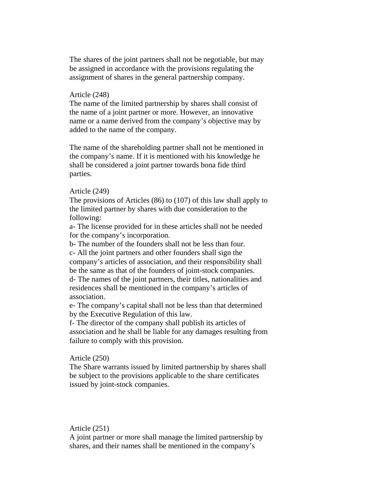The shares of the joint partners shall not be negotiable, but may be assigned in accordance with the provisions regulating the assignment of shares in the general partnership company.

## Article (248)

The name of the limited partnership by shares shall consist of the name of a joint partner or more. However, an innovative name or a name derived from the company's objective may by added to the name of the company.

The name of the shareholding partner shall not be mentioned in the company's name. If it is mentioned with his knowledge he shall be considered a joint partner towards bona fide third parties.

#### Article (249)

The provisions of Articles (86) to (107) of this law shall apply to the limited partner by shares with due consideration to the following:

a- The license provided for in these articles shall not be needed for the company's incorporation.

b- The number of the founders shall not be less than four. c- All the joint partners and other founders shall sign the company's articles of association, and their responsibility shall be the same as that of the founders of joint-stock companies. d- The names of the joint partners, their titles, nationalities and residences shall be mentioned in the company's articles of association.

e- The company's capital shall not be less than that determined by the Executive Regulation of this law.

f- The director of the company shall publish its articles of association and he shall be liable for any damages resulting from failure to comply with this provision.

## Article (250)

The Share warrants issued by limited partnership by shares shall be subject to the provisions applicable to the share certificates issued by joint-stock companies.

## Article (251)

A joint partner or more shall manage the limited partnership by shares, and their names shall be mentioned in the company's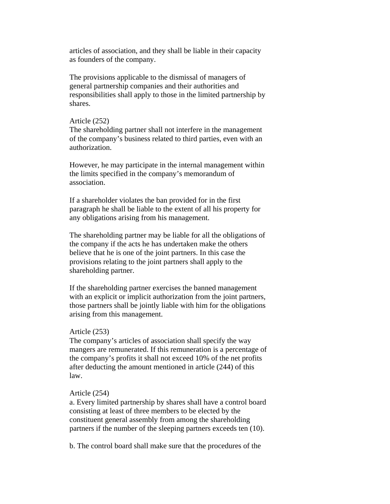articles of association, and they shall be liable in their capacity as founders of the company.

The provisions applicable to the dismissal of managers of general partnership companies and their authorities and responsibilities shall apply to those in the limited partnership by shares.

#### Article (252)

The shareholding partner shall not interfere in the management of the company's business related to third parties, even with an authorization.

However, he may participate in the internal management within the limits specified in the company's memorandum of association.

If a shareholder violates the ban provided for in the first paragraph he shall be liable to the extent of all his property for any obligations arising from his management.

The shareholding partner may be liable for all the obligations of the company if the acts he has undertaken make the others believe that he is one of the joint partners. In this case the provisions relating to the joint partners shall apply to the shareholding partner.

If the shareholding partner exercises the banned management with an explicit or implicit authorization from the joint partners, those partners shall be jointly liable with him for the obligations arising from this management.

#### Article (253)

The company's articles of association shall specify the way mangers are remunerated. If this remuneration is a percentage of the company's profits it shall not exceed 10% of the net profits after deducting the amount mentioned in article (244) of this law.

### Article (254)

a. Every limited partnership by shares shall have a control board consisting at least of three members to be elected by the constituent general assembly from among the shareholding partners if the number of the sleeping partners exceeds ten (10).

b. The control board shall make sure that the procedures of the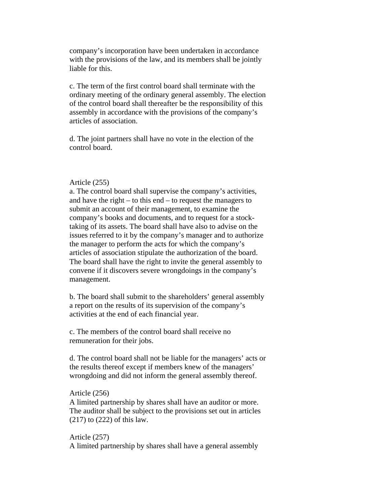company's incorporation have been undertaken in accordance with the provisions of the law, and its members shall be jointly liable for this.

c. The term of the first control board shall terminate with the ordinary meeting of the ordinary general assembly. The election of the control board shall thereafter be the responsibility of this assembly in accordance with the provisions of the company's articles of association.

d. The joint partners shall have no vote in the election of the control board.

## Article (255)

a. The control board shall supervise the company's activities, and have the right – to this end – to request the managers to submit an account of their management, to examine the company's books and documents, and to request for a stocktaking of its assets. The board shall have also to advise on the issues referred to it by the company's manager and to authorize the manager to perform the acts for which the company's articles of association stipulate the authorization of the board. The board shall have the right to invite the general assembly to convene if it discovers severe wrongdoings in the company's management.

b. The board shall submit to the shareholders' general assembly a report on the results of its supervision of the company's activities at the end of each financial year.

c. The members of the control board shall receive no remuneration for their jobs.

d. The control board shall not be liable for the managers' acts or the results thereof except if members knew of the managers' wrongdoing and did not inform the general assembly thereof.

## Article (256)

A limited partnership by shares shall have an auditor or more. The auditor shall be subject to the provisions set out in articles (217) to (222) of this law.

Article (257) A limited partnership by shares shall have a general assembly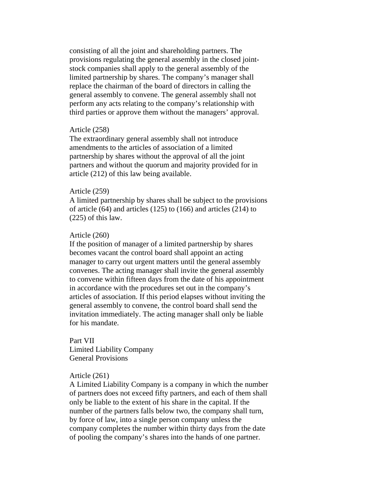consisting of all the joint and shareholding partners. The provisions regulating the general assembly in the closed jointstock companies shall apply to the general assembly of the limited partnership by shares. The company's manager shall replace the chairman of the board of directors in calling the general assembly to convene. The general assembly shall not perform any acts relating to the company's relationship with third parties or approve them without the managers' approval.

## Article (258)

The extraordinary general assembly shall not introduce amendments to the articles of association of a limited partnership by shares without the approval of all the joint partners and without the quorum and majority provided for in article (212) of this law being available.

#### Article (259)

A limited partnership by shares shall be subject to the provisions of article (64) and articles (125) to (166) and articles (214) to (225) of this law.

#### Article (260)

If the position of manager of a limited partnership by shares becomes vacant the control board shall appoint an acting manager to carry out urgent matters until the general assembly convenes. The acting manager shall invite the general assembly to convene within fifteen days from the date of his appointment in accordance with the procedures set out in the company's articles of association. If this period elapses without inviting the general assembly to convene, the control board shall send the invitation immediately. The acting manager shall only be liable for his mandate.

Part VII Limited Liability Company General Provisions

## Article (261)

A Limited Liability Company is a company in which the number of partners does not exceed fifty partners, and each of them shall only be liable to the extent of his share in the capital. If the number of the partners falls below two, the company shall turn, by force of law, into a single person company unless the company completes the number within thirty days from the date of pooling the company's shares into the hands of one partner.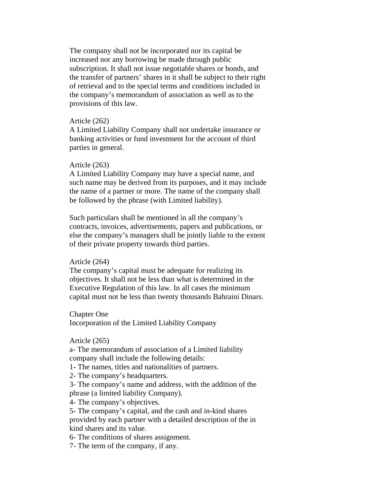The company shall not be incorporated nor its capital be increased nor any borrowing be made through public subscription. It shall not issue negotiable shares or bonds, and the transfer of partners' shares in it shall be subject to their right of retrieval and to the special terms and conditions included in the company's memorandum of association as well as to the provisions of this law.

#### Article (262)

A Limited Liability Company shall not undertake insurance or banking activities or fund investment for the account of third parties in general.

### Article (263)

A Limited Liability Company may have a special name, and such name may be derived from its purposes, and it may include the name of a partner or more. The name of the company shall be followed by the phrase (with Limited liability).

Such particulars shall be mentioned in all the company's contracts, invoices, advertisements, papers and publications, or else the company's managers shall be jointly liable to the extent of their private property towards third parties.

#### Article (264)

The company's capital must be adequate for realizing its objectives. It shall not be less than what is determined in the Executive Regulation of this law. In all cases the minimum capital must not be less than twenty thousands Bahraini Dinars.

## Chapter One

Incorporation of the Limited Liability Company

## Article (265)

a- The memorandum of association of a Limited liability company shall include the following details:

1- The names, titles and nationalities of partners.

2- The company's headquarters.

3- The company's name and address, with the addition of the phrase (a limited liability Company).

4- The company's objectives.

5- The company's capital, and the cash and in-kind shares provided by each partner with a detailed description of the in kind shares and its value.

6- The conditions of shares assignment.

7- The term of the company, if any.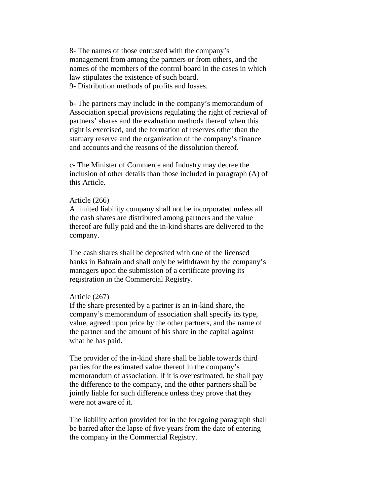8- The names of those entrusted with the company's management from among the partners or from others, and the names of the members of the control board in the cases in which law stipulates the existence of such board. 9- Distribution methods of profits and losses.

b- The partners may include in the company's memorandum of Association special provisions regulating the right of retrieval of partners' shares and the evaluation methods thereof when this right is exercised, and the formation of reserves other than the statuary reserve and the organization of the company's finance and accounts and the reasons of the dissolution thereof.

c- The Minister of Commerce and Industry may decree the inclusion of other details than those included in paragraph (A) of this Article.

## Article (266)

A limited liability company shall not be incorporated unless all the cash shares are distributed among partners and the value thereof are fully paid and the in-kind shares are delivered to the company.

The cash shares shall be deposited with one of the licensed banks in Bahrain and shall only be withdrawn by the company's managers upon the submission of a certificate proving its registration in the Commercial Registry.

#### Article (267)

If the share presented by a partner is an in-kind share, the company's memorandum of association shall specify its type, value, agreed upon price by the other partners, and the name of the partner and the amount of his share in the capital against what he has paid.

The provider of the in-kind share shall be liable towards third parties for the estimated value thereof in the company's memorandum of association. If it is overestimated, he shall pay the difference to the company, and the other partners shall be jointly liable for such difference unless they prove that they were not aware of it.

The liability action provided for in the foregoing paragraph shall be barred after the lapse of five years from the date of entering the company in the Commercial Registry.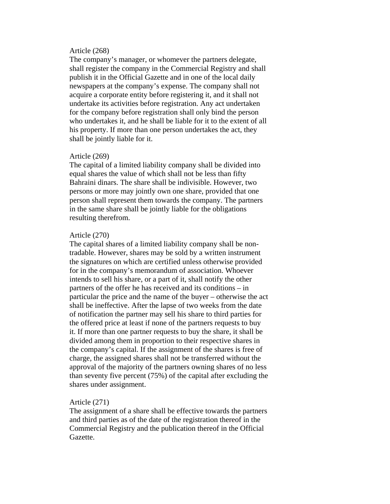# Article (268)

The company's manager, or whomever the partners delegate, shall register the company in the Commercial Registry and shall publish it in the Official Gazette and in one of the local daily newspapers at the company's expense. The company shall not acquire a corporate entity before registering it, and it shall not undertake its activities before registration. Any act undertaken for the company before registration shall only bind the person who undertakes it, and he shall be liable for it to the extent of all his property. If more than one person undertakes the act, they shall be jointly liable for it.

## Article (269)

The capital of a limited liability company shall be divided into equal shares the value of which shall not be less than fifty Bahraini dinars. The share shall be indivisible. However, two persons or more may jointly own one share, provided that one person shall represent them towards the company. The partners in the same share shall be jointly liable for the obligations resulting therefrom.

## Article (270)

The capital shares of a limited liability company shall be nontradable. However, shares may be sold by a written instrument the signatures on which are certified unless otherwise provided for in the company's memorandum of association. Whoever intends to sell his share, or a part of it, shall notify the other partners of the offer he has received and its conditions – in particular the price and the name of the buyer – otherwise the act shall be ineffective. After the lapse of two weeks from the date of notification the partner may sell his share to third parties for the offered price at least if none of the partners requests to buy it. If more than one partner requests to buy the share, it shall be divided among them in proportion to their respective shares in the company's capital. If the assignment of the shares is free of charge, the assigned shares shall not be transferred without the approval of the majority of the partners owning shares of no less than seventy five percent (75%) of the capital after excluding the shares under assignment.

## Article (271)

The assignment of a share shall be effective towards the partners and third parties as of the date of the registration thereof in the Commercial Registry and the publication thereof in the Official Gazette.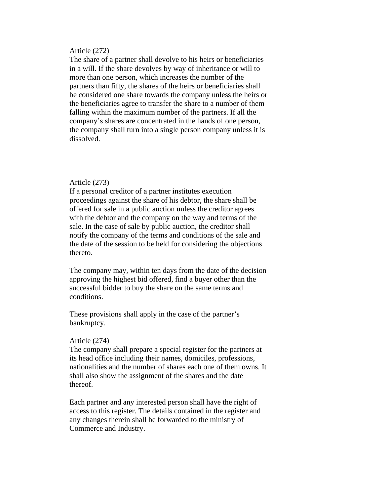## Article (272)

The share of a partner shall devolve to his heirs or beneficiaries in a will. If the share devolves by way of inheritance or will to more than one person, which increases the number of the partners than fifty, the shares of the heirs or beneficiaries shall be considered one share towards the company unless the heirs or the beneficiaries agree to transfer the share to a number of them falling within the maximum number of the partners. If all the company's shares are concentrated in the hands of one person, the company shall turn into a single person company unless it is dissolved.

## Article (273)

If a personal creditor of a partner institutes execution proceedings against the share of his debtor, the share shall be offered for sale in a public auction unless the creditor agrees with the debtor and the company on the way and terms of the sale. In the case of sale by public auction, the creditor shall notify the company of the terms and conditions of the sale and the date of the session to be held for considering the objections thereto.

The company may, within ten days from the date of the decision approving the highest bid offered, find a buyer other than the successful bidder to buy the share on the same terms and conditions.

These provisions shall apply in the case of the partner's bankruptcy.

#### Article (274)

The company shall prepare a special register for the partners at its head office including their names, domiciles, professions, nationalities and the number of shares each one of them owns. It shall also show the assignment of the shares and the date thereof.

Each partner and any interested person shall have the right of access to this register. The details contained in the register and any changes therein shall be forwarded to the ministry of Commerce and Industry.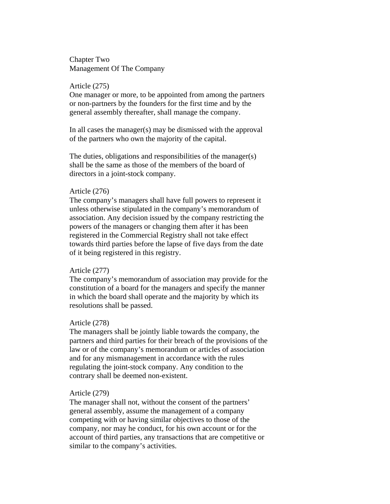Chapter Two Management Of The Company

## Article (275)

One manager or more, to be appointed from among the partners or non-partners by the founders for the first time and by the general assembly thereafter, shall manage the company.

In all cases the manager(s) may be dismissed with the approval of the partners who own the majority of the capital.

The duties, obligations and responsibilities of the manager(s) shall be the same as those of the members of the board of directors in a joint-stock company.

## Article (276)

The company's managers shall have full powers to represent it unless otherwise stipulated in the company's memorandum of association. Any decision issued by the company restricting the powers of the managers or changing them after it has been registered in the Commercial Registry shall not take effect towards third parties before the lapse of five days from the date of it being registered in this registry.

#### Article (277)

The company's memorandum of association may provide for the constitution of a board for the managers and specify the manner in which the board shall operate and the majority by which its resolutions shall be passed.

## Article (278)

The managers shall be jointly liable towards the company, the partners and third parties for their breach of the provisions of the law or of the company's memorandum or articles of association and for any mismanagement in accordance with the rules regulating the joint-stock company. Any condition to the contrary shall be deemed non-existent.

### Article (279)

The manager shall not, without the consent of the partners' general assembly, assume the management of a company competing with or having similar objectives to those of the company, nor may he conduct, for his own account or for the account of third parties, any transactions that are competitive or similar to the company's activities.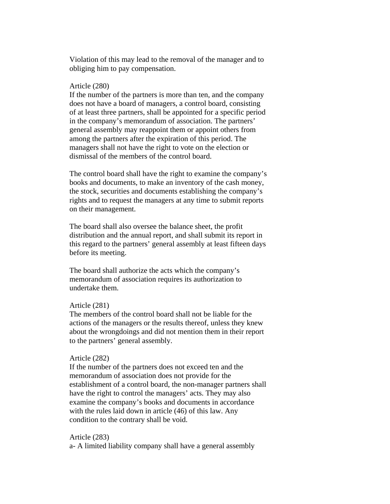Violation of this may lead to the removal of the manager and to obliging him to pay compensation.

#### Article (280)

If the number of the partners is more than ten, and the company does not have a board of managers, a control board, consisting of at least three partners, shall be appointed for a specific period in the company's memorandum of association. The partners' general assembly may reappoint them or appoint others from among the partners after the expiration of this period. The managers shall not have the right to vote on the election or dismissal of the members of the control board.

The control board shall have the right to examine the company's books and documents, to make an inventory of the cash money, the stock, securities and documents establishing the company's rights and to request the managers at any time to submit reports on their management.

The board shall also oversee the balance sheet, the profit distribution and the annual report, and shall submit its report in this regard to the partners' general assembly at least fifteen days before its meeting.

The board shall authorize the acts which the company's memorandum of association requires its authorization to undertake them.

## Article (281)

The members of the control board shall not be liable for the actions of the managers or the results thereof, unless they knew about the wrongdoings and did not mention them in their report to the partners' general assembly.

## Article (282)

If the number of the partners does not exceed ten and the memorandum of association does not provide for the establishment of a control board, the non-manager partners shall have the right to control the managers' acts. They may also examine the company's books and documents in accordance with the rules laid down in article (46) of this law. Any condition to the contrary shall be void.

Article (283) a- A limited liability company shall have a general assembly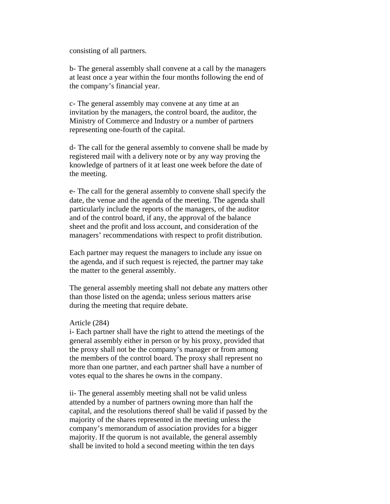consisting of all partners.

b- The general assembly shall convene at a call by the managers at least once a year within the four months following the end of the company's financial year.

c- The general assembly may convene at any time at an invitation by the managers, the control board, the auditor, the Ministry of Commerce and Industry or a number of partners representing one-fourth of the capital.

d- The call for the general assembly to convene shall be made by registered mail with a delivery note or by any way proving the knowledge of partners of it at least one week before the date of the meeting.

e- The call for the general assembly to convene shall specify the date, the venue and the agenda of the meeting. The agenda shall particularly include the reports of the managers, of the auditor and of the control board, if any, the approval of the balance sheet and the profit and loss account, and consideration of the managers' recommendations with respect to profit distribution.

Each partner may request the managers to include any issue on the agenda, and if such request is rejected, the partner may take the matter to the general assembly.

The general assembly meeting shall not debate any matters other than those listed on the agenda; unless serious matters arise during the meeting that require debate.

## Article (284)

i- Each partner shall have the right to attend the meetings of the general assembly either in person or by his proxy, provided that the proxy shall not be the company's manager or from among the members of the control board. The proxy shall represent no more than one partner, and each partner shall have a number of votes equal to the shares he owns in the company.

ii- The general assembly meeting shall not be valid unless attended by a number of partners owning more than half the capital, and the resolutions thereof shall be valid if passed by the majority of the shares represented in the meeting unless the company's memorandum of association provides for a bigger majority. If the quorum is not available, the general assembly shall be invited to hold a second meeting within the ten days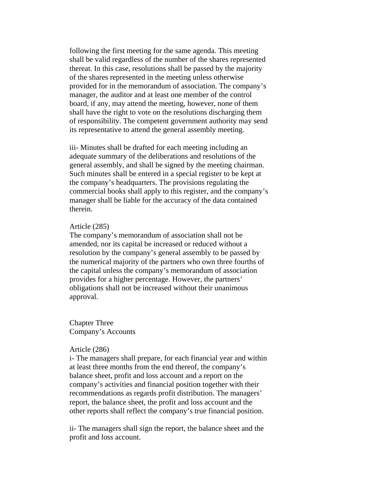following the first meeting for the same agenda. This meeting shall be valid regardless of the number of the shares represented thereat. In this case, resolutions shall be passed by the majority of the shares represented in the meeting unless otherwise provided for in the memorandum of association. The company's manager, the auditor and at least one member of the control board, if any, may attend the meeting, however, none of them shall have the right to vote on the resolutions discharging them of responsibility. The competent government authority may send its representative to attend the general assembly meeting.

iii- Minutes shall be drafted for each meeting including an adequate summary of the deliberations and resolutions of the general assembly, and shall be signed by the meeting chairman. Such minutes shall be entered in a special register to be kept at the company's headquarters. The provisions regulating the commercial books shall apply to this register, and the company's manager shall be liable for the accuracy of the data contained therein.

#### Article (285)

The company's memorandum of association shall not be amended, nor its capital be increased or reduced without a resolution by the company's general assembly to be passed by the numerical majority of the partners who own three fourths of the capital unless the company's memorandum of association provides for a higher percentage. However, the partners' obligations shall not be increased without their unanimous approval.

Chapter Three Company's Accounts

#### Article (286)

i- The managers shall prepare, for each financial year and within at least three months from the end thereof, the company's balance sheet, profit and loss account and a report on the company's activities and financial position together with their recommendations as regards profit distribution. The managers' report, the balance sheet, the profit and loss account and the other reports shall reflect the company's true financial position.

ii- The managers shall sign the report, the balance sheet and the profit and loss account.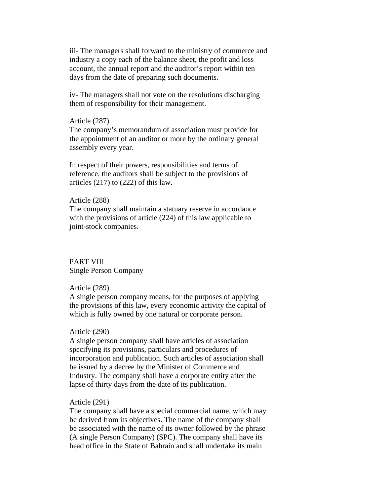iii- The managers shall forward to the ministry of commerce and industry a copy each of the balance sheet, the profit and loss account, the annual report and the auditor's report within ten days from the date of preparing such documents.

iv- The managers shall not vote on the resolutions discharging them of responsibility for their management.

#### Article (287)

The company's memorandum of association must provide for the appointment of an auditor or more by the ordinary general assembly every year.

In respect of their powers, responsibilities and terms of reference, the auditors shall be subject to the provisions of articles (217) to (222) of this law.

## Article (288)

The company shall maintain a statuary reserve in accordance with the provisions of article (224) of this law applicable to joint-stock companies.

# PART VIII Single Person Company

## Article (289)

A single person company means, for the purposes of applying the provisions of this law, every economic activity the capital of which is fully owned by one natural or corporate person.

#### Article (290)

A single person company shall have articles of association specifying its provisions, particulars and procedures of incorporation and publication. Such articles of association shall be issued by a decree by the Minister of Commerce and Industry. The company shall have a corporate entity after the lapse of thirty days from the date of its publication.

## Article (291)

The company shall have a special commercial name, which may be derived from its objectives. The name of the company shall be associated with the name of its owner followed by the phrase (A single Person Company) (SPC). The company shall have its head office in the State of Bahrain and shall undertake its main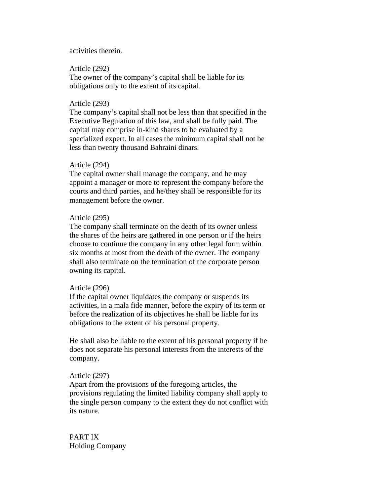## activities therein.

### Article (292)

The owner of the company's capital shall be liable for its obligations only to the extent of its capital.

## Article (293)

The company's capital shall not be less than that specified in the Executive Regulation of this law, and shall be fully paid. The capital may comprise in-kind shares to be evaluated by a specialized expert. In all cases the minimum capital shall not be less than twenty thousand Bahraini dinars.

## Article (294)

The capital owner shall manage the company, and he may appoint a manager or more to represent the company before the courts and third parties, and he/they shall be responsible for its management before the owner.

## Article (295)

The company shall terminate on the death of its owner unless the shares of the heirs are gathered in one person or if the heirs choose to continue the company in any other legal form within six months at most from the death of the owner. The company shall also terminate on the termination of the corporate person owning its capital.

## Article (296)

If the capital owner liquidates the company or suspends its activities, in a mala fide manner, before the expiry of its term or before the realization of its objectives he shall be liable for its obligations to the extent of his personal property.

He shall also be liable to the extent of his personal property if he does not separate his personal interests from the interests of the company.

#### Article (297)

Apart from the provisions of the foregoing articles, the provisions regulating the limited liability company shall apply to the single person company to the extent they do not conflict with its nature.

PART IX Holding Company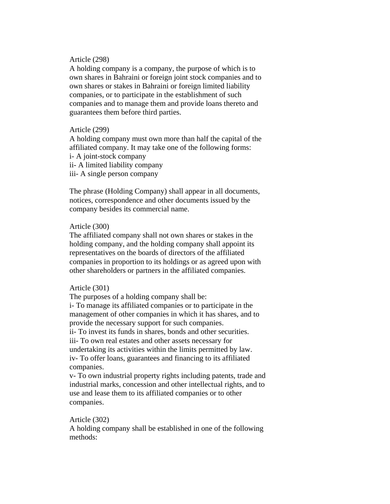## Article (298)

A holding company is a company, the purpose of which is to own shares in Bahraini or foreign joint stock companies and to own shares or stakes in Bahraini or foreign limited liability companies, or to participate in the establishment of such companies and to manage them and provide loans thereto and guarantees them before third parties.

## Article (299)

A holding company must own more than half the capital of the affiliated company. It may take one of the following forms:

i- A joint-stock company

ii- A limited liability company

iii- A single person company

The phrase (Holding Company) shall appear in all documents, notices, correspondence and other documents issued by the company besides its commercial name.

#### Article (300)

The affiliated company shall not own shares or stakes in the holding company, and the holding company shall appoint its representatives on the boards of directors of the affiliated companies in proportion to its holdings or as agreed upon with other shareholders or partners in the affiliated companies.

## Article (301)

The purposes of a holding company shall be:

i- To manage its affiliated companies or to participate in the management of other companies in which it has shares, and to provide the necessary support for such companies. ii- To invest its funds in shares, bonds and other securities.

iii- To own real estates and other assets necessary for undertaking its activities within the limits permitted by law. iv- To offer loans, guarantees and financing to its affiliated companies.

v- To own industrial property rights including patents, trade and industrial marks, concession and other intellectual rights, and to use and lease them to its affiliated companies or to other companies.

# Article (302)

A holding company shall be established in one of the following methods: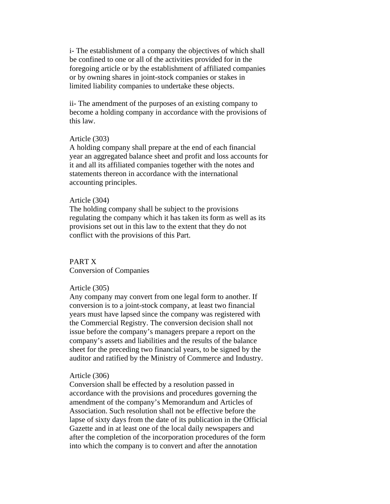i- The establishment of a company the objectives of which shall be confined to one or all of the activities provided for in the foregoing article or by the establishment of affiliated companies or by owning shares in joint-stock companies or stakes in limited liability companies to undertake these objects.

ii- The amendment of the purposes of an existing company to become a holding company in accordance with the provisions of this law.

#### Article (303)

A holding company shall prepare at the end of each financial year an aggregated balance sheet and profit and loss accounts for it and all its affiliated companies together with the notes and statements thereon in accordance with the international accounting principles.

### Article (304)

The holding company shall be subject to the provisions regulating the company which it has taken its form as well as its provisions set out in this law to the extent that they do not conflict with the provisions of this Part.

#### PART X

Conversion of Companies

#### Article (305)

Any company may convert from one legal form to another. If conversion is to a joint-stock company, at least two financial years must have lapsed since the company was registered with the Commercial Registry. The conversion decision shall not issue before the company's managers prepare a report on the company's assets and liabilities and the results of the balance sheet for the preceding two financial years, to be signed by the auditor and ratified by the Ministry of Commerce and Industry.

#### Article (306)

Conversion shall be effected by a resolution passed in accordance with the provisions and procedures governing the amendment of the company's Memorandum and Articles of Association. Such resolution shall not be effective before the lapse of sixty days from the date of its publication in the Official Gazette and in at least one of the local daily newspapers and after the completion of the incorporation procedures of the form into which the company is to convert and after the annotation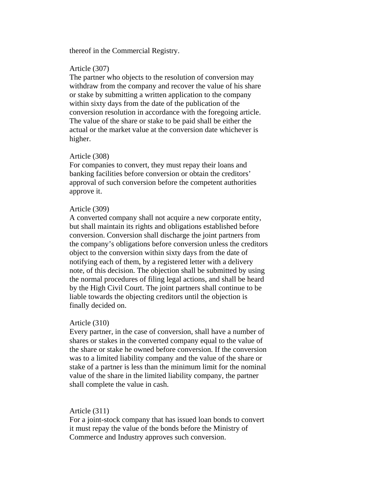## thereof in the Commercial Registry.

### Article (307)

The partner who objects to the resolution of conversion may withdraw from the company and recover the value of his share or stake by submitting a written application to the company within sixty days from the date of the publication of the conversion resolution in accordance with the foregoing article. The value of the share or stake to be paid shall be either the actual or the market value at the conversion date whichever is higher.

#### Article (308)

For companies to convert, they must repay their loans and banking facilities before conversion or obtain the creditors' approval of such conversion before the competent authorities approve it.

#### Article (309)

A converted company shall not acquire a new corporate entity, but shall maintain its rights and obligations established before conversion. Conversion shall discharge the joint partners from the company's obligations before conversion unless the creditors object to the conversion within sixty days from the date of notifying each of them, by a registered letter with a delivery note, of this decision. The objection shall be submitted by using the normal procedures of filing legal actions, and shall be heard by the High Civil Court. The joint partners shall continue to be liable towards the objecting creditors until the objection is finally decided on.

#### Article (310)

Every partner, in the case of conversion, shall have a number of shares or stakes in the converted company equal to the value of the share or stake he owned before conversion. If the conversion was to a limited liability company and the value of the share or stake of a partner is less than the minimum limit for the nominal value of the share in the limited liability company, the partner shall complete the value in cash.

Article (311)

For a joint-stock company that has issued loan bonds to convert it must repay the value of the bonds before the Ministry of Commerce and Industry approves such conversion.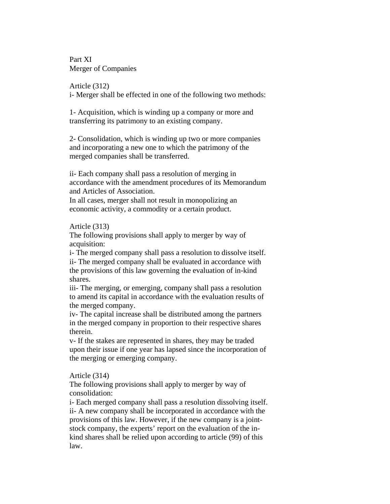Part XI Merger of Companies

Article (312)

i- Merger shall be effected in one of the following two methods:

1- Acquisition, which is winding up a company or more and transferring its patrimony to an existing company.

2- Consolidation, which is winding up two or more companies and incorporating a new one to which the patrimony of the merged companies shall be transferred.

ii- Each company shall pass a resolution of merging in accordance with the amendment procedures of its Memorandum and Articles of Association.

In all cases, merger shall not result in monopolizing an economic activity, a commodity or a certain product.

Article (313)

The following provisions shall apply to merger by way of acquisition:

i- The merged company shall pass a resolution to dissolve itself. ii- The merged company shall be evaluated in accordance with the provisions of this law governing the evaluation of in-kind shares.

iii- The merging, or emerging, company shall pass a resolution to amend its capital in accordance with the evaluation results of the merged company.

iv- The capital increase shall be distributed among the partners in the merged company in proportion to their respective shares therein.

v- If the stakes are represented in shares, they may be traded upon their issue if one year has lapsed since the incorporation of the merging or emerging company.

Article (314)

The following provisions shall apply to merger by way of consolidation:

i- Each merged company shall pass a resolution dissolving itself. ii- A new company shall be incorporated in accordance with the provisions of this law. However, if the new company is a jointstock company, the experts' report on the evaluation of the inkind shares shall be relied upon according to article (99) of this law.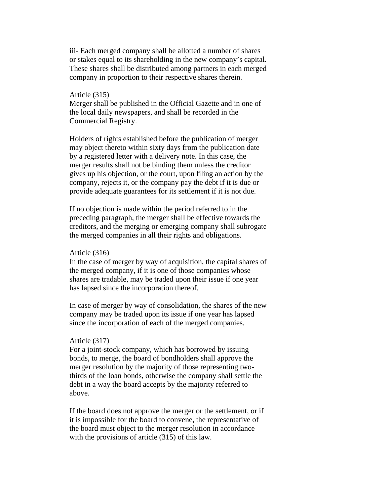iii- Each merged company shall be allotted a number of shares or stakes equal to its shareholding in the new company's capital. These shares shall be distributed among partners in each merged company in proportion to their respective shares therein.

## Article (315)

Merger shall be published in the Official Gazette and in one of the local daily newspapers, and shall be recorded in the Commercial Registry.

Holders of rights established before the publication of merger may object thereto within sixty days from the publication date by a registered letter with a delivery note. In this case, the merger results shall not be binding them unless the creditor gives up his objection, or the court, upon filing an action by the company, rejects it, or the company pay the debt if it is due or provide adequate guarantees for its settlement if it is not due.

If no objection is made within the period referred to in the preceding paragraph, the merger shall be effective towards the creditors, and the merging or emerging company shall subrogate the merged companies in all their rights and obligations.

## Article (316)

In the case of merger by way of acquisition, the capital shares of the merged company, if it is one of those companies whose shares are tradable, may be traded upon their issue if one year has lapsed since the incorporation thereof.

In case of merger by way of consolidation, the shares of the new company may be traded upon its issue if one year has lapsed since the incorporation of each of the merged companies.

## Article (317)

For a joint-stock company, which has borrowed by issuing bonds, to merge, the board of bondholders shall approve the merger resolution by the majority of those representing twothirds of the loan bonds, otherwise the company shall settle the debt in a way the board accepts by the majority referred to above.

If the board does not approve the merger or the settlement, or if it is impossible for the board to convene, the representative of the board must object to the merger resolution in accordance with the provisions of article (315) of this law.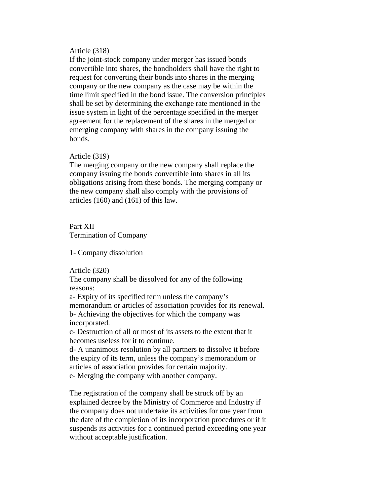## Article (318)

If the joint-stock company under merger has issued bonds convertible into shares, the bondholders shall have the right to request for converting their bonds into shares in the merging company or the new company as the case may be within the time limit specified in the bond issue. The conversion principles shall be set by determining the exchange rate mentioned in the issue system in light of the percentage specified in the merger agreement for the replacement of the shares in the merged or emerging company with shares in the company issuing the bonds.

## Article (319)

The merging company or the new company shall replace the company issuing the bonds convertible into shares in all its obligations arising from these bonds. The merging company or the new company shall also comply with the provisions of articles (160) and (161) of this law.

# Part XII Termination of Company

1- Company dissolution

Article (320)

The company shall be dissolved for any of the following reasons:

a- Expiry of its specified term unless the company's memorandum or articles of association provides for its renewal. b- Achieving the objectives for which the company was incorporated.

c- Destruction of all or most of its assets to the extent that it becomes useless for it to continue.

d- A unanimous resolution by all partners to dissolve it before the expiry of its term, unless the company's memorandum or articles of association provides for certain majority. e- Merging the company with another company.

The registration of the company shall be struck off by an explained decree by the Ministry of Commerce and Industry if the company does not undertake its activities for one year from the date of the completion of its incorporation procedures or if it suspends its activities for a continued period exceeding one year without acceptable justification.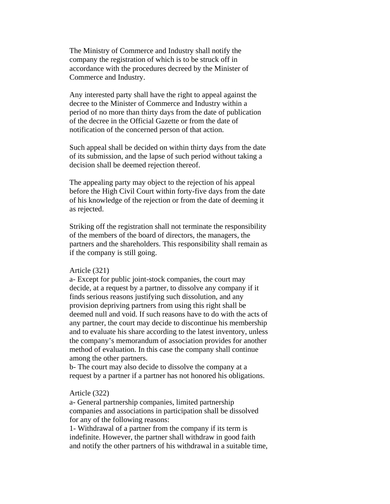The Ministry of Commerce and Industry shall notify the company the registration of which is to be struck off in accordance with the procedures decreed by the Minister of Commerce and Industry.

Any interested party shall have the right to appeal against the decree to the Minister of Commerce and Industry within a period of no more than thirty days from the date of publication of the decree in the Official Gazette or from the date of notification of the concerned person of that action.

Such appeal shall be decided on within thirty days from the date of its submission, and the lapse of such period without taking a decision shall be deemed rejection thereof.

The appealing party may object to the rejection of his appeal before the High Civil Court within forty-five days from the date of his knowledge of the rejection or from the date of deeming it as rejected.

Striking off the registration shall not terminate the responsibility of the members of the board of directors, the managers, the partners and the shareholders. This responsibility shall remain as if the company is still going.

#### Article (321)

a- Except for public joint-stock companies, the court may decide, at a request by a partner, to dissolve any company if it finds serious reasons justifying such dissolution, and any provision depriving partners from using this right shall be deemed null and void. If such reasons have to do with the acts of any partner, the court may decide to discontinue his membership and to evaluate his share according to the latest inventory, unless the company's memorandum of association provides for another method of evaluation. In this case the company shall continue among the other partners.

b- The court may also decide to dissolve the company at a request by a partner if a partner has not honored his obligations.

## Article (322)

a- General partnership companies, limited partnership companies and associations in participation shall be dissolved for any of the following reasons:

1- Withdrawal of a partner from the company if its term is indefinite. However, the partner shall withdraw in good faith and notify the other partners of his withdrawal in a suitable time,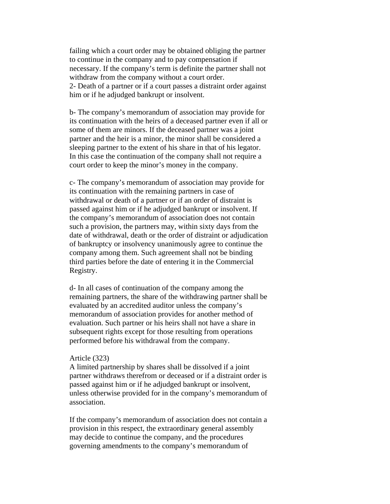failing which a court order may be obtained obliging the partner to continue in the company and to pay compensation if necessary. If the company's term is definite the partner shall not withdraw from the company without a court order. 2- Death of a partner or if a court passes a distraint order against him or if he adjudged bankrupt or insolvent.

b- The company's memorandum of association may provide for its continuation with the heirs of a deceased partner even if all or some of them are minors. If the deceased partner was a joint partner and the heir is a minor, the minor shall be considered a sleeping partner to the extent of his share in that of his legator. In this case the continuation of the company shall not require a court order to keep the minor's money in the company.

c- The company's memorandum of association may provide for its continuation with the remaining partners in case of withdrawal or death of a partner or if an order of distraint is passed against him or if he adjudged bankrupt or insolvent. If the company's memorandum of association does not contain such a provision, the partners may, within sixty days from the date of withdrawal, death or the order of distraint or adjudication of bankruptcy or insolvency unanimously agree to continue the company among them. Such agreement shall not be binding third parties before the date of entering it in the Commercial Registry.

d- In all cases of continuation of the company among the remaining partners, the share of the withdrawing partner shall be evaluated by an accredited auditor unless the company's memorandum of association provides for another method of evaluation. Such partner or his heirs shall not have a share in subsequent rights except for those resulting from operations performed before his withdrawal from the company.

## Article (323)

A limited partnership by shares shall be dissolved if a joint partner withdraws therefrom or deceased or if a distraint order is passed against him or if he adjudged bankrupt or insolvent, unless otherwise provided for in the company's memorandum of association.

If the company's memorandum of association does not contain a provision in this respect, the extraordinary general assembly may decide to continue the company, and the procedures governing amendments to the company's memorandum of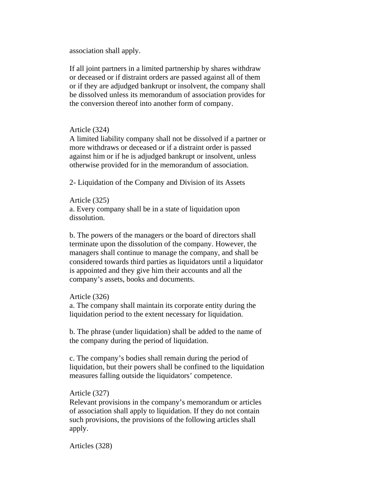association shall apply.

If all joint partners in a limited partnership by shares withdraw or deceased or if distraint orders are passed against all of them or if they are adjudged bankrupt or insolvent, the company shall be dissolved unless its memorandum of association provides for the conversion thereof into another form of company.

## Article (324)

A limited liability company shall not be dissolved if a partner or more withdraws or deceased or if a distraint order is passed against him or if he is adjudged bankrupt or insolvent, unless otherwise provided for in the memorandum of association.

2- Liquidation of the Company and Division of its Assets

Article (325) a. Every company shall be in a state of liquidation upon dissolution.

b. The powers of the managers or the board of directors shall terminate upon the dissolution of the company. However, the managers shall continue to manage the company, and shall be considered towards third parties as liquidators until a liquidator is appointed and they give him their accounts and all the company's assets, books and documents.

#### Article (326)

a. The company shall maintain its corporate entity during the liquidation period to the extent necessary for liquidation.

b. The phrase (under liquidation) shall be added to the name of the company during the period of liquidation.

c. The company's bodies shall remain during the period of liquidation, but their powers shall be confined to the liquidation measures falling outside the liquidators' competence.

## Article (327)

Relevant provisions in the company's memorandum or articles of association shall apply to liquidation. If they do not contain such provisions, the provisions of the following articles shall apply.

Articles (328)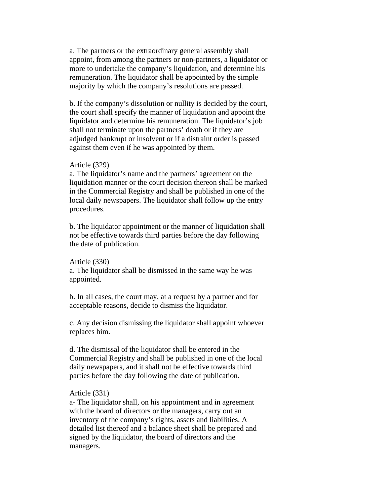a. The partners or the extraordinary general assembly shall appoint, from among the partners or non-partners, a liquidator or more to undertake the company's liquidation, and determine his remuneration. The liquidator shall be appointed by the simple majority by which the company's resolutions are passed.

b. If the company's dissolution or nullity is decided by the court, the court shall specify the manner of liquidation and appoint the liquidator and determine his remuneration. The liquidator's job shall not terminate upon the partners' death or if they are adjudged bankrupt or insolvent or if a distraint order is passed against them even if he was appointed by them.

## Article (329)

a. The liquidator's name and the partners' agreement on the liquidation manner or the court decision thereon shall be marked in the Commercial Registry and shall be published in one of the local daily newspapers. The liquidator shall follow up the entry procedures.

b. The liquidator appointment or the manner of liquidation shall not be effective towards third parties before the day following the date of publication.

#### Article (330)

a. The liquidator shall be dismissed in the same way he was appointed.

b. In all cases, the court may, at a request by a partner and for acceptable reasons, decide to dismiss the liquidator.

c. Any decision dismissing the liquidator shall appoint whoever replaces him.

d. The dismissal of the liquidator shall be entered in the Commercial Registry and shall be published in one of the local daily newspapers, and it shall not be effective towards third parties before the day following the date of publication.

## Article (331)

a- The liquidator shall, on his appointment and in agreement with the board of directors or the managers, carry out an inventory of the company's rights, assets and liabilities. A detailed list thereof and a balance sheet shall be prepared and signed by the liquidator, the board of directors and the managers.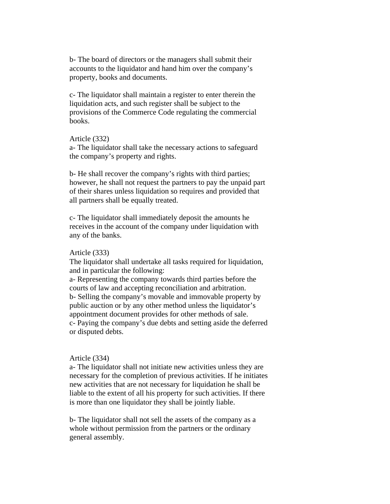b- The board of directors or the managers shall submit their accounts to the liquidator and hand him over the company's property, books and documents.

c- The liquidator shall maintain a register to enter therein the liquidation acts, and such register shall be subject to the provisions of the Commerce Code regulating the commercial books.

#### Article (332)

a- The liquidator shall take the necessary actions to safeguard the company's property and rights.

b- He shall recover the company's rights with third parties; however, he shall not request the partners to pay the unpaid part of their shares unless liquidation so requires and provided that all partners shall be equally treated.

c- The liquidator shall immediately deposit the amounts he receives in the account of the company under liquidation with any of the banks.

#### Article (333)

The liquidator shall undertake all tasks required for liquidation, and in particular the following:

a- Representing the company towards third parties before the courts of law and accepting reconciliation and arbitration. b- Selling the company's movable and immovable property by public auction or by any other method unless the liquidator's appointment document provides for other methods of sale. c- Paying the company's due debts and setting aside the deferred or disputed debts.

## Article (334)

a- The liquidator shall not initiate new activities unless they are necessary for the completion of previous activities. If he initiates new activities that are not necessary for liquidation he shall be liable to the extent of all his property for such activities. If there is more than one liquidator they shall be jointly liable.

b- The liquidator shall not sell the assets of the company as a whole without permission from the partners or the ordinary general assembly.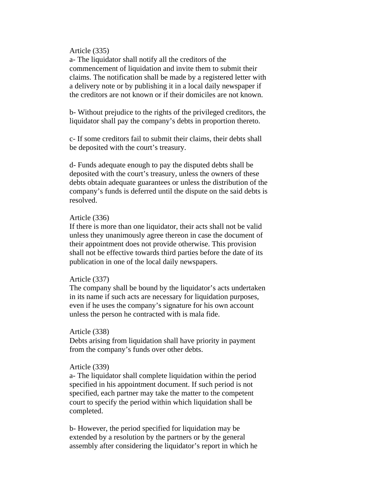## Article (335)

a- The liquidator shall notify all the creditors of the commencement of liquidation and invite them to submit their claims. The notification shall be made by a registered letter with a delivery note or by publishing it in a local daily newspaper if the creditors are not known or if their domiciles are not known.

b- Without prejudice to the rights of the privileged creditors, the liquidator shall pay the company's debts in proportion thereto.

c- If some creditors fail to submit their claims, their debts shall be deposited with the court's treasury.

d- Funds adequate enough to pay the disputed debts shall be deposited with the court's treasury, unless the owners of these debts obtain adequate guarantees or unless the distribution of the company's funds is deferred until the dispute on the said debts is resolved.

## Article (336)

If there is more than one liquidator, their acts shall not be valid unless they unanimously agree thereon in case the document of their appointment does not provide otherwise. This provision shall not be effective towards third parties before the date of its publication in one of the local daily newspapers.

#### Article (337)

The company shall be bound by the liquidator's acts undertaken in its name if such acts are necessary for liquidation purposes, even if he uses the company's signature for his own account unless the person he contracted with is mala fide.

#### Article (338)

Debts arising from liquidation shall have priority in payment from the company's funds over other debts.

## Article (339)

a- The liquidator shall complete liquidation within the period specified in his appointment document. If such period is not specified, each partner may take the matter to the competent court to specify the period within which liquidation shall be completed.

b- However, the period specified for liquidation may be extended by a resolution by the partners or by the general assembly after considering the liquidator's report in which he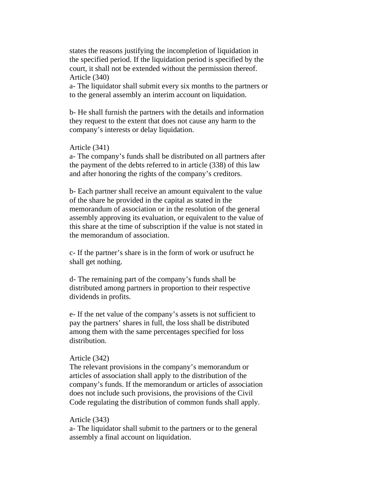states the reasons justifying the incompletion of liquidation in the specified period. If the liquidation period is specified by the court, it shall not be extended without the permission thereof. Article (340)

a- The liquidator shall submit every six months to the partners or to the general assembly an interim account on liquidation.

b- He shall furnish the partners with the details and information they request to the extent that does not cause any harm to the company's interests or delay liquidation.

## Article (341)

a- The company's funds shall be distributed on all partners after the payment of the debts referred to in article (338) of this law and after honoring the rights of the company's creditors.

b- Each partner shall receive an amount equivalent to the value of the share he provided in the capital as stated in the memorandum of association or in the resolution of the general assembly approving its evaluation, or equivalent to the value of this share at the time of subscription if the value is not stated in the memorandum of association.

c- If the partner's share is in the form of work or usufruct he shall get nothing.

d- The remaining part of the company's funds shall be distributed among partners in proportion to their respective dividends in profits.

e- If the net value of the company's assets is not sufficient to pay the partners' shares in full, the loss shall be distributed among them with the same percentages specified for loss distribution.

## Article (342)

The relevant provisions in the company's memorandum or articles of association shall apply to the distribution of the company's funds. If the memorandum or articles of association does not include such provisions, the provisions of the Civil Code regulating the distribution of common funds shall apply.

## Article (343)

a- The liquidator shall submit to the partners or to the general assembly a final account on liquidation.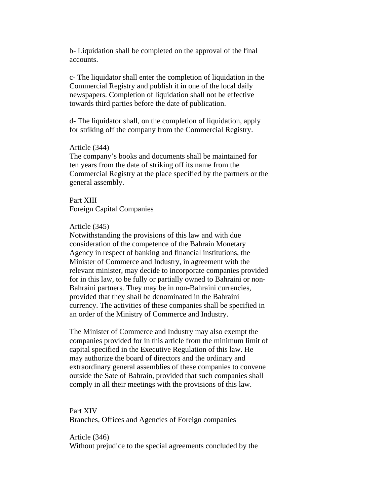b- Liquidation shall be completed on the approval of the final accounts.

c- The liquidator shall enter the completion of liquidation in the Commercial Registry and publish it in one of the local daily newspapers. Completion of liquidation shall not be effective towards third parties before the date of publication.

d- The liquidator shall, on the completion of liquidation, apply for striking off the company from the Commercial Registry.

#### Article (344)

The company's books and documents shall be maintained for ten years from the date of striking off its name from the Commercial Registry at the place specified by the partners or the general assembly.

Part XIII Foreign Capital Companies

#### Article (345)

Notwithstanding the provisions of this law and with due consideration of the competence of the Bahrain Monetary Agency in respect of banking and financial institutions, the Minister of Commerce and Industry, in agreement with the relevant minister, may decide to incorporate companies provided for in this law, to be fully or partially owned to Bahraini or non-Bahraini partners. They may be in non-Bahraini currencies, provided that they shall be denominated in the Bahraini currency. The activities of these companies shall be specified in an order of the Ministry of Commerce and Industry.

The Minister of Commerce and Industry may also exempt the companies provided for in this article from the minimum limit of capital specified in the Executive Regulation of this law. He may authorize the board of directors and the ordinary and extraordinary general assemblies of these companies to convene outside the Sate of Bahrain, provided that such companies shall comply in all their meetings with the provisions of this law.

# Part XIV

Branches, Offices and Agencies of Foreign companies

# Article (346)

Without prejudice to the special agreements concluded by the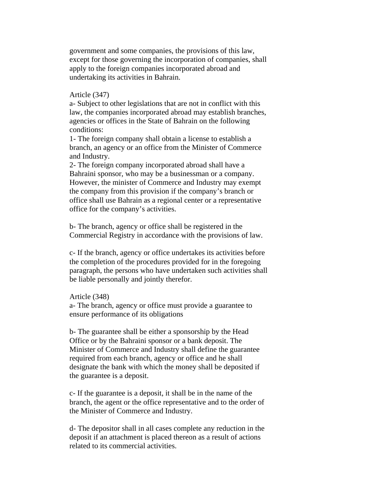government and some companies, the provisions of this law, except for those governing the incorporation of companies, shall apply to the foreign companies incorporated abroad and undertaking its activities in Bahrain.

## Article (347)

a- Subject to other legislations that are not in conflict with this law, the companies incorporated abroad may establish branches, agencies or offices in the State of Bahrain on the following conditions:

1- The foreign company shall obtain a license to establish a branch, an agency or an office from the Minister of Commerce and Industry.

2- The foreign company incorporated abroad shall have a Bahraini sponsor, who may be a businessman or a company. However, the minister of Commerce and Industry may exempt the company from this provision if the company's branch or office shall use Bahrain as a regional center or a representative office for the company's activities.

b- The branch, agency or office shall be registered in the Commercial Registry in accordance with the provisions of law.

c- If the branch, agency or office undertakes its activities before the completion of the procedures provided for in the foregoing paragraph, the persons who have undertaken such activities shall be liable personally and jointly therefor.

#### Article (348)

a- The branch, agency or office must provide a guarantee to ensure performance of its obligations

b- The guarantee shall be either a sponsorship by the Head Office or by the Bahraini sponsor or a bank deposit. The Minister of Commerce and Industry shall define the guarantee required from each branch, agency or office and he shall designate the bank with which the money shall be deposited if the guarantee is a deposit.

c- If the guarantee is a deposit, it shall be in the name of the branch, the agent or the office representative and to the order of the Minister of Commerce and Industry.

d- The depositor shall in all cases complete any reduction in the deposit if an attachment is placed thereon as a result of actions related to its commercial activities.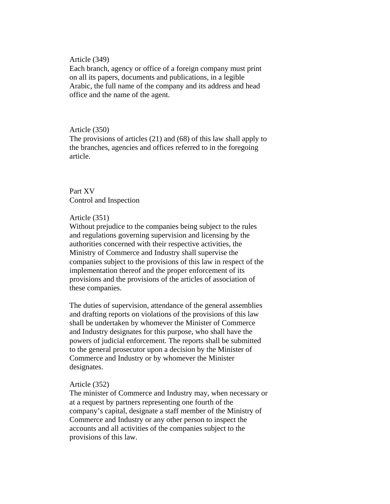Article (349)

Each branch, agency or office of a foreign company must print on all its papers, documents and publications, in a legible Arabic, the full name of the company and its address and head office and the name of the agent.

## Article (350)

The provisions of articles (21) and (68) of this law shall apply to the branches, agencies and offices referred to in the foregoing article.

# Part XV Control and Inspection

# Article (351)

Without prejudice to the companies being subject to the rules and regulations governing supervision and licensing by the authorities concerned with their respective activities, the Ministry of Commerce and Industry shall supervise the companies subject to the provisions of this law in respect of the implementation thereof and the proper enforcement of its provisions and the provisions of the articles of association of these companies.

The duties of supervision, attendance of the general assemblies and drafting reports on violations of the provisions of this law shall be undertaken by whomever the Minister of Commerce and Industry designates for this purpose, who shall have the powers of judicial enforcement. The reports shall be submitted to the general prosecutor upon a decision by the Minister of Commerce and Industry or by whomever the Minister designates.

## Article (352)

The minister of Commerce and Industry may, when necessary or at a request by partners representing one fourth of the company's capital, designate a staff member of the Ministry of Commerce and Industry or any other person to inspect the accounts and all activities of the companies subject to the provisions of this law.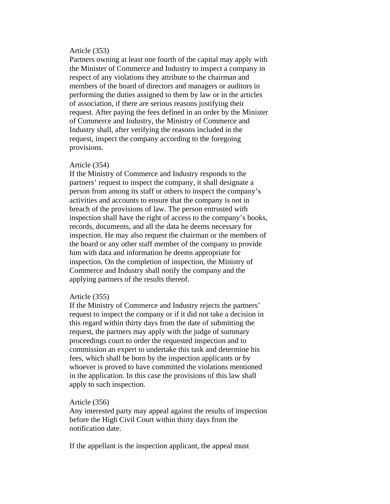# Article (353)

Partners owning at least one fourth of the capital may apply with the Minister of Commerce and Industry to inspect a company in respect of any violations they attribute to the chairman and members of the board of directors and managers or auditors in performing the duties assigned to them by law or in the articles of association, if there are serious reasons justifying their request. After paying the fees defined in an order by the Minister of Commerce and Industry, the Ministry of Commerce and Industry shall, after verifying the reasons included in the request, inspect the company according to the foregoing provisions.

#### Article (354)

If the Ministry of Commerce and Industry responds to the partners' request to inspect the company, it shall designate a person from among its staff or others to inspect the company's activities and accounts to ensure that the company is not in breach of the provisions of law. The person entrusted with inspection shall have the right of access to the company's books, records, documents, and all the data he deems necessary for inspection. He may also request the chairman or the members of the board or any other staff member of the company to provide him with data and information he deems appropriate for inspection. On the completion of inspection, the Ministry of Commerce and Industry shall notify the company and the applying partners of the results thereof.

## Article (355)

If the Ministry of Commerce and Industry rejects the partners' request to inspect the company or if it did not take a decision in this regard within thirty days from the date of submitting the request, the partners may apply with the judge of summary proceedings court to order the requested inspection and to commission an expert to undertake this task and determine his fees, which shall be born by the inspection applicants or by whoever is proved to have committed the violations mentioned in the application. In this case the provisions of this law shall apply to such inspection.

## Article (356)

Any interested party may appeal against the results of inspection before the High Civil Court within thirty days from the notification date.

If the appellant is the inspection applicant, the appeal must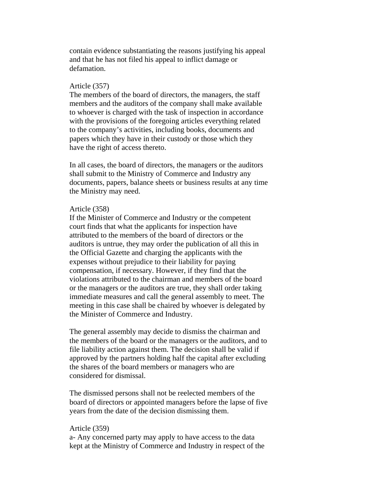contain evidence substantiating the reasons justifying his appeal and that he has not filed his appeal to inflict damage or defamation.

## Article (357)

The members of the board of directors, the managers, the staff members and the auditors of the company shall make available to whoever is charged with the task of inspection in accordance with the provisions of the foregoing articles everything related to the company's activities, including books, documents and papers which they have in their custody or those which they have the right of access thereto.

In all cases, the board of directors, the managers or the auditors shall submit to the Ministry of Commerce and Industry any documents, papers, balance sheets or business results at any time the Ministry may need.

## Article (358)

If the Minister of Commerce and Industry or the competent court finds that what the applicants for inspection have attributed to the members of the board of directors or the auditors is untrue, they may order the publication of all this in the Official Gazette and charging the applicants with the expenses without prejudice to their liability for paying compensation, if necessary. However, if they find that the violations attributed to the chairman and members of the board or the managers or the auditors are true, they shall order taking immediate measures and call the general assembly to meet. The meeting in this case shall be chaired by whoever is delegated by the Minister of Commerce and Industry.

The general assembly may decide to dismiss the chairman and the members of the board or the managers or the auditors, and to file liability action against them. The decision shall be valid if approved by the partners holding half the capital after excluding the shares of the board members or managers who are considered for dismissal.

The dismissed persons shall not be reelected members of the board of directors or appointed managers before the lapse of five years from the date of the decision dismissing them.

#### Article (359)

a- Any concerned party may apply to have access to the data kept at the Ministry of Commerce and Industry in respect of the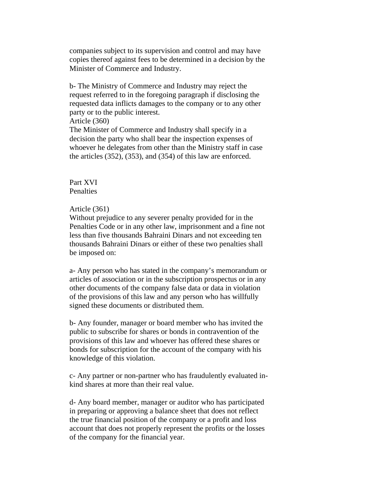companies subject to its supervision and control and may have copies thereof against fees to be determined in a decision by the Minister of Commerce and Industry.

b- The Ministry of Commerce and Industry may reject the request referred to in the foregoing paragraph if disclosing the requested data inflicts damages to the company or to any other party or to the public interest.

#### Article (360)

The Minister of Commerce and Industry shall specify in a decision the party who shall bear the inspection expenses of whoever he delegates from other than the Ministry staff in case the articles (352), (353), and (354) of this law are enforced.

# Part XVI **Penalties**

## Article (361)

Without prejudice to any severer penalty provided for in the Penalties Code or in any other law, imprisonment and a fine not less than five thousands Bahraini Dinars and not exceeding ten thousands Bahraini Dinars or either of these two penalties shall be imposed on:

a- Any person who has stated in the company's memorandum or articles of association or in the subscription prospectus or in any other documents of the company false data or data in violation of the provisions of this law and any person who has willfully signed these documents or distributed them.

b- Any founder, manager or board member who has invited the public to subscribe for shares or bonds in contravention of the provisions of this law and whoever has offered these shares or bonds for subscription for the account of the company with his knowledge of this violation.

c- Any partner or non-partner who has fraudulently evaluated inkind shares at more than their real value.

d- Any board member, manager or auditor who has participated in preparing or approving a balance sheet that does not reflect the true financial position of the company or a profit and loss account that does not properly represent the profits or the losses of the company for the financial year.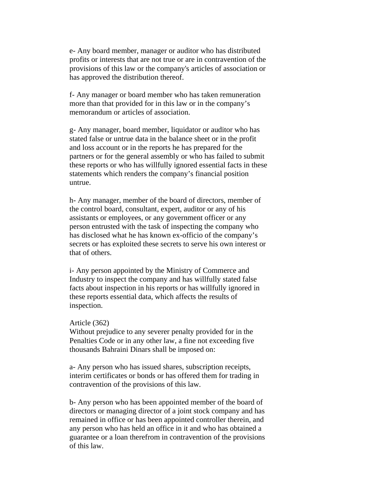e- Any board member, manager or auditor who has distributed profits or interests that are not true or are in contravention of the provisions of this law or the company's articles of association or has approved the distribution thereof.

f- Any manager or board member who has taken remuneration more than that provided for in this law or in the company's memorandum or articles of association.

g- Any manager, board member, liquidator or auditor who has stated false or untrue data in the balance sheet or in the profit and loss account or in the reports he has prepared for the partners or for the general assembly or who has failed to submit these reports or who has willfully ignored essential facts in these statements which renders the company's financial position untrue.

h- Any manager, member of the board of directors, member of the control board, consultant, expert, auditor or any of his assistants or employees, or any government officer or any person entrusted with the task of inspecting the company who has disclosed what he has known ex-officio of the company's secrets or has exploited these secrets to serve his own interest or that of others.

i- Any person appointed by the Ministry of Commerce and Industry to inspect the company and has willfully stated false facts about inspection in his reports or has willfully ignored in these reports essential data, which affects the results of inspection.

### Article (362)

Without prejudice to any severer penalty provided for in the Penalties Code or in any other law, a fine not exceeding five thousands Bahraini Dinars shall be imposed on:

a- Any person who has issued shares, subscription receipts, interim certificates or bonds or has offered them for trading in contravention of the provisions of this law.

b- Any person who has been appointed member of the board of directors or managing director of a joint stock company and has remained in office or has been appointed controller therein, and any person who has held an office in it and who has obtained a guarantee or a loan therefrom in contravention of the provisions of this law.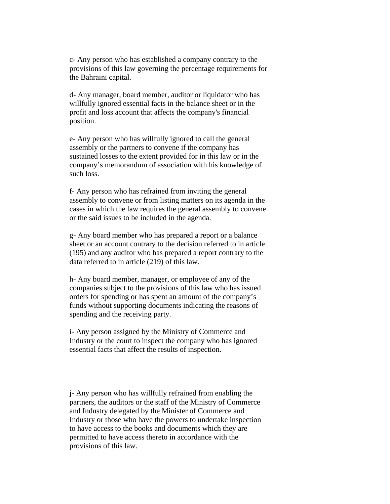c- Any person who has established a company contrary to the provisions of this law governing the percentage requirements for the Bahraini capital.

d- Any manager, board member, auditor or liquidator who has willfully ignored essential facts in the balance sheet or in the profit and loss account that affects the company's financial position.

e- Any person who has willfully ignored to call the general assembly or the partners to convene if the company has sustained losses to the extent provided for in this law or in the company's memorandum of association with his knowledge of such loss.

f- Any person who has refrained from inviting the general assembly to convene or from listing matters on its agenda in the cases in which the law requires the general assembly to convene or the said issues to be included in the agenda.

g- Any board member who has prepared a report or a balance sheet or an account contrary to the decision referred to in article (195) and any auditor who has prepared a report contrary to the data referred to in article (219) of this law.

h- Any board member, manager, or employee of any of the companies subject to the provisions of this law who has issued orders for spending or has spent an amount of the company's funds without supporting documents indicating the reasons of spending and the receiving party.

i- Any person assigned by the Ministry of Commerce and Industry or the court to inspect the company who has ignored essential facts that affect the results of inspection.

j- Any person who has willfully refrained from enabling the partners, the auditors or the staff of the Ministry of Commerce and Industry delegated by the Minister of Commerce and Industry or those who have the powers to undertake inspection to have access to the books and documents which they are permitted to have access thereto in accordance with the provisions of this law.